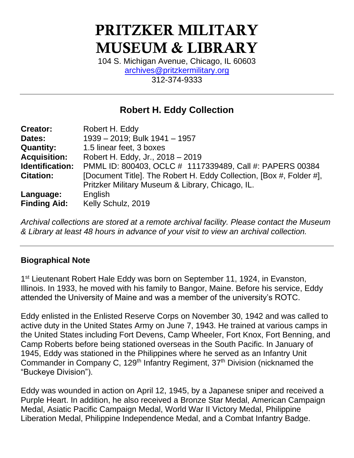# PRITZKER MILITARY MUSEUM & LIBRARY

104 S. Michigan Avenue, Chicago, IL 60603 [archives@pritzkermilitary.org](mailto:archives@pritzkermilitary.org) 312-374-9333

# **Robert H. Eddy Collection**

| <b>Creator:</b>     | Robert H. Eddy                                                      |
|---------------------|---------------------------------------------------------------------|
| Dates:              | 1939 - 2019; Bulk 1941 - 1957                                       |
| <b>Quantity:</b>    | 1.5 linear feet, 3 boxes                                            |
| <b>Acquisition:</b> | Robert H. Eddy, Jr., 2018 - 2019                                    |
| Identification:     | PMML ID: 800403, OCLC # 1117339489, Call #: PAPERS 00384            |
| <b>Citation:</b>    | [Document Title]. The Robert H. Eddy Collection, [Box #, Folder #], |
|                     | Pritzker Military Museum & Library, Chicago, IL.                    |
| Language:           | English                                                             |
| <b>Finding Aid:</b> | Kelly Schulz, 2019                                                  |

*Archival collections are stored at a remote archival facility. Please contact the Museum & Library at least 48 hours in advance of your visit to view an archival collection.*

#### **Biographical Note**

1<sup>st</sup> Lieutenant Robert Hale Eddy was born on September 11, 1924, in Evanston, Illinois. In 1933, he moved with his family to Bangor, Maine. Before his service, Eddy attended the University of Maine and was a member of the university's ROTC.

Eddy enlisted in the Enlisted Reserve Corps on November 30, 1942 and was called to active duty in the United States Army on June 7, 1943. He trained at various camps in the United States including Fort Devens, Camp Wheeler, Fort Knox, Fort Benning, and Camp Roberts before being stationed overseas in the South Pacific. In January of 1945, Eddy was stationed in the Philippines where he served as an Infantry Unit Commander in Company C, 129<sup>th</sup> Infantry Regiment, 37<sup>th</sup> Division (nicknamed the "Buckeye Division").

Eddy was wounded in action on April 12, 1945, by a Japanese sniper and received a Purple Heart. In addition, he also received a Bronze Star Medal, American Campaign Medal, Asiatic Pacific Campaign Medal, World War II Victory Medal, Philippine Liberation Medal, Philippine Independence Medal, and a Combat Infantry Badge.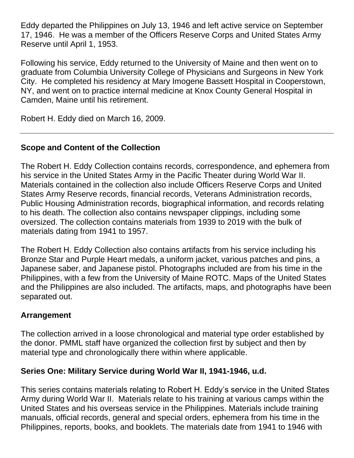Eddy departed the Philippines on July 13, 1946 and left active service on September 17, 1946. He was a member of the Officers Reserve Corps and United States Army Reserve until April 1, 1953.

Following his service, Eddy returned to the University of Maine and then went on to graduate from Columbia University College of Physicians and Surgeons in New York City. He completed his residency at Mary Imogene Bassett Hospital in Cooperstown, NY, and went on to practice internal medicine at Knox County General Hospital in Camden, Maine until his retirement.

Robert H. Eddy died on March 16, 2009.

## **Scope and Content of the Collection**

The Robert H. Eddy Collection contains records, correspondence, and ephemera from his service in the United States Army in the Pacific Theater during World War II. Materials contained in the collection also include Officers Reserve Corps and United States Army Reserve records, financial records, Veterans Administration records, Public Housing Administration records, biographical information, and records relating to his death. The collection also contains newspaper clippings, including some oversized. The collection contains materials from 1939 to 2019 with the bulk of materials dating from 1941 to 1957.

The Robert H. Eddy Collection also contains artifacts from his service including his Bronze Star and Purple Heart medals, a uniform jacket, various patches and pins, a Japanese saber, and Japanese pistol. Photographs included are from his time in the Philippines, with a few from the University of Maine ROTC. Maps of the United States and the Philippines are also included. The artifacts, maps, and photographs have been separated out.

## **Arrangement**

The collection arrived in a loose chronological and material type order established by the donor. PMML staff have organized the collection first by subject and then by material type and chronologically there within where applicable.

## **Series One: Military Service during World War II, 1941-1946, u.d.**

This series contains materials relating to Robert H. Eddy's service in the United States Army during World War II. Materials relate to his training at various camps within the United States and his overseas service in the Philippines. Materials include training manuals, official records, general and special orders, ephemera from his time in the Philippines, reports, books, and booklets. The materials date from 1941 to 1946 with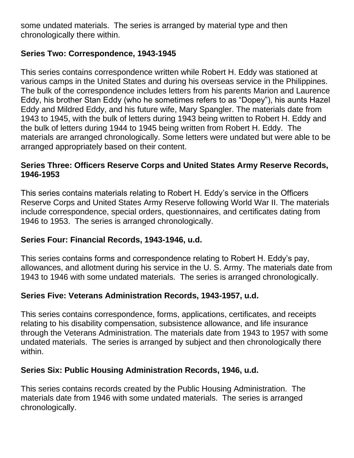some undated materials. The series is arranged by material type and then chronologically there within.

#### **Series Two: Correspondence, 1943-1945**

This series contains correspondence written while Robert H. Eddy was stationed at various camps in the United States and during his overseas service in the Philippines. The bulk of the correspondence includes letters from his parents Marion and Laurence Eddy, his brother Stan Eddy (who he sometimes refers to as "Dopey"), his aunts Hazel Eddy and Mildred Eddy, and his future wife, Mary Spangler. The materials date from 1943 to 1945, with the bulk of letters during 1943 being written to Robert H. Eddy and the bulk of letters during 1944 to 1945 being written from Robert H. Eddy. The materials are arranged chronologically. Some letters were undated but were able to be arranged appropriately based on their content.

#### **Series Three: Officers Reserve Corps and United States Army Reserve Records, 1946-1953**

This series contains materials relating to Robert H. Eddy's service in the Officers Reserve Corps and United States Army Reserve following World War II. The materials include correspondence, special orders, questionnaires, and certificates dating from 1946 to 1953. The series is arranged chronologically.

#### **Series Four: Financial Records, 1943-1946, u.d.**

This series contains forms and correspondence relating to Robert H. Eddy's pay, allowances, and allotment during his service in the U. S. Army. The materials date from 1943 to 1946 with some undated materials. The series is arranged chronologically.

#### **Series Five: Veterans Administration Records, 1943-1957, u.d.**

This series contains correspondence, forms, applications, certificates, and receipts relating to his disability compensation, subsistence allowance, and life insurance through the Veterans Administration. The materials date from 1943 to 1957 with some undated materials. The series is arranged by subject and then chronologically there within.

#### **Series Six: Public Housing Administration Records, 1946, u.d.**

This series contains records created by the Public Housing Administration. The materials date from 1946 with some undated materials. The series is arranged chronologically.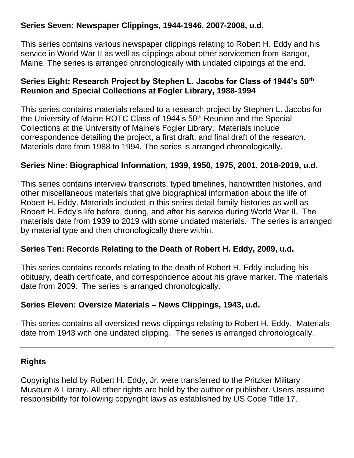#### **Series Seven: Newspaper Clippings, 1944-1946, 2007-2008, u.d.**

This series contains various newspaper clippings relating to Robert H. Eddy and his service in World War II as well as clippings about other servicemen from Bangor, Maine. The series is arranged chronologically with undated clippings at the end.

#### **Series Eight: Research Project by Stephen L. Jacobs for Class of 1944's 50th Reunion and Special Collections at Fogler Library, 1988-1994**

This series contains materials related to a research project by Stephen L. Jacobs for the University of Maine ROTC Class of 1944's 50<sup>th</sup> Reunion and the Special Collections at the University of Maine's Fogler Library. Materials include correspondence detailing the project, a first draft, and final draft of the research. Materials date from 1988 to 1994. The series is arranged chronologically.

#### **Series Nine: Biographical Information, 1939, 1950, 1975, 2001, 2018-2019, u.d.**

This series contains interview transcripts, typed timelines, handwritten histories, and other miscellaneous materials that give biographical information about the life of Robert H. Eddy. Materials included in this series detail family histories as well as Robert H. Eddy's life before, during, and after his service during World War II. The materials date from 1939 to 2019 with some undated materials. The series is arranged by material type and then chronologically there within.

#### **Series Ten: Records Relating to the Death of Robert H. Eddy, 2009, u.d.**

This series contains records relating to the death of Robert H. Eddy including his obituary, death certificate, and correspondence about his grave marker. The materials date from 2009. The series is arranged chronologically.

#### **Series Eleven: Oversize Materials – News Clippings, 1943, u.d.**

This series contains all oversized news clippings relating to Robert H. Eddy. Materials date from 1943 with one undated clipping. The series is arranged chronologically.

#### **Rights**

Copyrights held by Robert H. Eddy, Jr. were transferred to the Pritzker Military Museum & Library. All other rights are held by the author or publisher. Users assume responsibility for following copyright laws as established by US Code Title 17.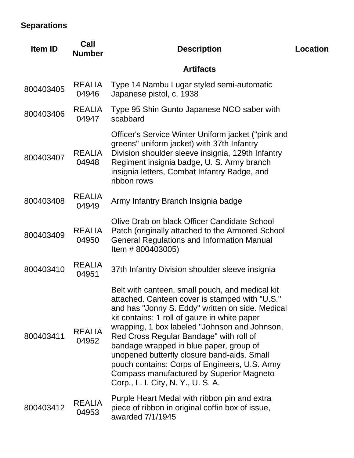# **Separations**

| <b>Item ID</b> | Call<br><b>Number</b>  | <b>Description</b>                                                                                                                                                                                                                                                                                                                                                                                                                                                                                                             | <b>Location</b> |
|----------------|------------------------|--------------------------------------------------------------------------------------------------------------------------------------------------------------------------------------------------------------------------------------------------------------------------------------------------------------------------------------------------------------------------------------------------------------------------------------------------------------------------------------------------------------------------------|-----------------|
|                |                        | <b>Artifacts</b>                                                                                                                                                                                                                                                                                                                                                                                                                                                                                                               |                 |
| 800403405      | <b>REALIA</b><br>04946 | Type 14 Nambu Lugar styled semi-automatic<br>Japanese pistol, c. 1938                                                                                                                                                                                                                                                                                                                                                                                                                                                          |                 |
| 800403406      | <b>REALIA</b><br>04947 | Type 95 Shin Gunto Japanese NCO saber with<br>scabbard                                                                                                                                                                                                                                                                                                                                                                                                                                                                         |                 |
| 800403407      | <b>REALIA</b><br>04948 | Officer's Service Winter Uniform jacket ("pink and<br>greens" uniform jacket) with 37th Infantry<br>Division shoulder sleeve insignia, 129th Infantry<br>Regiment insignia badge, U. S. Army branch<br>insignia letters, Combat Infantry Badge, and<br>ribbon rows                                                                                                                                                                                                                                                             |                 |
| 800403408      | <b>REALIA</b><br>04949 | Army Infantry Branch Insignia badge                                                                                                                                                                                                                                                                                                                                                                                                                                                                                            |                 |
| 800403409      | <b>REALIA</b><br>04950 | Olive Drab on black Officer Candidate School<br>Patch (originally attached to the Armored School<br><b>General Regulations and Information Manual</b><br>Item # 800403005)                                                                                                                                                                                                                                                                                                                                                     |                 |
| 800403410      | <b>REALIA</b><br>04951 | 37th Infantry Division shoulder sleeve insignia                                                                                                                                                                                                                                                                                                                                                                                                                                                                                |                 |
| 800403411      | <b>REALIA</b><br>04952 | Belt with canteen, small pouch, and medical kit<br>attached. Canteen cover is stamped with "U.S."<br>and has "Jonny S. Eddy" written on side. Medical<br>kit contains: 1 roll of gauze in white paper<br>wrapping, 1 box labeled "Johnson and Johnson,<br>Red Cross Regular Bandage" with roll of<br>bandage wrapped in blue paper, group of<br>unopened butterfly closure band-aids. Small<br>pouch contains: Corps of Engineers, U.S. Army<br>Compass manufactured by Superior Magneto<br>Corp., L. I. City, N. Y., U. S. A. |                 |
| 800403412      | <b>REALIA</b><br>04953 | Purple Heart Medal with ribbon pin and extra<br>piece of ribbon in original coffin box of issue,<br>awarded 7/1/1945                                                                                                                                                                                                                                                                                                                                                                                                           |                 |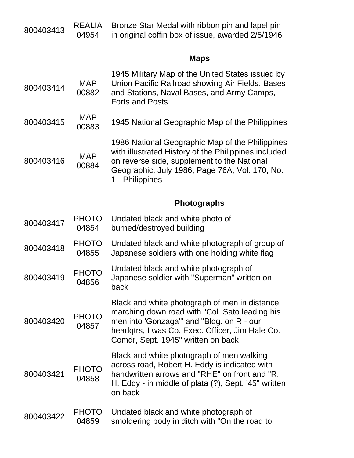| 800403413 | <b>REALIA</b><br>Bronze Star Medal with ribbon pin and lapel pin<br>04954<br>in original coffin box of issue, awarded 2/5/1946 |                                                                                                                                                                                                                                       |
|-----------|--------------------------------------------------------------------------------------------------------------------------------|---------------------------------------------------------------------------------------------------------------------------------------------------------------------------------------------------------------------------------------|
|           |                                                                                                                                | <b>Maps</b>                                                                                                                                                                                                                           |
| 800403414 | <b>MAP</b><br>00882                                                                                                            | 1945 Military Map of the United States issued by<br>Union Pacific Railroad showing Air Fields, Bases<br>and Stations, Naval Bases, and Army Camps,<br><b>Forts and Posts</b>                                                          |
| 800403415 | <b>MAP</b><br>00883                                                                                                            | 1945 National Geographic Map of the Philippines                                                                                                                                                                                       |
| 800403416 | <b>MAP</b><br>00884                                                                                                            | 1986 National Geographic Map of the Philippines<br>with illustrated History of the Philippines included<br>on reverse side, supplement to the National<br>Geographic, July 1986, Page 76A, Vol. 170, No.<br>1 - Philippines           |
|           |                                                                                                                                | <b>Photographs</b>                                                                                                                                                                                                                    |
| 800403417 | <b>PHOTO</b><br>04854                                                                                                          | Undated black and white photo of<br>burned/destroyed building                                                                                                                                                                         |
| 800403418 | <b>PHOTO</b><br>04855                                                                                                          | Undated black and white photograph of group of<br>Japanese soldiers with one holding white flag                                                                                                                                       |
| 800403419 | <b>PHOTO</b><br>04856                                                                                                          | Undated black and white photograph of<br>Japanese soldier with "Superman" written on<br>back                                                                                                                                          |
| 800403420 | <b>PHOTO</b><br>04857                                                                                                          | Black and white photograph of men in distance<br>marching down road with "Col. Sato leading his<br>men into 'Gonzaga'" and "Bldg. on R - our<br>headgtrs, I was Co. Exec. Officer, Jim Hale Co.<br>Comdr, Sept. 1945" written on back |
| 800403421 | <b>PHOTO</b><br>04858                                                                                                          | Black and white photograph of men walking<br>across road, Robert H. Eddy is indicated with<br>handwritten arrows and "RHE" on front and "R.<br>H. Eddy - in middle of plata (?), Sept. '45" written<br>on back                        |
| 800403422 | <b>PHOTO</b><br>04859                                                                                                          | Undated black and white photograph of<br>smoldering body in ditch with "On the road to                                                                                                                                                |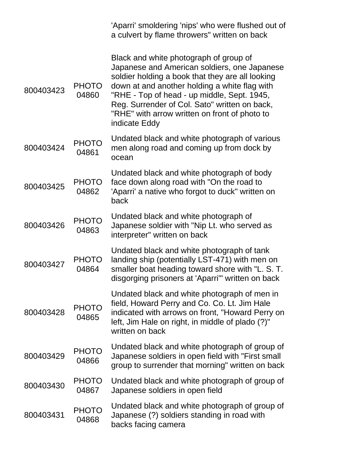|           |                       | 'Aparri' smoldering 'nips' who were flushed out of<br>a culvert by flame throwers" written on back                                                                                                                                                                                                                                                            |
|-----------|-----------------------|---------------------------------------------------------------------------------------------------------------------------------------------------------------------------------------------------------------------------------------------------------------------------------------------------------------------------------------------------------------|
| 800403423 | <b>PHOTO</b><br>04860 | Black and white photograph of group of<br>Japanese and American soldiers, one Japanese<br>soldier holding a book that they are all looking<br>down at and another holding a white flag with<br>"RHE - Top of head - up middle, Sept. 1945,<br>Reg. Surrender of Col. Sato" written on back,<br>"RHE" with arrow written on front of photo to<br>indicate Eddy |
| 800403424 | <b>PHOTO</b><br>04861 | Undated black and white photograph of various<br>men along road and coming up from dock by<br>ocean                                                                                                                                                                                                                                                           |
| 800403425 | <b>PHOTO</b><br>04862 | Undated black and white photograph of body<br>face down along road with "On the road to<br>'Aparri' a native who forgot to duck" written on<br>back                                                                                                                                                                                                           |
| 800403426 | <b>PHOTO</b><br>04863 | Undated black and white photograph of<br>Japanese soldier with "Nip Lt. who served as<br>interpreter" written on back                                                                                                                                                                                                                                         |
| 800403427 | <b>PHOTO</b><br>04864 | Undated black and white photograph of tank<br>landing ship (potentially LST-471) with men on<br>smaller boat heading toward shore with "L. S. T.<br>disgorging prisoners at 'Aparri'" written on back                                                                                                                                                         |
| 800403428 | <b>PHOTO</b><br>04865 | Undated black and white photograph of men in<br>field, Howard Perry and Co. Co. Lt. Jim Hale<br>indicated with arrows on front, "Howard Perry on<br>left, Jim Hale on right, in middle of plado (?)"<br>written on back                                                                                                                                       |
| 800403429 | <b>PHOTO</b><br>04866 | Undated black and white photograph of group of<br>Japanese soldiers in open field with "First small<br>group to surrender that morning" written on back                                                                                                                                                                                                       |
| 800403430 | <b>PHOTO</b><br>04867 | Undated black and white photograph of group of<br>Japanese soldiers in open field                                                                                                                                                                                                                                                                             |
| 800403431 | <b>PHOTO</b><br>04868 | Undated black and white photograph of group of<br>Japanese (?) soldiers standing in road with<br>backs facing camera                                                                                                                                                                                                                                          |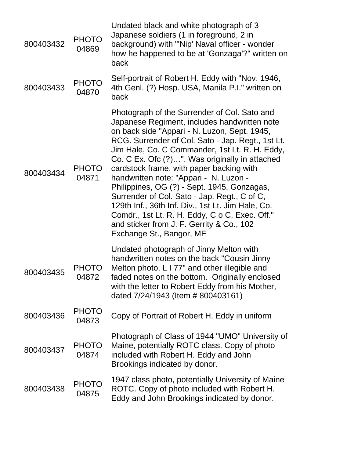| 800403432 | <b>PHOTO</b><br>04869 | Undated black and white photograph of 3<br>Japanese soldiers (1 in foreground, 2 in<br>background) with "'Nip' Naval officer - wonder<br>how he happened to be at 'Gonzaga'?" written on<br>back                                                                                                                                                                                                                                                                                                                                                                                                                                                                           |
|-----------|-----------------------|----------------------------------------------------------------------------------------------------------------------------------------------------------------------------------------------------------------------------------------------------------------------------------------------------------------------------------------------------------------------------------------------------------------------------------------------------------------------------------------------------------------------------------------------------------------------------------------------------------------------------------------------------------------------------|
| 800403433 | <b>PHOTO</b><br>04870 | Self-portrait of Robert H. Eddy with "Nov. 1946,<br>4th Genl. (?) Hosp. USA, Manila P.I." written on<br>back                                                                                                                                                                                                                                                                                                                                                                                                                                                                                                                                                               |
| 800403434 | <b>PHOTO</b><br>04871 | Photograph of the Surrender of Col. Sato and<br>Japanese Regiment, includes handwritten note<br>on back side "Appari - N. Luzon, Sept. 1945,<br>RCG. Surrender of Col. Sato - Jap. Regt., 1st Lt.<br>Jim Hale, Co. C Commander, 1st Lt. R. H. Eddy,<br>Co. C Ex. Ofc (?)". Was originally in attached<br>cardstock frame, with paper backing with<br>handwritten note: "Appari - N. Luzon -<br>Philippines, OG (?) - Sept. 1945, Gonzagas,<br>Surrender of Col. Sato - Jap. Regt., C of C,<br>129th Inf., 36th Inf. Div., 1st Lt. Jim Hale, Co.<br>Comdr., 1st Lt. R. H. Eddy, C o C, Exec. Off."<br>and sticker from J. F. Gerrity & Co., 102<br>Exchange St., Bangor, ME |
| 800403435 | <b>PHOTO</b><br>04872 | Undated photograph of Jinny Melton with<br>handwritten notes on the back "Cousin Jinny<br>Melton photo, L I 77" and other illegible and<br>faded notes on the bottom. Originally enclosed<br>with the letter to Robert Eddy from his Mother,<br>dated 7/24/1943 (Item # 800403161)                                                                                                                                                                                                                                                                                                                                                                                         |
| 800403436 | <b>PHOTO</b><br>04873 | Copy of Portrait of Robert H. Eddy in uniform                                                                                                                                                                                                                                                                                                                                                                                                                                                                                                                                                                                                                              |
| 800403437 | <b>PHOTO</b><br>04874 | Photograph of Class of 1944 "UMO" University of<br>Maine, potentially ROTC class. Copy of photo<br>included with Robert H. Eddy and John<br>Brookings indicated by donor.                                                                                                                                                                                                                                                                                                                                                                                                                                                                                                  |
| 800403438 | <b>PHOTO</b><br>04875 | 1947 class photo, potentially University of Maine<br>ROTC. Copy of photo included with Robert H.<br>Eddy and John Brookings indicated by donor.                                                                                                                                                                                                                                                                                                                                                                                                                                                                                                                            |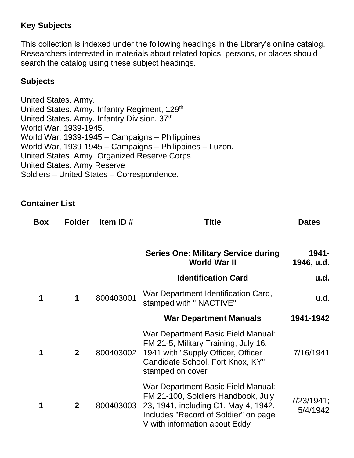#### **Key Subjects**

This collection is indexed under the following headings in the Library's online catalog. Researchers interested in materials about related topics, persons, or places should search the catalog using these subject headings.

#### **Subjects**

United States. Army. United States. Army. Infantry Regiment, 129<sup>th</sup> United States. Army. Infantry Division, 37<sup>th</sup> World War, 1939-1945. World War, 1939-1945 – Campaigns – Philippines World War, 1939-1945 – Campaigns – Philippines – Luzon. United States. Army. Organized Reserve Corps United States. Army Reserve Soldiers – United States – Correspondence.

#### **Container List**

| <b>Box</b> | <b>Folder</b>  | Item ID#  | Title                                                                                                                                                                                     | <b>Dates</b>           |
|------------|----------------|-----------|-------------------------------------------------------------------------------------------------------------------------------------------------------------------------------------------|------------------------|
|            |                |           | <b>Series One: Military Service during</b><br><b>World War II</b>                                                                                                                         | 1941-<br>1946, u.d.    |
|            |                |           | <b>Identification Card</b>                                                                                                                                                                | u.d.                   |
| 1          | $\mathbf 1$    | 800403001 | War Department Identification Card,<br>stamped with "INACTIVE"                                                                                                                            | u.d.                   |
|            |                |           | <b>War Department Manuals</b>                                                                                                                                                             | 1941-1942              |
| 1          | $\mathbf{2}$   | 800403002 | War Department Basic Field Manual:<br>FM 21-5, Military Training, July 16,<br>1941 with "Supply Officer, Officer<br>Candidate School, Fort Knox, KY"<br>stamped on cover                  | 7/16/1941              |
| 1          | $\overline{2}$ | 800403003 | War Department Basic Field Manual:<br>FM 21-100, Soldiers Handbook, July<br>23, 1941, including C1, May 4, 1942.<br>Includes "Record of Soldier" on page<br>V with information about Eddy | 7/23/1941;<br>5/4/1942 |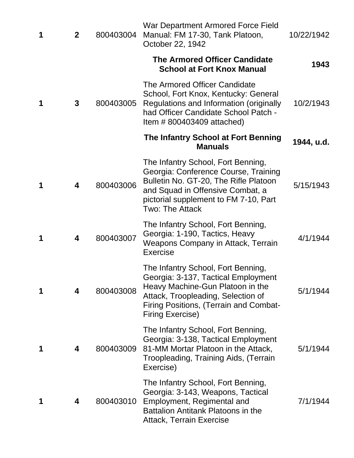| 1 | $\mathbf{2}$ | 800403004 | War Department Armored Force Field<br>Manual: FM 17-30, Tank Platoon,<br>October 22, 1942                                                                                                                                       | 10/22/1942 |
|---|--------------|-----------|---------------------------------------------------------------------------------------------------------------------------------------------------------------------------------------------------------------------------------|------------|
|   |              |           | <b>The Armored Officer Candidate</b><br><b>School at Fort Knox Manual</b>                                                                                                                                                       | 1943       |
| 1 | 3            | 800403005 | The Armored Officer Candidate<br>School, Fort Knox, Kentucky: General<br>Regulations and Information (originally<br>had Officer Candidate School Patch -<br>Item $\#$ 800403409 attached)                                       | 10/2/1943  |
|   |              |           | The Infantry School at Fort Benning<br><b>Manuals</b>                                                                                                                                                                           | 1944, u.d. |
| 1 | 4            | 800403006 | The Infantry School, Fort Benning,<br>Georgia: Conference Course, Training<br>Bulletin No. GT-20, The Rifle Platoon<br>and Squad in Offensive Combat, a<br>pictorial supplement to FM 7-10, Part<br><b>Two: The Attack</b>      | 5/15/1943  |
| 1 | 4            | 800403007 | The Infantry School, Fort Benning,<br>Georgia: 1-190, Tactics, Heavy<br>Weapons Company in Attack, Terrain<br><b>Exercise</b>                                                                                                   | 4/1/1944   |
| 1 | 4            | 800403008 | The Infantry School, Fort Benning,<br>Georgia: 3-137, Tactical Employment<br>Heavy Machine-Gun Platoon in the<br>Attack, Troopleading, Selection of<br><b>Firing Positions, (Terrain and Combat-</b><br><b>Firing Exercise)</b> | 5/1/1944   |
| 1 | 4            | 800403009 | The Infantry School, Fort Benning,<br>Georgia: 3-138, Tactical Employment<br>81-MM Mortar Platoon in the Attack,<br>Troopleading, Training Aids, (Terrain<br>Exercise)                                                          | 5/1/1944   |
| 1 | 4            | 800403010 | The Infantry School, Fort Benning,<br>Georgia: 3-143, Weapons, Tactical<br>Employment, Regimental and<br><b>Battalion Antitank Platoons in the</b><br><b>Attack, Terrain Exercise</b>                                           | 7/1/1944   |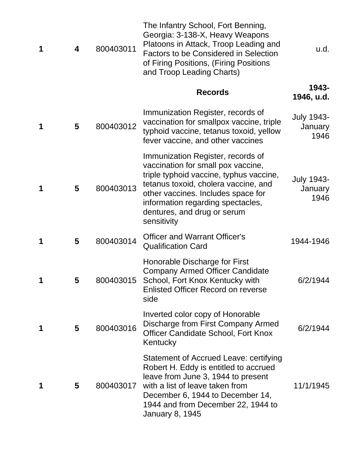| 1 | 4 | 800403011 | The Infantry School, Fort Benning,<br>Georgia: 3-138-X, Heavy Weapons<br>Platoons in Attack, Troop Leading and<br><b>Factors to be Considered in Selection</b><br>of Firing Positions, (Firing Positions<br>and Troop Leading Charts)                                               | u.d.                                 |
|---|---|-----------|-------------------------------------------------------------------------------------------------------------------------------------------------------------------------------------------------------------------------------------------------------------------------------------|--------------------------------------|
|   |   |           | <b>Records</b>                                                                                                                                                                                                                                                                      | 1943-<br>1946, u.d.                  |
| 1 | 5 | 800403012 | Immunization Register, records of<br>vaccination for smallpox vaccine, triple<br>typhoid vaccine, tetanus toxoid, yellow<br>fever vaccine, and other vaccines                                                                                                                       | <b>July 1943-</b><br>January<br>1946 |
| 1 | 5 | 800403013 | Immunization Register, records of<br>vaccination for small pox vaccine,<br>triple typhoid vaccine, typhus vaccine,<br>tetanus toxoid, cholera vaccine, and<br>other vaccines. Includes space for<br>information regarding spectacles,<br>dentures, and drug or serum<br>sensitivity | <b>July 1943-</b><br>January<br>1946 |
| 1 | 5 | 800403014 | <b>Officer and Warrant Officer's</b><br><b>Qualification Card</b>                                                                                                                                                                                                                   | 1944-1946                            |
| 1 | 5 |           | Honorable Discharge for First<br><b>Company Armed Officer Candidate</b><br>800403015 School, Fort Knox Kentucky with<br><b>Enlisted Officer Record on reverse</b><br>side                                                                                                           | 6/2/1944                             |
| 1 | 5 | 800403016 | Inverted color copy of Honorable<br>Discharge from First Company Armed<br><b>Officer Candidate School, Fort Knox</b><br>Kentucky                                                                                                                                                    | 6/2/1944                             |
| 1 | 5 | 800403017 | Statement of Accrued Leave: certifying<br>Robert H. Eddy is entitled to accrued<br>leave from June 3, 1944 to present<br>with a list of leave taken from<br>December 6, 1944 to December 14,<br>1944 and from December 22, 1944 to<br>January 8, 1945                               | 11/1/1945                            |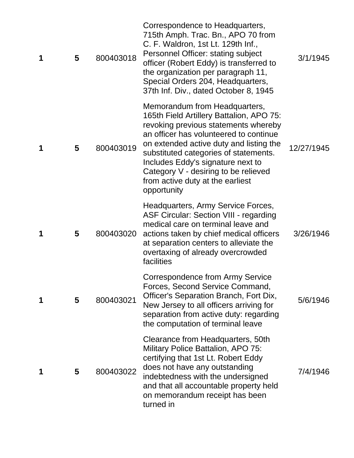| 1 | 5 | 800403018 | Correspondence to Headquarters,<br>715th Amph. Trac. Bn., APO 70 from<br>C. F. Waldron, 1st Lt. 129th Inf.,<br>Personnel Officer: stating subject<br>officer (Robert Eddy) is transferred to<br>the organization per paragraph 11,<br>Special Orders 204, Headquarters,<br>37th Inf. Div., dated October 8, 1945                                                                | 3/1/1945   |
|---|---|-----------|---------------------------------------------------------------------------------------------------------------------------------------------------------------------------------------------------------------------------------------------------------------------------------------------------------------------------------------------------------------------------------|------------|
| 1 | 5 | 800403019 | Memorandum from Headquarters,<br>165th Field Artillery Battalion, APO 75:<br>revoking previous statements whereby<br>an officer has volunteered to continue<br>on extended active duty and listing the<br>substituted categories of statements.<br>Includes Eddy's signature next to<br>Category V - desiring to be relieved<br>from active duty at the earliest<br>opportunity | 12/27/1945 |
| 1 | 5 | 800403020 | Headquarters, Army Service Forces,<br><b>ASF Circular: Section VIII - regarding</b><br>medical care on terminal leave and<br>actions taken by chief medical officers<br>at separation centers to alleviate the<br>overtaxing of already overcrowded<br>facilities                                                                                                               | 3/26/1946  |
| 1 | 5 | 800403021 | Correspondence from Army Service<br>Forces, Second Service Command,<br>Officer's Separation Branch, Fort Dix,<br>New Jersey to all officers arriving for<br>separation from active duty: regarding<br>the computation of terminal leave                                                                                                                                         | 5/6/1946   |
| 1 | 5 | 800403022 | Clearance from Headquarters, 50th<br>Military Police Battalion, APO 75:<br>certifying that 1st Lt. Robert Eddy<br>does not have any outstanding<br>indebtedness with the undersigned<br>and that all accountable property held<br>on memorandum receipt has been<br>turned in                                                                                                   | 7/4/1946   |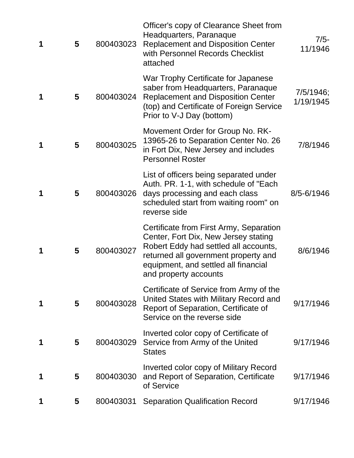| 1 | 5 | 800403023 | Officer's copy of Clearance Sheet from<br>Headquarters, Paranaque<br><b>Replacement and Disposition Center</b><br>with Personnel Records Checklist<br>attached                                                                    | $7/5-$<br>11/1946      |
|---|---|-----------|-----------------------------------------------------------------------------------------------------------------------------------------------------------------------------------------------------------------------------------|------------------------|
| 1 | 5 | 800403024 | War Trophy Certificate for Japanese<br>saber from Headquarters, Paranaque<br><b>Replacement and Disposition Center</b><br>(top) and Certificate of Foreign Service<br>Prior to V-J Day (bottom)                                   | 7/5/1946;<br>1/19/1945 |
| 1 | 5 | 800403025 | Movement Order for Group No. RK-<br>13965-26 to Separation Center No. 26<br>in Fort Dix, New Jersey and includes<br><b>Personnel Roster</b>                                                                                       | 7/8/1946               |
| 1 | 5 | 800403026 | List of officers being separated under<br>Auth. PR. 1-1, with schedule of "Each<br>days processing and each class<br>scheduled start from waiting room" on<br>reverse side                                                        | 8/5-6/1946             |
| 1 | 5 | 800403027 | Certificate from First Army, Separation<br>Center, Fort Dix, New Jersey stating<br>Robert Eddy had settled all accounts,<br>returned all government property and<br>equipment, and settled all financial<br>and property accounts | 8/6/1946               |
| 1 | 5 | 800403028 | Certificate of Service from Army of the<br>United States with Military Record and<br>Report of Separation, Certificate of<br>Service on the reverse side                                                                          | 9/17/1946              |
| 1 | 5 | 800403029 | Inverted color copy of Certificate of<br>Service from Army of the United<br><b>States</b>                                                                                                                                         | 9/17/1946              |
|   | 5 | 800403030 | Inverted color copy of Military Record<br>and Report of Separation, Certificate<br>of Service                                                                                                                                     | 9/17/1946              |
|   | 5 | 800403031 | <b>Separation Qualification Record</b>                                                                                                                                                                                            | 9/17/1946              |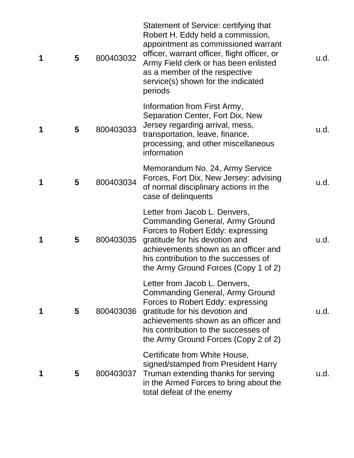| 1 | 5 | 800403032 | Statement of Service: certifying that<br>Robert H. Eddy held a commission,<br>appointment as commissioned warrant<br>officer, warrant officer, flight officer, or<br>Army Field clerk or has been enlisted<br>as a member of the respective<br>service(s) shown for the indicated<br>periods | u.d. |
|---|---|-----------|----------------------------------------------------------------------------------------------------------------------------------------------------------------------------------------------------------------------------------------------------------------------------------------------|------|
| 1 | 5 | 800403033 | Information from First Army,<br>Separation Center, Fort Dix, New<br>Jersey regarding arrival, mess,<br>transportation, leave, finance,<br>processing, and other miscellaneous<br>information                                                                                                 | u.d. |
| 1 | 5 | 800403034 | Memorandum No. 24, Army Service<br>Forces, Fort Dix, New Jersey: advising<br>of normal disciplinary actions in the<br>case of delinquents                                                                                                                                                    | u.d. |
| 1 | 5 | 800403035 | Letter from Jacob L. Denvers,<br><b>Commanding General, Army Ground</b><br>Forces to Robert Eddy: expressing<br>gratitude for his devotion and<br>achievements shown as an officer and<br>his contribution to the successes of<br>the Army Ground Forces (Copy 1 of 2)                       | u.d. |
| 1 | 5 | 800403036 | Letter from Jacob L. Denvers,<br>Commanding General, Army Ground<br>Forces to Robert Eddy: expressing<br>gratitude for his devotion and<br>achievements shown as an officer and<br>his contribution to the successes of<br>the Army Ground Forces (Copy 2 of 2)                              | u.d. |
| 1 | 5 | 800403037 | Certificate from White House,<br>signed/stamped from President Harry<br>Truman extending thanks for serving<br>in the Armed Forces to bring about the<br>total defeat of the enemy                                                                                                           | u.d. |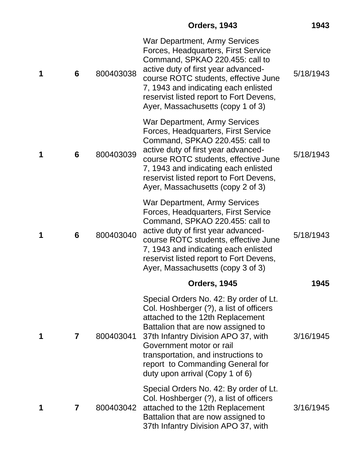| 1 | 6 | 800403038 | <b>War Department, Army Services</b><br>Forces, Headquarters, First Service<br>Command, SPKAO 220.455: call to<br>active duty of first year advanced-<br>course ROTC students, effective June<br>7, 1943 and indicating each enlisted<br>reservist listed report to Fort Devens,<br>Ayer, Massachusetts (copy 1 of 3)                        | 5/18/1943 |
|---|---|-----------|----------------------------------------------------------------------------------------------------------------------------------------------------------------------------------------------------------------------------------------------------------------------------------------------------------------------------------------------|-----------|
| 1 | 6 | 800403039 | War Department, Army Services<br>Forces, Headquarters, First Service<br>Command, SPKAO 220.455: call to<br>active duty of first year advanced-<br>course ROTC students, effective June<br>7, 1943 and indicating each enlisted<br>reservist listed report to Fort Devens,<br>Ayer, Massachusetts (copy 2 of 3)                               | 5/18/1943 |
| 1 | 6 | 800403040 | <b>War Department, Army Services</b><br>Forces, Headquarters, First Service<br>Command, SPKAO 220.455: call to<br>active duty of first year advanced-<br>course ROTC students, effective June<br>7, 1943 and indicating each enlisted<br>reservist listed report to Fort Devens,<br>Ayer, Massachusetts (copy 3 of 3)                        | 5/18/1943 |
|   |   |           | <b>Orders, 1945</b>                                                                                                                                                                                                                                                                                                                          | 1945      |
| 1 | 7 | 800403041 | Special Orders No. 42: By order of Lt.<br>Col. Hoshberger (?), a list of officers<br>attached to the 12th Replacement<br>Battalion that are now assigned to<br>37th Infantry Division APO 37, with<br>Government motor or rail<br>transportation, and instructions to<br>report to Commanding General for<br>duty upon arrival (Copy 1 of 6) | 3/16/1945 |
| 1 | 7 | 800403042 | Special Orders No. 42: By order of Lt.<br>Col. Hoshberger (?), a list of officers<br>attached to the 12th Replacement<br>Battalion that are now assigned to<br>37th Infantry Division APO 37, with                                                                                                                                           | 3/16/1945 |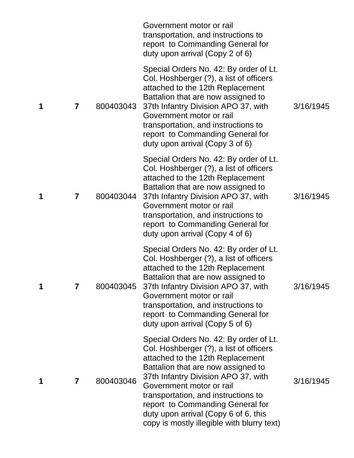|   |                         |           | Government motor or rail<br>transportation, and instructions to<br>report to Commanding General for<br>duty upon arrival (Copy 2 of 6)                                                                                                                                                                                                                                                          |           |
|---|-------------------------|-----------|-------------------------------------------------------------------------------------------------------------------------------------------------------------------------------------------------------------------------------------------------------------------------------------------------------------------------------------------------------------------------------------------------|-----------|
| 1 | $\overline{\mathbf{7}}$ | 800403043 | Special Orders No. 42: By order of Lt.<br>Col. Hoshberger (?), a list of officers<br>attached to the 12th Replacement<br>Battalion that are now assigned to<br>37th Infantry Division APO 37, with<br>Government motor or rail<br>transportation, and instructions to<br>report to Commanding General for<br>duty upon arrival (Copy 3 of 6)                                                    | 3/16/1945 |
| 1 | $\overline{\mathbf{7}}$ | 800403044 | Special Orders No. 42: By order of Lt.<br>Col. Hoshberger (?), a list of officers<br>attached to the 12th Replacement<br>Battalion that are now assigned to<br>37th Infantry Division APO 37, with<br>Government motor or rail<br>transportation, and instructions to<br>report to Commanding General for<br>duty upon arrival (Copy 4 of 6)                                                    | 3/16/1945 |
| 1 | 7                       |           | Special Orders No. 42: By order of Lt.<br>Col. Hoshberger (?), a list of officers<br>attached to the 12th Replacement<br>Battalion that are now assigned to<br>800403045 37th Infantry Division APO 37, with<br>Government motor or rail<br>transportation, and instructions to<br>report to Commanding General for<br>duty upon arrival (Copy 5 of 6)                                          | 3/16/1945 |
| 1 | 7                       | 800403046 | Special Orders No. 42: By order of Lt.<br>Col. Hoshberger (?), a list of officers<br>attached to the 12th Replacement<br>Battalion that are now assigned to<br>37th Infantry Division APO 37, with<br>Government motor or rail<br>transportation, and instructions to<br>report to Commanding General for<br>duty upon arrival (Copy 6 of 6, this<br>copy is mostly illegible with blurry text) | 3/16/1945 |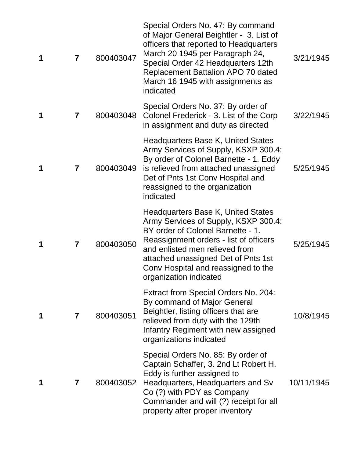| 1 | $\overline{7}$ | 800403047 | Special Orders No. 47: By command<br>of Major General Beightler - 3. List of<br>officers that reported to Headquarters<br>March 20 1945 per Paragraph 24,<br>Special Order 42 Headquarters 12th<br>Replacement Battalion APO 70 dated<br>March 16 1945 with assignments as<br>indicated             | 3/21/1945  |
|---|----------------|-----------|-----------------------------------------------------------------------------------------------------------------------------------------------------------------------------------------------------------------------------------------------------------------------------------------------------|------------|
| 1 | 7              | 800403048 | Special Orders No. 37: By order of<br>Colonel Frederick - 3. List of the Corp<br>in assignment and duty as directed                                                                                                                                                                                 | 3/22/1945  |
| 1 | 7              | 800403049 | Headquarters Base K, United States<br>Army Services of Supply, KSXP 300.4:<br>By order of Colonel Barnette - 1. Eddy<br>is relieved from attached unassigned<br>Det of Pnts 1st Conv Hospital and<br>reassigned to the organization<br>indicated                                                    | 5/25/1945  |
| 1 | 7              | 800403050 | Headquarters Base K, United States<br>Army Services of Supply, KSXP 300.4:<br>BY order of Colonel Barnette - 1.<br>Reassignment orders - list of officers<br>and enlisted men relieved from<br>attached unassigned Det of Pnts 1st<br>Conv Hospital and reassigned to the<br>organization indicated | 5/25/1945  |
| 1 | 7              | 800403051 | <b>Extract from Special Orders No. 204:</b><br>By command of Major General<br>Beightler, listing officers that are<br>relieved from duty with the 129th<br>Infantry Regiment with new assigned<br>organizations indicated                                                                           | 10/8/1945  |
|   | 7              | 800403052 | Special Orders No. 85: By order of<br>Captain Schaffer, 3. 2nd Lt Robert H.<br>Eddy is further assigned to<br>Headquarters, Headquarters and Sv<br>Co (?) with PDY as Company<br>Commander and will (?) receipt for all<br>property after proper inventory                                          | 10/11/1945 |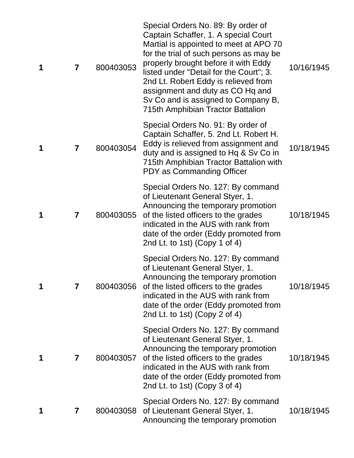| 1 | $\overline{7}$          | 800403053 | Special Orders No. 89: By order of<br>Captain Schaffer, 1. A special Court<br>Martial is appointed to meet at APO 70<br>for the trial of such persons as may be<br>properly brought before it with Eddy<br>listed under "Detail for the Court"; 3.<br>2nd Lt. Robert Eddy is relieved from<br>assignment and duty as CO Hq and<br>Sv Co and is assigned to Company B,<br>715th Amphibian Tractor Battalion | 10/16/1945 |
|---|-------------------------|-----------|------------------------------------------------------------------------------------------------------------------------------------------------------------------------------------------------------------------------------------------------------------------------------------------------------------------------------------------------------------------------------------------------------------|------------|
| 1 | 7                       | 800403054 | Special Orders No. 91: By order of<br>Captain Schaffer, 5. 2nd Lt. Robert H.<br>Eddy is relieved from assignment and<br>duty and is assigned to Hq & Sv Co in<br>715th Amphibian Tractor Battalion with<br>PDY as Commanding Officer                                                                                                                                                                       | 10/18/1945 |
| 1 | $\overline{\mathbf{7}}$ | 800403055 | Special Orders No. 127: By command<br>of Lieutenant General Styer, 1.<br>Announcing the temporary promotion<br>of the listed officers to the grades<br>indicated in the AUS with rank from<br>date of the order (Eddy promoted from<br>2nd Lt. to 1st) (Copy 1 of 4)                                                                                                                                       | 10/18/1945 |
| 1 | 7                       |           | Special Orders No. 127: By command<br>of Lieutenant General Styer, 1.<br>Announcing the temporary promotion<br>800403056 of the listed officers to the grades<br>indicated in the AUS with rank from<br>date of the order (Eddy promoted from<br>2nd Lt. to 1st) (Copy 2 of 4)                                                                                                                             | 10/18/1945 |
| 1 | 7                       | 800403057 | Special Orders No. 127: By command<br>of Lieutenant General Styer, 1.<br>Announcing the temporary promotion<br>of the listed officers to the grades<br>indicated in the AUS with rank from<br>date of the order (Eddy promoted from<br>2nd Lt. to 1st) (Copy 3 of 4)                                                                                                                                       | 10/18/1945 |
| 1 | 7                       | 800403058 | Special Orders No. 127: By command<br>of Lieutenant General Styer, 1.<br>Announcing the temporary promotion                                                                                                                                                                                                                                                                                                | 10/18/1945 |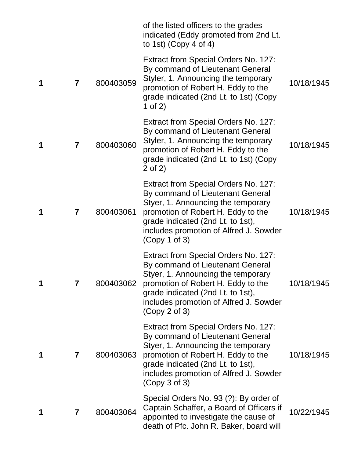|   |   |           | of the listed officers to the grades<br>indicated (Eddy promoted from 2nd Lt.<br>to 1st) (Copy 4 of 4)                                                                                                                                               |            |
|---|---|-----------|------------------------------------------------------------------------------------------------------------------------------------------------------------------------------------------------------------------------------------------------------|------------|
| 1 | 7 | 800403059 | Extract from Special Orders No. 127:<br>By command of Lieutenant General<br>Styler, 1. Announcing the temporary<br>promotion of Robert H. Eddy to the<br>grade indicated (2nd Lt. to 1st) (Copy<br>1 of $2)$                                         | 10/18/1945 |
| 1 | 7 | 800403060 | Extract from Special Orders No. 127:<br>By command of Lieutenant General<br>Styler, 1. Announcing the temporary<br>promotion of Robert H. Eddy to the<br>grade indicated (2nd Lt. to 1st) (Copy<br>$2$ of $2)$                                       | 10/18/1945 |
| 1 | 7 | 800403061 | Extract from Special Orders No. 127:<br>By command of Lieutenant General<br>Styer, 1. Announcing the temporary<br>promotion of Robert H. Eddy to the<br>grade indicated (2nd Lt. to 1st),<br>includes promotion of Alfred J. Sowder<br>(Copy 1 of 3) | 10/18/1945 |
| 1 | 7 | 800403062 | Extract from Special Orders No. 127:<br>By command of Lieutenant General<br>Styer, 1. Announcing the temporary<br>promotion of Robert H. Eddy to the<br>grade indicated (2nd Lt. to 1st),<br>includes promotion of Alfred J. Sowder<br>(Copy 2 of 3) | 10/18/1945 |
| 1 | 7 | 800403063 | Extract from Special Orders No. 127:<br>By command of Lieutenant General<br>Styer, 1. Announcing the temporary<br>promotion of Robert H. Eddy to the<br>grade indicated (2nd Lt. to 1st),<br>includes promotion of Alfred J. Sowder<br>(Copy 3 of 3) | 10/18/1945 |
| 1 | 7 | 800403064 | Special Orders No. 93 (?): By order of<br>Captain Schaffer, a Board of Officers if<br>appointed to investigate the cause of<br>death of Pfc. John R. Baker, board will                                                                               | 10/22/1945 |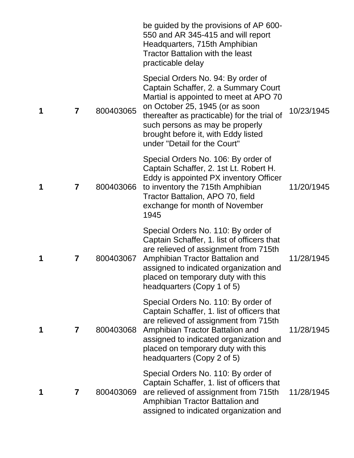|   |   |           | be guided by the provisions of AP 600-<br>550 and AR 345-415 and will report<br>Headquarters, 715th Amphibian<br><b>Tractor Battalion with the least</b><br>practicable delay                                                                                                                                    |            |
|---|---|-----------|------------------------------------------------------------------------------------------------------------------------------------------------------------------------------------------------------------------------------------------------------------------------------------------------------------------|------------|
| 1 | 7 | 800403065 | Special Orders No. 94: By order of<br>Captain Schaffer, 2. a Summary Court<br>Martial is appointed to meet at APO 70<br>on October 25, 1945 (or as soon<br>thereafter as practicable) for the trial of<br>such persons as may be properly<br>brought before it, with Eddy listed<br>under "Detail for the Court" | 10/23/1945 |
| 1 | 7 | 800403066 | Special Orders No. 106: By order of<br>Captain Schaffer, 2. 1st Lt. Robert H.<br>Eddy is appointed PX inventory Officer<br>to inventory the 715th Amphibian<br>Tractor Battalion, APO 70, field<br>exchange for month of November<br>1945                                                                        | 11/20/1945 |
| 1 | 7 | 800403067 | Special Orders No. 110: By order of<br>Captain Schaffer, 1. list of officers that<br>are relieved of assignment from 715th<br>Amphibian Tractor Battalion and<br>assigned to indicated organization and<br>placed on temporary duty with this<br>headquarters (Copy 1 of 5)                                      | 11/28/1945 |
| 1 | 7 | 800403068 | Special Orders No. 110: By order of<br>Captain Schaffer, 1. list of officers that<br>are relieved of assignment from 715th<br>Amphibian Tractor Battalion and<br>assigned to indicated organization and<br>placed on temporary duty with this<br>headquarters (Copy 2 of 5)                                      | 11/28/1945 |
| 1 | 7 | 800403069 | Special Orders No. 110: By order of<br>Captain Schaffer, 1. list of officers that<br>are relieved of assignment from 715th<br>Amphibian Tractor Battalion and<br>assigned to indicated organization and                                                                                                          | 11/28/1945 |
|   |   |           |                                                                                                                                                                                                                                                                                                                  |            |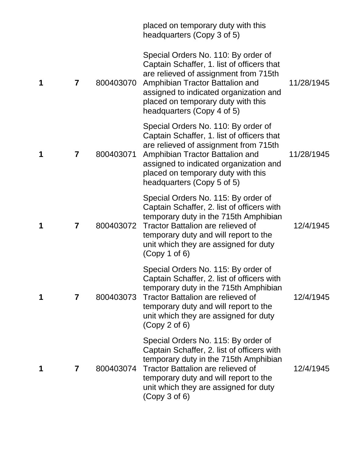|   |   |           | placed on temporary duty with this<br>headquarters (Copy 3 of 5)                                                                                                                                                                                                            |            |
|---|---|-----------|-----------------------------------------------------------------------------------------------------------------------------------------------------------------------------------------------------------------------------------------------------------------------------|------------|
| 1 | 7 | 800403070 | Special Orders No. 110: By order of<br>Captain Schaffer, 1. list of officers that<br>are relieved of assignment from 715th<br>Amphibian Tractor Battalion and<br>assigned to indicated organization and<br>placed on temporary duty with this<br>headquarters (Copy 4 of 5) | 11/28/1945 |
| 1 | 7 | 800403071 | Special Orders No. 110: By order of<br>Captain Schaffer, 1. list of officers that<br>are relieved of assignment from 715th<br>Amphibian Tractor Battalion and<br>assigned to indicated organization and<br>placed on temporary duty with this<br>headquarters (Copy 5 of 5) | 11/28/1945 |
| 1 | 7 | 800403072 | Special Orders No. 115: By order of<br>Captain Schaffer, 2. list of officers with<br>temporary duty in the 715th Amphibian<br>Tractor Battalion are relieved of<br>temporary duty and will report to the<br>unit which they are assigned for duty<br>(Copy 1 of 6)          | 12/4/1945  |
| 1 | 7 | 800403073 | Special Orders No. 115: By order of<br>Captain Schaffer, 2. list of officers with<br>temporary duty in the 715th Amphibian<br><b>Tractor Battalion are relieved of</b><br>temporary duty and will report to the<br>unit which they are assigned for duty<br>(Copy 2 of 6)   | 12/4/1945  |
| 1 | 7 | 800403074 | Special Orders No. 115: By order of<br>Captain Schaffer, 2. list of officers with<br>temporary duty in the 715th Amphibian<br><b>Tractor Battalion are relieved of</b><br>temporary duty and will report to the<br>unit which they are assigned for duty<br>(Copy 3 of 6)   | 12/4/1945  |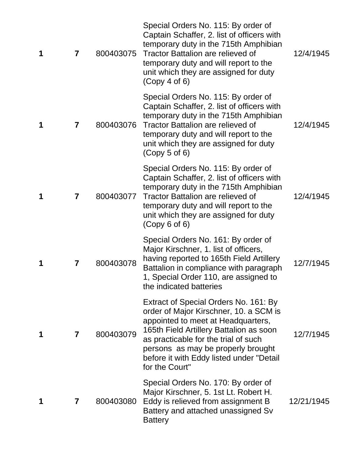| 1 | 7                       | 800403075 | Special Orders No. 115: By order of<br>Captain Schaffer, 2. list of officers with<br>temporary duty in the 715th Amphibian<br>Tractor Battalion are relieved of<br>temporary duty and will report to the<br>unit which they are assigned for duty<br>(Copy 4 of 6)                                           | 12/4/1945  |
|---|-------------------------|-----------|--------------------------------------------------------------------------------------------------------------------------------------------------------------------------------------------------------------------------------------------------------------------------------------------------------------|------------|
| 1 | $\overline{\mathbf{7}}$ | 800403076 | Special Orders No. 115: By order of<br>Captain Schaffer, 2. list of officers with<br>temporary duty in the 715th Amphibian<br><b>Tractor Battalion are relieved of</b><br>temporary duty and will report to the<br>unit which they are assigned for duty<br>(Copy 5 of 6)                                    | 12/4/1945  |
| 1 | 7                       | 800403077 | Special Orders No. 115: By order of<br>Captain Schaffer, 2. list of officers with<br>temporary duty in the 715th Amphibian<br><b>Tractor Battalion are relieved of</b><br>temporary duty and will report to the<br>unit which they are assigned for duty<br>(Copy 6 of 6)                                    | 12/4/1945  |
| 1 | 7                       | 800403078 | Special Orders No. 161: By order of<br>Major Kirschner, 1. list of officers,<br>having reported to 165th Field Artillery<br>Battalion in compliance with paragraph<br>1, Special Order 110, are assigned to<br>the indicated batteries                                                                       | 12/7/1945  |
|   | 7                       | 800403079 | Extract of Special Orders No. 161: By<br>order of Major Kirschner, 10. a SCM is<br>appointed to meet at Headquarters,<br>165th Field Artillery Battalion as soon<br>as practicable for the trial of such<br>persons as may be properly brought<br>before it with Eddy listed under "Detail<br>for the Court" | 12/7/1945  |
|   | 7                       | 800403080 | Special Orders No. 170: By order of<br>Major Kirschner, 5. 1st Lt. Robert H.<br>Eddy is relieved from assignment B<br>Battery and attached unassigned Sv<br><b>Battery</b>                                                                                                                                   | 12/21/1945 |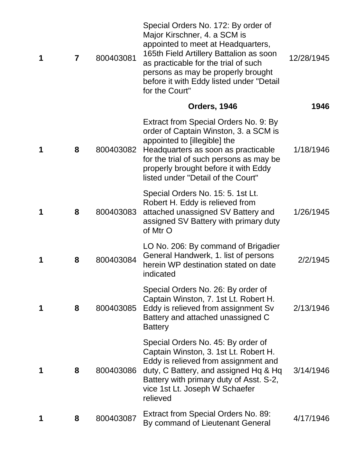| 1 | $\overline{\mathbf{7}}$ | 800403081 | Special Orders No. 172: By order of<br>Major Kirschner, 4. a SCM is<br>appointed to meet at Headquarters,<br>165th Field Artillery Battalion as soon<br>as practicable for the trial of such<br>persons as may be properly brought<br>before it with Eddy listed under "Detail<br>for the Court" | 12/28/1945 |
|---|-------------------------|-----------|--------------------------------------------------------------------------------------------------------------------------------------------------------------------------------------------------------------------------------------------------------------------------------------------------|------------|
|   |                         |           | <b>Orders, 1946</b>                                                                                                                                                                                                                                                                              | 1946       |
| 1 | 8                       | 800403082 | Extract from Special Orders No. 9: By<br>order of Captain Winston, 3. a SCM is<br>appointed to [illegible] the<br>Headquarters as soon as practicable<br>for the trial of such persons as may be<br>properly brought before it with Eddy<br>listed under "Detail of the Court"                   | 1/18/1946  |
|   | 8                       | 800403083 | Special Orders No. 15: 5. 1st Lt.<br>Robert H. Eddy is relieved from<br>attached unassigned SV Battery and<br>assigned SV Battery with primary duty<br>of Mtr O                                                                                                                                  | 1/26/1945  |
| 1 | 8                       | 800403084 | LO No. 206: By command of Brigadier<br>General Handwerk, 1. list of persons<br>herein WP destination stated on date<br>indicated                                                                                                                                                                 | 2/2/1945   |
| 1 | 8                       | 800403085 | Special Orders No. 26: By order of<br>Captain Winston, 7. 1st Lt. Robert H.<br>Eddy is relieved from assignment Sv<br>Battery and attached unassigned C<br><b>Battery</b>                                                                                                                        | 2/13/1946  |
|   | 8                       | 800403086 | Special Orders No. 45: By order of<br>Captain Winston, 3. 1st Lt. Robert H.<br>Eddy is relieved from assignment and<br>duty, C Battery, and assigned Hq & Hq<br>Battery with primary duty of Asst. S-2,<br>vice 1st Lt. Joseph W Schaefer<br>relieved                                            | 3/14/1946  |
|   | 8                       | 800403087 | Extract from Special Orders No. 89:<br>By command of Lieutenant General                                                                                                                                                                                                                          | 4/17/1946  |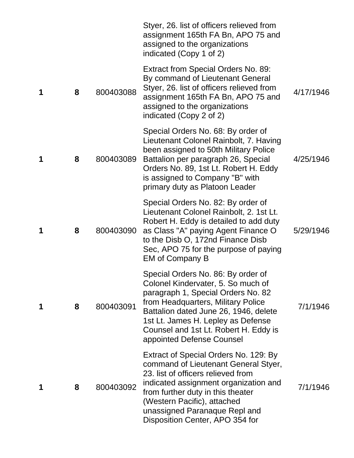|   |   |           | Styer, 26. list of officers relieved from<br>assignment 165th FA Bn, APO 75 and<br>assigned to the organizations<br>indicated (Copy 1 of 2)                                                                                                                                                               |           |
|---|---|-----------|-----------------------------------------------------------------------------------------------------------------------------------------------------------------------------------------------------------------------------------------------------------------------------------------------------------|-----------|
| 1 | 8 | 800403088 | Extract from Special Orders No. 89:<br>By command of Lieutenant General<br>Styer, 26. list of officers relieved from<br>assignment 165th FA Bn, APO 75 and<br>assigned to the organizations<br>indicated (Copy 2 of 2)                                                                                    | 4/17/1946 |
| 1 | 8 | 800403089 | Special Orders No. 68: By order of<br>Lieutenant Colonel Rainbolt, 7. Having<br>been assigned to 50th Military Police<br>Battalion per paragraph 26, Special<br>Orders No. 89, 1st Lt. Robert H. Eddy<br>is assigned to Company "B" with<br>primary duty as Platoon Leader                                | 4/25/1946 |
| 1 | 8 | 800403090 | Special Orders No. 82: By order of<br>Lieutenant Colonel Rainbolt, 2. 1st Lt.<br>Robert H. Eddy is detailed to add duty<br>as Class "A" paying Agent Finance O<br>to the Disb O, 172nd Finance Disb<br>Sec, APO 75 for the purpose of paying<br><b>EM of Company B</b>                                    | 5/29/1946 |
| 1 | 8 | 800403091 | Special Orders No. 86: By order of<br>Colonel Kindervater, 5. So much of<br>paragraph 1, Special Orders No. 82<br>from Headquarters, Military Police<br>Battalion dated June 26, 1946, delete<br>1st Lt. James H. Lepley as Defense<br>Counsel and 1st Lt. Robert H. Eddy is<br>appointed Defense Counsel | 7/1/1946  |
| 1 | 8 | 800403092 | Extract of Special Orders No. 129: By<br>command of Lieutenant General Styer,<br>23. list of officers relieved from<br>indicated assignment organization and<br>from further duty in this theater<br>(Western Pacific), attached<br>unassigned Paranaque Repl and<br>Disposition Center, APO 354 for      | 7/1/1946  |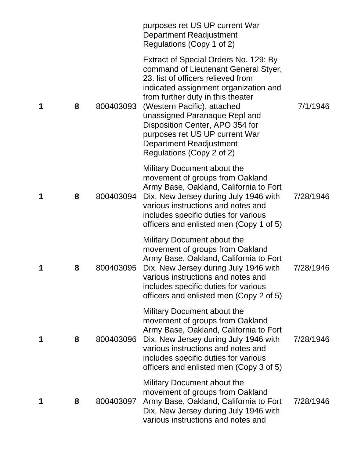|   |   |           | purposes ret US UP current War<br><b>Department Readjustment</b><br>Regulations (Copy 1 of 2)                                                                                                                                                                                                                                                                                                  |           |
|---|---|-----------|------------------------------------------------------------------------------------------------------------------------------------------------------------------------------------------------------------------------------------------------------------------------------------------------------------------------------------------------------------------------------------------------|-----------|
| 1 | 8 | 800403093 | Extract of Special Orders No. 129: By<br>command of Lieutenant General Styer,<br>23. list of officers relieved from<br>indicated assignment organization and<br>from further duty in this theater<br>(Western Pacific), attached<br>unassigned Paranaque Repl and<br>Disposition Center, APO 354 for<br>purposes ret US UP current War<br>Department Readjustment<br>Regulations (Copy 2 of 2) | 7/1/1946  |
| 1 | 8 | 800403094 | Military Document about the<br>movement of groups from Oakland<br>Army Base, Oakland, California to Fort<br>Dix, New Jersey during July 1946 with<br>various instructions and notes and<br>includes specific duties for various<br>officers and enlisted men (Copy 1 of 5)                                                                                                                     | 7/28/1946 |
| 1 | 8 | 800403095 | Military Document about the<br>movement of groups from Oakland<br>Army Base, Oakland, California to Fort<br>Dix, New Jersey during July 1946 with<br>various instructions and notes and<br>includes specific duties for various<br>officers and enlisted men (Copy 2 of 5)                                                                                                                     | 7/28/1946 |
| 1 | 8 | 800403096 | Military Document about the<br>movement of groups from Oakland<br>Army Base, Oakland, California to Fort<br>Dix, New Jersey during July 1946 with<br>various instructions and notes and<br>includes specific duties for various<br>officers and enlisted men (Copy 3 of 5)                                                                                                                     | 7/28/1946 |
| 1 | 8 | 800403097 | Military Document about the<br>movement of groups from Oakland<br>Army Base, Oakland, California to Fort<br>Dix, New Jersey during July 1946 with<br>various instructions and notes and                                                                                                                                                                                                        | 7/28/1946 |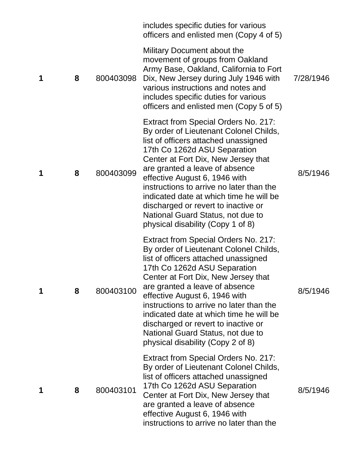|   |   |           | includes specific duties for various<br>officers and enlisted men (Copy 4 of 5)                                                                                                                                                                                                                                                                                                                                                                                          |           |
|---|---|-----------|--------------------------------------------------------------------------------------------------------------------------------------------------------------------------------------------------------------------------------------------------------------------------------------------------------------------------------------------------------------------------------------------------------------------------------------------------------------------------|-----------|
| 1 | 8 | 800403098 | Military Document about the<br>movement of groups from Oakland<br>Army Base, Oakland, California to Fort<br>Dix, New Jersey during July 1946 with<br>various instructions and notes and<br>includes specific duties for various<br>officers and enlisted men (Copy 5 of 5)                                                                                                                                                                                               | 7/28/1946 |
| 1 | 8 | 800403099 | Extract from Special Orders No. 217:<br>By order of Lieutenant Colonel Childs,<br>list of officers attached unassigned<br>17th Co 1262d ASU Separation<br>Center at Fort Dix, New Jersey that<br>are granted a leave of absence<br>effective August 6, 1946 with<br>instructions to arrive no later than the<br>indicated date at which time he will be<br>discharged or revert to inactive or<br>National Guard Status, not due to<br>physical disability (Copy 1 of 8) | 8/5/1946  |
| 1 | 8 | 800403100 | Extract from Special Orders No. 217:<br>By order of Lieutenant Colonel Childs,<br>list of officers attached unassigned<br>17th Co 1262d ASU Separation<br>Center at Fort Dix, New Jersey that<br>are granted a leave of absence<br>effective August 6, 1946 with<br>instructions to arrive no later than the<br>indicated date at which time he will be<br>discharged or revert to inactive or<br>National Guard Status, not due to<br>physical disability (Copy 2 of 8) | 8/5/1946  |
| 1 | 8 | 800403101 | Extract from Special Orders No. 217:<br>By order of Lieutenant Colonel Childs,<br>list of officers attached unassigned<br>17th Co 1262d ASU Separation<br>Center at Fort Dix, New Jersey that<br>are granted a leave of absence<br>effective August 6, 1946 with<br>instructions to arrive no later than the                                                                                                                                                             | 8/5/1946  |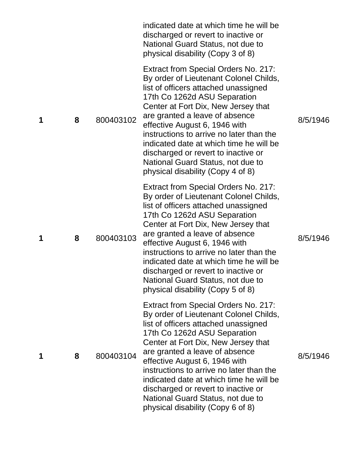|   |   |           | indicated date at which time he will be<br>discharged or revert to inactive or<br>National Guard Status, not due to<br>physical disability (Copy 3 of 8)                                                                                                                                                                                                                                                                                                                        |          |
|---|---|-----------|---------------------------------------------------------------------------------------------------------------------------------------------------------------------------------------------------------------------------------------------------------------------------------------------------------------------------------------------------------------------------------------------------------------------------------------------------------------------------------|----------|
| 1 | 8 | 800403102 | <b>Extract from Special Orders No. 217:</b><br>By order of Lieutenant Colonel Childs,<br>list of officers attached unassigned<br>17th Co 1262d ASU Separation<br>Center at Fort Dix, New Jersey that<br>are granted a leave of absence<br>effective August 6, 1946 with<br>instructions to arrive no later than the<br>indicated date at which time he will be<br>discharged or revert to inactive or<br>National Guard Status, not due to<br>physical disability (Copy 4 of 8) | 8/5/1946 |
| 1 | 8 | 800403103 | Extract from Special Orders No. 217:<br>By order of Lieutenant Colonel Childs,<br>list of officers attached unassigned<br>17th Co 1262d ASU Separation<br>Center at Fort Dix, New Jersey that<br>are granted a leave of absence<br>effective August 6, 1946 with<br>instructions to arrive no later than the<br>indicated date at which time he will be<br>discharged or revert to inactive or<br>National Guard Status, not due to<br>physical disability (Copy 5 of 8)        | 8/5/1946 |
| 1 | 8 | 800403104 | Extract from Special Orders No. 217:<br>By order of Lieutenant Colonel Childs,<br>list of officers attached unassigned<br>17th Co 1262d ASU Separation<br>Center at Fort Dix, New Jersey that<br>are granted a leave of absence<br>effective August 6, 1946 with<br>instructions to arrive no later than the<br>indicated date at which time he will be<br>discharged or revert to inactive or<br>National Guard Status, not due to<br>physical disability (Copy 6 of 8)        | 8/5/1946 |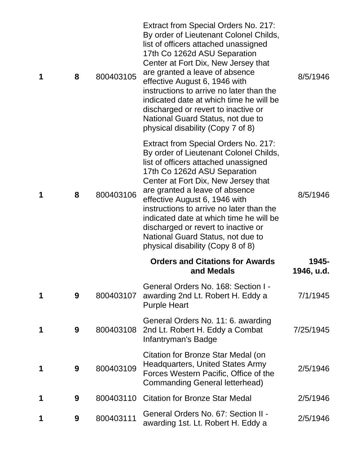| 1 | 8 | 800403105 | Extract from Special Orders No. 217:<br>By order of Lieutenant Colonel Childs,<br>list of officers attached unassigned<br>17th Co 1262d ASU Separation<br>Center at Fort Dix, New Jersey that<br>are granted a leave of absence<br>effective August 6, 1946 with<br>instructions to arrive no later than the<br>indicated date at which time he will be<br>discharged or revert to inactive or<br>National Guard Status, not due to<br>physical disability (Copy 7 of 8) | 8/5/1946            |
|---|---|-----------|--------------------------------------------------------------------------------------------------------------------------------------------------------------------------------------------------------------------------------------------------------------------------------------------------------------------------------------------------------------------------------------------------------------------------------------------------------------------------|---------------------|
| 1 | 8 | 800403106 | Extract from Special Orders No. 217:<br>By order of Lieutenant Colonel Childs,<br>list of officers attached unassigned<br>17th Co 1262d ASU Separation<br>Center at Fort Dix, New Jersey that<br>are granted a leave of absence<br>effective August 6, 1946 with<br>instructions to arrive no later than the<br>indicated date at which time he will be<br>discharged or revert to inactive or<br>National Guard Status, not due to<br>physical disability (Copy 8 of 8) | 8/5/1946            |
|   |   |           | <b>Orders and Citations for Awards</b><br>and Medals                                                                                                                                                                                                                                                                                                                                                                                                                     | 1945-<br>1946, u.d. |
| 1 | 9 | 800403107 | General Orders No. 168: Section I -<br>awarding 2nd Lt. Robert H. Eddy a<br><b>Purple Heart</b>                                                                                                                                                                                                                                                                                                                                                                          | 7/1/1945            |
| 1 | 9 | 800403108 | General Orders No. 11: 6. awarding<br>2nd Lt. Robert H. Eddy a Combat<br>Infantryman's Badge                                                                                                                                                                                                                                                                                                                                                                             | 7/25/1945           |
| 1 | 9 | 800403109 | Citation for Bronze Star Medal (on<br><b>Headquarters, United States Army</b><br>Forces Western Pacific, Office of the<br>Commanding General letterhead)                                                                                                                                                                                                                                                                                                                 | 2/5/1946            |
| 1 | 9 | 800403110 | <b>Citation for Bronze Star Medal</b>                                                                                                                                                                                                                                                                                                                                                                                                                                    | 2/5/1946            |
| 1 | 9 | 800403111 | General Orders No. 67: Section II -<br>awarding 1st. Lt. Robert H. Eddy a                                                                                                                                                                                                                                                                                                                                                                                                | 2/5/1946            |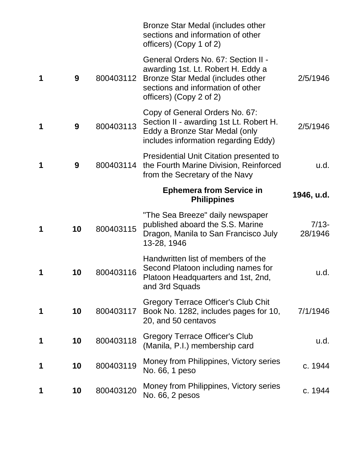|   |    |           | Bronze Star Medal (includes other<br>sections and information of other<br>officers) (Copy 1 of 2)                                                                              |                    |
|---|----|-----------|--------------------------------------------------------------------------------------------------------------------------------------------------------------------------------|--------------------|
| 1 | 9  | 800403112 | General Orders No. 67: Section II -<br>awarding 1st. Lt. Robert H. Eddy a<br>Bronze Star Medal (includes other<br>sections and information of other<br>officers) (Copy 2 of 2) | 2/5/1946           |
| 1 | 9  | 800403113 | Copy of General Orders No. 67:<br>Section II - awarding 1st Lt. Robert H.<br>Eddy a Bronze Star Medal (only<br>includes information regarding Eddy)                            | 2/5/1946           |
| 1 | 9  | 800403114 | Presidential Unit Citation presented to<br>the Fourth Marine Division, Reinforced<br>from the Secretary of the Navy                                                            | u.d.               |
|   |    |           | <b>Ephemera from Service in</b><br><b>Philippines</b>                                                                                                                          | 1946, u.d.         |
| 1 | 10 | 800403115 | "The Sea Breeze" daily newspaper<br>published aboard the S.S. Marine<br>Dragon, Manila to San Francisco July<br>13-28, 1946                                                    | $7/13-$<br>28/1946 |
| 1 | 10 | 800403116 | Handwritten list of members of the<br>Second Platoon including names for<br>Platoon Headquarters and 1st, 2nd,<br>and 3rd Squads                                               | u.d.               |
| 1 | 10 | 800403117 | Gregory Terrace Officer's Club Chit<br>Book No. 1282, includes pages for 10,<br>20, and 50 centavos                                                                            | 7/1/1946           |
| 1 | 10 | 800403118 | <b>Gregory Terrace Officer's Club</b><br>(Manila, P.I.) membership card                                                                                                        | u.d.               |
| 1 | 10 | 800403119 | Money from Philippines, Victory series<br>No. 66, 1 peso                                                                                                                       | c. 1944            |
| 1 | 10 | 800403120 | Money from Philippines, Victory series<br>No. 66, 2 pesos                                                                                                                      | c. 1944            |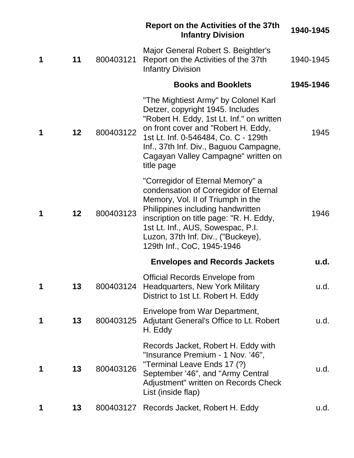|   |                   |           | <b>Report on the Activities of the 37th</b><br><b>Infantry Division</b>                                                                                                                                                                                                                                 | 1940-1945 |
|---|-------------------|-----------|---------------------------------------------------------------------------------------------------------------------------------------------------------------------------------------------------------------------------------------------------------------------------------------------------------|-----------|
| 1 | 11                | 800403121 | Major General Robert S. Beightler's<br>Report on the Activities of the 37th<br><b>Infantry Division</b>                                                                                                                                                                                                 | 1940-1945 |
|   |                   |           | <b>Books and Booklets</b>                                                                                                                                                                                                                                                                               | 1945-1946 |
| 1 | 12                | 800403122 | "The Mightiest Army" by Colonel Karl<br>Detzer, copyright 1945. Includes<br>"Robert H. Eddy, 1st Lt. Inf." on written<br>on front cover and "Robert H. Eddy,<br>1st Lt. Inf. 0-546484, Co. C - 129th<br>Inf., 37th Inf. Div., Baguou Campagne,<br>Cagayan Valley Campagne" written on<br>title page     | 1945      |
| 1 | $12 \overline{ }$ | 800403123 | "Corregidor of Eternal Memory" a<br>condensation of Corregidor of Eternal<br>Memory, Vol. II of Triumph in the<br>Philippines including handwritten<br>inscription on title page: "R. H. Eddy,<br>1st Lt. Inf., AUS, Sowespac, P.I.<br>Luzon, 37th Inf. Div., ("Buckeye),<br>129th Inf., CoC, 1945-1946 | 1946      |
|   |                   |           | <b>Envelopes and Records Jackets</b>                                                                                                                                                                                                                                                                    | u.d.      |
| 1 | 13                |           | <b>Official Records Envelope from</b><br>800403124 Headquarters, New York Military<br>District to 1st Lt. Robert H. Eddy                                                                                                                                                                                | u.d.      |
| 1 | 13                | 800403125 | Envelope from War Department,<br>Adjutant General's Office to Lt. Robert<br>H. Eddy                                                                                                                                                                                                                     | u.d.      |
| 1 | 13                | 800403126 | Records Jacket, Robert H. Eddy with<br>"Insurance Premium - 1 Nov. '46",<br>"Terminal Leave Ends 17 (?)<br>September '46", and "Army Central<br>Adjustment" written on Records Check<br>List (inside flap)                                                                                              | u.d.      |
| 1 | 13                | 800403127 | Records Jacket, Robert H. Eddy                                                                                                                                                                                                                                                                          | u.d.      |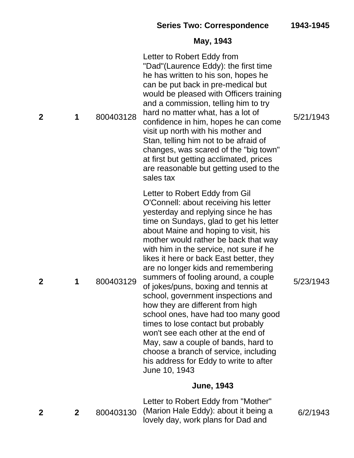# **May, 1943**

| 2              | 1            | 800403128 | Letter to Robert Eddy from<br>"Dad"(Laurence Eddy): the first time<br>he has written to his son, hopes he<br>can be put back in pre-medical but<br>would be pleased with Officers training<br>and a commission, telling him to try<br>hard no matter what, has a lot of<br>confidence in him, hopes he can come<br>visit up north with his mother and<br>Stan, telling him not to be afraid of<br>changes, was scared of the "big town"<br>at first but getting acclimated, prices<br>are reasonable but getting used to the<br>sales tax                                                                                                                                                                                                                                                   | 5/21/1943 |
|----------------|--------------|-----------|---------------------------------------------------------------------------------------------------------------------------------------------------------------------------------------------------------------------------------------------------------------------------------------------------------------------------------------------------------------------------------------------------------------------------------------------------------------------------------------------------------------------------------------------------------------------------------------------------------------------------------------------------------------------------------------------------------------------------------------------------------------------------------------------|-----------|
| $\overline{2}$ | 1            | 800403129 | Letter to Robert Eddy from Gil<br>O'Connell: about receiving his letter<br>yesterday and replying since he has<br>time on Sundays, glad to get his letter<br>about Maine and hoping to visit, his<br>mother would rather be back that way<br>with him in the service, not sure if he<br>likes it here or back East better, they<br>are no longer kids and remembering<br>summers of fooling around, a couple<br>of jokes/puns, boxing and tennis at<br>school, government inspections and<br>how they are different from high<br>school ones, have had too many good<br>times to lose contact but probably<br>won't see each other at the end of<br>May, saw a couple of bands, hard to<br>choose a branch of service, including<br>his address for Eddy to write to after<br>June 10, 1943 | 5/23/1943 |
|                |              |           | <b>June, 1943</b>                                                                                                                                                                                                                                                                                                                                                                                                                                                                                                                                                                                                                                                                                                                                                                           |           |
| 2              | $\mathbf{2}$ | 800403130 | Letter to Robert Eddy from "Mother"<br>(Marion Hale Eddy): about it being a<br>lovely day, work plans for Dad and                                                                                                                                                                                                                                                                                                                                                                                                                                                                                                                                                                                                                                                                           | 6/2/1943  |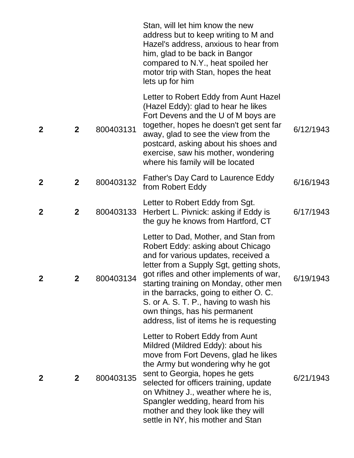|                |              |           | Stan, will let him know the new<br>address but to keep writing to M and<br>Hazel's address, anxious to hear from<br>him, glad to be back in Bangor<br>compared to N.Y., heat spoiled her<br>motor trip with Stan, hopes the heat<br>lets up for him                                                                                                                                                              |           |
|----------------|--------------|-----------|------------------------------------------------------------------------------------------------------------------------------------------------------------------------------------------------------------------------------------------------------------------------------------------------------------------------------------------------------------------------------------------------------------------|-----------|
| $\overline{2}$ | $\mathbf{2}$ | 800403131 | Letter to Robert Eddy from Aunt Hazel<br>(Hazel Eddy): glad to hear he likes<br>Fort Devens and the U of M boys are<br>together, hopes he doesn't get sent far<br>away, glad to see the view from the<br>postcard, asking about his shoes and<br>exercise, saw his mother, wondering<br>where his family will be located                                                                                         | 6/12/1943 |
| $\overline{2}$ | $\mathbf{2}$ | 800403132 | <b>Father's Day Card to Laurence Eddy</b><br>from Robert Eddy                                                                                                                                                                                                                                                                                                                                                    | 6/16/1943 |
| $\overline{2}$ | $\mathbf{2}$ | 800403133 | Letter to Robert Eddy from Sgt.<br>Herbert L. Pivnick: asking if Eddy is<br>the guy he knows from Hartford, CT                                                                                                                                                                                                                                                                                                   | 6/17/1943 |
| $\mathbf 2$    | 2            | 800403134 | Letter to Dad, Mother, and Stan from<br>Robert Eddy: asking about Chicago<br>and for various updates, received a<br>letter from a Supply Sgt, getting shots,<br>got rifles and other implements of war,<br>starting training on Monday, other men<br>in the barracks, going to either O. C.<br>S. or A. S. T. P., having to wash his<br>own things, has his permanent<br>address, list of items he is requesting | 6/19/1943 |
| $\mathbf 2$    | $\mathbf{2}$ | 800403135 | Letter to Robert Eddy from Aunt<br>Mildred (Mildred Eddy): about his<br>move from Fort Devens, glad he likes<br>the Army but wondering why he got<br>sent to Georgia, hopes he gets<br>selected for officers training, update<br>on Whitney J., weather where he is,<br>Spangler wedding, heard from his<br>mother and they look like they will<br>settle in NY, his mother and Stan                             | 6/21/1943 |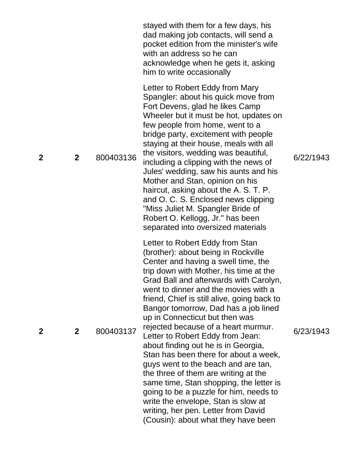| $\mathbf 2$  | $\mathbf{2}$   | 800403137 | Letter to Robert Eddy from Stan<br>(brother): about being in Rockville<br>Center and having a swell time, the<br>trip down with Mother, his time at the<br>Grad Ball and afterwards with Carolyn,<br>went to dinner and the movies with a<br>friend, Chief is still alive, going back to<br>Bangor tomorrow, Dad has a job lined<br>up in Connecticut but then was<br>rejected because of a heart murmur.<br>Letter to Robert Eddy from Jean:<br>about finding out he is in Georgia,<br>Stan has been there for about a week,<br>guys went to the beach and are tan,<br>the three of them are writing at the<br>same time, Stan shopping, the letter is<br>going to be a puzzle for him, needs to<br>write the envelope, Stan is slow at<br>writing, her pen. Letter from David<br>(Cousin): about what they have been | 6/23/1943 |
|--------------|----------------|-----------|------------------------------------------------------------------------------------------------------------------------------------------------------------------------------------------------------------------------------------------------------------------------------------------------------------------------------------------------------------------------------------------------------------------------------------------------------------------------------------------------------------------------------------------------------------------------------------------------------------------------------------------------------------------------------------------------------------------------------------------------------------------------------------------------------------------------|-----------|
| $\mathbf{2}$ | $\overline{2}$ | 800403136 | Letter to Robert Eddy from Mary<br>Spangler: about his quick move from<br>Fort Devens, glad he likes Camp<br>Wheeler but it must be hot, updates on<br>few people from home, went to a<br>bridge party, excitement with people<br>staying at their house, meals with all<br>the visitors, wedding was beautiful,<br>including a clipping with the news of<br>Jules' wedding, saw his aunts and his<br>Mother and Stan, opinion on his<br>haircut, asking about the A. S. T. P.<br>and O. C. S. Enclosed news clipping<br>"Miss Juliet M. Spangler Bride of<br>Robert O. Kellogg, Jr." has been<br>separated into oversized materials                                                                                                                                                                                   | 6/22/1943 |
|              |                |           | stayed with them for a few days, his<br>dad making job contacts, will send a<br>pocket edition from the minister's wife<br>with an address so he can<br>acknowledge when he gets it, asking<br>him to write occasionally                                                                                                                                                                                                                                                                                                                                                                                                                                                                                                                                                                                               |           |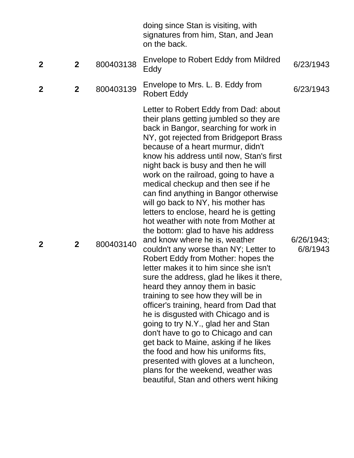|                  |                |           | doing since Stan is visiting, with<br>signatures from him, Stan, and Jean<br>on the back.                                                                                                                                                                                                                                                                                                                                                                                                                                                                                                                                                                                                                                                                                                                                                                                                                                                                                                                                                                                                                                                                                                                                                     |                        |
|------------------|----------------|-----------|-----------------------------------------------------------------------------------------------------------------------------------------------------------------------------------------------------------------------------------------------------------------------------------------------------------------------------------------------------------------------------------------------------------------------------------------------------------------------------------------------------------------------------------------------------------------------------------------------------------------------------------------------------------------------------------------------------------------------------------------------------------------------------------------------------------------------------------------------------------------------------------------------------------------------------------------------------------------------------------------------------------------------------------------------------------------------------------------------------------------------------------------------------------------------------------------------------------------------------------------------|------------------------|
| $\mathbf{2}$     | $\mathbf{2}$   | 800403138 | Envelope to Robert Eddy from Mildred<br>Eddy                                                                                                                                                                                                                                                                                                                                                                                                                                                                                                                                                                                                                                                                                                                                                                                                                                                                                                                                                                                                                                                                                                                                                                                                  | 6/23/1943              |
| $\boldsymbol{2}$ | $\overline{2}$ | 800403139 | Envelope to Mrs. L. B. Eddy from<br><b>Robert Eddy</b>                                                                                                                                                                                                                                                                                                                                                                                                                                                                                                                                                                                                                                                                                                                                                                                                                                                                                                                                                                                                                                                                                                                                                                                        | 6/23/1943              |
| $\mathbf 2$      | $\mathbf{2}$   | 800403140 | Letter to Robert Eddy from Dad: about<br>their plans getting jumbled so they are<br>back in Bangor, searching for work in<br>NY, got rejected from Bridgeport Brass<br>because of a heart murmur, didn't<br>know his address until now, Stan's first<br>night back is busy and then he will<br>work on the railroad, going to have a<br>medical checkup and then see if he<br>can find anything in Bangor otherwise<br>will go back to NY, his mother has<br>letters to enclose, heard he is getting<br>hot weather with note from Mother at<br>the bottom: glad to have his address<br>and know where he is, weather<br>couldn't any worse than NY; Letter to<br>Robert Eddy from Mother: hopes the<br>letter makes it to him since she isn't<br>sure the address, glad he likes it there,<br>heard they annoy them in basic<br>training to see how they will be in<br>officer's training, heard from Dad that<br>he is disgusted with Chicago and is<br>going to try N.Y., glad her and Stan<br>don't have to go to Chicago and can<br>get back to Maine, asking if he likes<br>the food and how his uniforms fits,<br>presented with gloves at a luncheon,<br>plans for the weekend, weather was<br>beautiful, Stan and others went hiking | 6/26/1943;<br>6/8/1943 |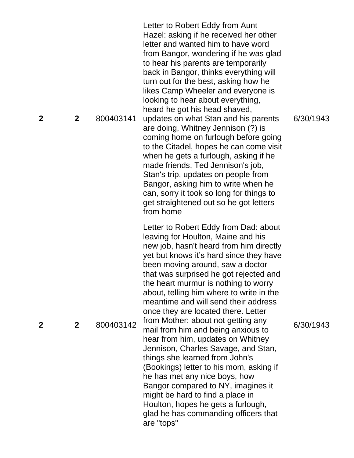**2** 800403141 Letter to Robert Eddy from Aunt Hazel: asking if he received her other letter and wanted him to have word from Bangor, wondering if he was glad to hear his parents are temporarily back in Bangor, thinks everything will turn out for the best, asking how he likes Camp Wheeler and everyone is looking to hear about everything, heard he got his head shaved, updates on what Stan and his parents are doing, Whitney Jennison (?) is coming home on furlough before going to the Citadel, hopes he can come visit when he gets a furlough, asking if he made friends, Ted Jennison's job, Stan's trip, updates on people from Bangor, asking him to write when he can, sorry it took so long for things to get straightened out so he got letters from home **2** 800403142 Letter to Robert Eddy from Dad: about leaving for Hoult on, Maine and his new job, hasn't heard from him directly yet but knows it's hard since they have been moving around, saw a doctor that was surprised he got rejected and the heart murmur is nothing to worry about, telling him where to write in the meantime and will send their address once they are located there. Letter from Mother: about not getting any mail from him and being anxious to hear from him, updates on Whitney Jennison, Charles Savage, and Stan, things she learned from John's (Bookings) letter to his mom, asking if he has met any nice boys, how Bangor compared to NY, imagines it might be hard to find a place in Houlton, hopes he gets a furlough, glad he has commanding officers that are "tops"

6/30/1943

6/30/1943

**2**

**2**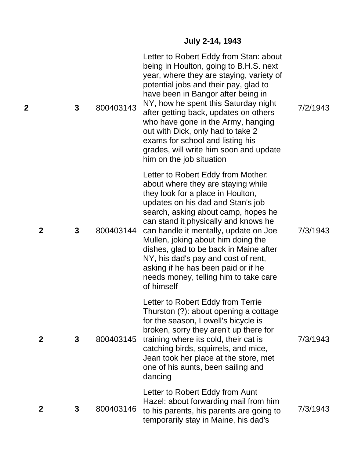#### **July 2 -14, 1943**

|             | $\mathbf{3}$ | 800403143 | Letter to Robert Eddy from Stan: about<br>being in Houlton, going to B.H.S. next<br>year, where they are staying, variety of<br>potential jobs and their pay, glad to<br>have been in Bangor after being in<br>NY, how he spent this Saturday night<br>after getting back, updates on others<br>who have gone in the Army, hanging<br>out with Dick, only had to take 2<br>exams for school and listing his<br>grades, will write him soon and update<br>him on the job situation               | 7/2/1943 |
|-------------|--------------|-----------|-------------------------------------------------------------------------------------------------------------------------------------------------------------------------------------------------------------------------------------------------------------------------------------------------------------------------------------------------------------------------------------------------------------------------------------------------------------------------------------------------|----------|
| $\mathbf 2$ | 3            | 800403144 | Letter to Robert Eddy from Mother:<br>about where they are staying while<br>they look for a place in Houlton,<br>updates on his dad and Stan's job<br>search, asking about camp, hopes he<br>can stand it physically and knows he<br>can handle it mentally, update on Joe<br>Mullen, joking about him doing the<br>dishes, glad to be back in Maine after<br>NY, his dad's pay and cost of rent,<br>asking if he has been paid or if he<br>needs money, telling him to take care<br>of himself | 7/3/1943 |
| 2           | 3            | 800403145 | Letter to Robert Eddy from Terrie<br>Thurston (?): about opening a cottage<br>for the season, Lowell's bicycle is<br>broken, sorry they aren't up there for<br>training where its cold, their cat is<br>catching birds, squirrels, and mice,<br>Jean took her place at the store, met<br>one of his aunts, been sailing and<br>dancing                                                                                                                                                          | 7/3/1943 |
| 2           | 3            | 800403146 | Letter to Robert Eddy from Aunt<br>Hazel: about forwarding mail from him<br>to his parents, his parents are going to<br>temporarily stay in Maine, his dad's                                                                                                                                                                                                                                                                                                                                    | 7/3/1943 |

**2**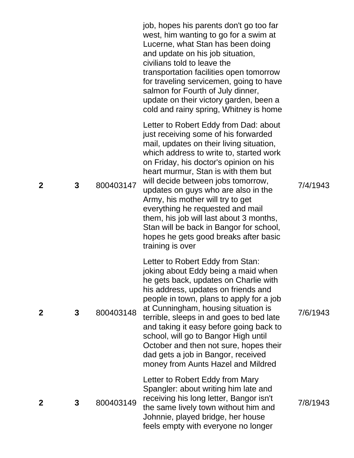|                |   |           | job, hopes his parents don't go too far<br>west, him wanting to go for a swim at<br>Lucerne, what Stan has been doing<br>and update on his job situation,<br>civilians told to leave the<br>transportation facilities open tomorrow<br>for traveling servicemen, going to have<br>salmon for Fourth of July dinner,<br>update on their victory garden, been a<br>cold and rainy spring, Whitney is home                                                                                                                                                       |          |
|----------------|---|-----------|---------------------------------------------------------------------------------------------------------------------------------------------------------------------------------------------------------------------------------------------------------------------------------------------------------------------------------------------------------------------------------------------------------------------------------------------------------------------------------------------------------------------------------------------------------------|----------|
| $\overline{2}$ | 3 | 800403147 | Letter to Robert Eddy from Dad: about<br>just receiving some of his forwarded<br>mail, updates on their living situation,<br>which address to write to, started work<br>on Friday, his doctor's opinion on his<br>heart murmur, Stan is with them but<br>will decide between jobs tomorrow,<br>updates on guys who are also in the<br>Army, his mother will try to get<br>everything he requested and mail<br>them, his job will last about 3 months,<br>Stan will be back in Bangor for school,<br>hopes he gets good breaks after basic<br>training is over | 7/4/1943 |
| $\mathbf 2$    | 3 | 800403148 | Letter to Robert Eddy from Stan:<br>joking about Eddy being a maid when<br>he gets back, updates on Charlie with<br>his address, updates on friends and<br>people in town, plans to apply for a job<br>at Cunningham, housing situation is<br>terrible, sleeps in and goes to bed late<br>and taking it easy before going back to<br>school, will go to Bangor High until<br>October and then not sure, hopes their<br>dad gets a job in Bangor, received<br>money from Aunts Hazel and Mildred                                                               | 7/6/1943 |
| $\mathbf 2$    | 3 | 800403149 | Letter to Robert Eddy from Mary<br>Spangler: about writing him late and<br>receiving his long letter, Bangor isn't<br>the same lively town without him and<br>Johnnie, played bridge, her house<br>feels empty with everyone no longer                                                                                                                                                                                                                                                                                                                        | 7/8/1943 |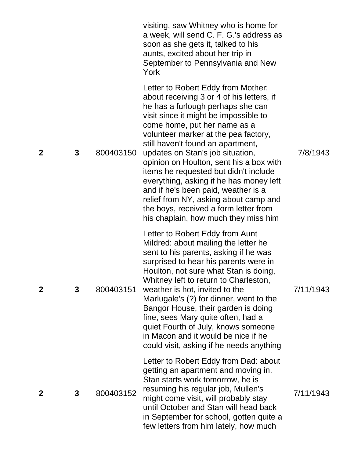|                |   |           | visiting, saw Whitney who is home for<br>a week, will send C. F. G.'s address as<br>soon as she gets it, talked to his<br>aunts, excited about her trip in<br>September to Pennsylvania and New<br>York                                                                                                                                                                                                                                                                                                                                                                                                        |           |
|----------------|---|-----------|----------------------------------------------------------------------------------------------------------------------------------------------------------------------------------------------------------------------------------------------------------------------------------------------------------------------------------------------------------------------------------------------------------------------------------------------------------------------------------------------------------------------------------------------------------------------------------------------------------------|-----------|
| $\overline{2}$ | 3 | 800403150 | Letter to Robert Eddy from Mother:<br>about receiving 3 or 4 of his letters, if<br>he has a furlough perhaps she can<br>visit since it might be impossible to<br>come home, put her name as a<br>volunteer marker at the pea factory,<br>still haven't found an apartment,<br>updates on Stan's job situation,<br>opinion on Houlton, sent his a box with<br>items he requested but didn't include<br>everything, asking if he has money left<br>and if he's been paid, weather is a<br>relief from NY, asking about camp and<br>the boys, received a form letter from<br>his chaplain, how much they miss him | 7/8/1943  |
| $\mathbf 2$    | 3 | 800403151 | Letter to Robert Eddy from Aunt<br>Mildred: about mailing the letter he<br>sent to his parents, asking if he was<br>surprised to hear his parents were in<br>Houlton, not sure what Stan is doing,<br>Whitney left to return to Charleston,<br>weather is hot, invited to the<br>Marlugale's (?) for dinner, went to the<br>Bangor House, their garden is doing<br>fine, sees Mary quite often, had a<br>quiet Fourth of July, knows someone<br>in Macon and it would be nice if he<br>could visit, asking if he needs anything                                                                                | 7/11/1943 |
| $\mathbf 2$    | 3 | 800403152 | Letter to Robert Eddy from Dad: about<br>getting an apartment and moving in,<br>Stan starts work tomorrow, he is<br>resuming his regular job, Mullen's<br>might come visit, will probably stay<br>until October and Stan will head back<br>in September for school, gotten quite a<br>few letters from him lately, how much                                                                                                                                                                                                                                                                                    | 7/11/1943 |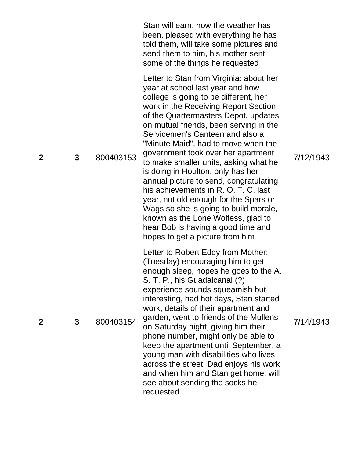|             |   |           | Stan will earn, how the weather has<br>been, pleased with everything he has<br>told them, will take some pictures and<br>send them to him, his mother sent<br>some of the things he requested                                                                                                                                                                                                                                                                                                                                                                                                                                                                                                                                   |           |
|-------------|---|-----------|---------------------------------------------------------------------------------------------------------------------------------------------------------------------------------------------------------------------------------------------------------------------------------------------------------------------------------------------------------------------------------------------------------------------------------------------------------------------------------------------------------------------------------------------------------------------------------------------------------------------------------------------------------------------------------------------------------------------------------|-----------|
| $\mathbf 2$ | 3 | 800403153 | Letter to Stan from Virginia: about her<br>year at school last year and how<br>college is going to be different, her<br>work in the Receiving Report Section<br>of the Quartermasters Depot, updates<br>on mutual friends, been serving in the<br>Servicemen's Canteen and also a<br>"Minute Maid", had to move when the<br>government took over her apartment<br>to make smaller units, asking what he<br>is doing in Houlton, only has her<br>annual picture to send, congratulating<br>his achievements in R. O. T. C. last<br>year, not old enough for the Spars or<br>Wags so she is going to build morale,<br>known as the Lone Wolfess, glad to<br>hear Bob is having a good time and<br>hopes to get a picture from him | 7/12/1943 |
| 2           | 3 | 800403154 | Letter to Robert Eddy from Mother:<br>(Tuesday) encouraging him to get<br>enough sleep, hopes he goes to the A.<br>S. T. P., his Guadalcanal (?)<br>experience sounds squeamish but<br>interesting, had hot days, Stan started<br>work, details of their apartment and<br>garden, went to friends of the Mullens<br>on Saturday night, giving him their<br>phone number, might only be able to<br>keep the apartment until September, a<br>young man with disabilities who lives<br>across the street, Dad enjoys his work<br>and when him and Stan get home, will<br>see about sending the socks he<br>requested                                                                                                               | 7/14/1943 |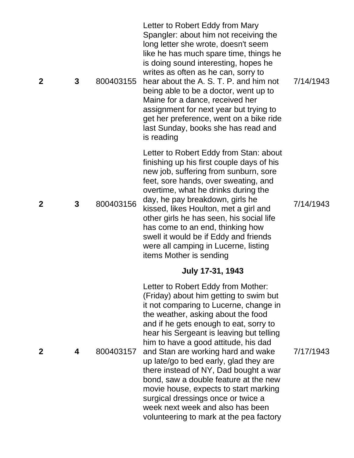| $\mathbf{2}$ | 3 | 800403155 | Letter to Robert Eddy from Mary<br>Spangler: about him not receiving the<br>long letter she wrote, doesn't seem<br>like he has much spare time, things he<br>is doing sound interesting, hopes he<br>writes as often as he can, sorry to<br>hear about the A. S. T. P. and him not<br>being able to be a doctor, went up to<br>Maine for a dance, received her<br>assignment for next year but trying to<br>get her preference, went on a bike ride<br>last Sunday, books she has read and<br>is reading                                                                                                                                              | 7/14/1943 |
|--------------|---|-----------|-------------------------------------------------------------------------------------------------------------------------------------------------------------------------------------------------------------------------------------------------------------------------------------------------------------------------------------------------------------------------------------------------------------------------------------------------------------------------------------------------------------------------------------------------------------------------------------------------------------------------------------------------------|-----------|
| $\mathbf 2$  | 3 | 800403156 | Letter to Robert Eddy from Stan: about<br>finishing up his first couple days of his<br>new job, suffering from sunburn, sore<br>feet, sore hands, over sweating, and<br>overtime, what he drinks during the<br>day, he pay breakdown, girls he<br>kissed, likes Houlton, met a girl and<br>other girls he has seen, his social life<br>has come to an end, thinking how<br>swell it would be if Eddy and friends<br>were all camping in Lucerne, listing<br>items Mother is sending                                                                                                                                                                   | 7/14/1943 |
| $\mathbf 2$  | 4 | 800403157 | <b>July 17-31, 1943</b><br>Letter to Robert Eddy from Mother:<br>(Friday) about him getting to swim but<br>it not comparing to Lucerne, change in<br>the weather, asking about the food<br>and if he gets enough to eat, sorry to<br>hear his Sergeant is leaving but telling<br>him to have a good attitude, his dad<br>and Stan are working hard and wake<br>up late/go to bed early, glad they are<br>there instead of NY, Dad bought a war<br>bond, saw a double feature at the new<br>movie house, expects to start marking<br>surgical dressings once or twice a<br>week next week and also has been<br>volunteering to mark at the pea factory | 7/17/1943 |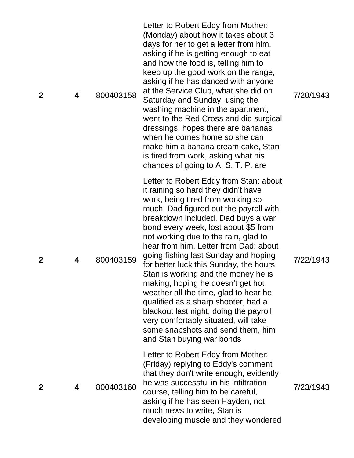| $\mathbf 2$ | 4 | 800403158 | Letter to Robert Eddy from Mother:<br>(Monday) about how it takes about 3<br>days for her to get a letter from him,<br>asking if he is getting enough to eat<br>and how the food is, telling him to<br>keep up the good work on the range,<br>asking if he has danced with anyone<br>at the Service Club, what she did on<br>Saturday and Sunday, using the<br>washing machine in the apartment,<br>went to the Red Cross and did surgical<br>dressings, hopes there are bananas<br>when he comes home so she can<br>make him a banana cream cake, Stan<br>is tired from work, asking what his<br>chances of going to A. S. T. P. are                                                                                          | 7/20/1943 |
|-------------|---|-----------|--------------------------------------------------------------------------------------------------------------------------------------------------------------------------------------------------------------------------------------------------------------------------------------------------------------------------------------------------------------------------------------------------------------------------------------------------------------------------------------------------------------------------------------------------------------------------------------------------------------------------------------------------------------------------------------------------------------------------------|-----------|
| $\mathbf 2$ | 4 | 800403159 | Letter to Robert Eddy from Stan: about<br>it raining so hard they didn't have<br>work, being tired from working so<br>much, Dad figured out the payroll with<br>breakdown included, Dad buys a war<br>bond every week, lost about \$5 from<br>not working due to the rain, glad to<br>hear from him. Letter from Dad: about<br>going fishing last Sunday and hoping<br>for better luck this Sunday, the hours<br>Stan is working and the money he is<br>making, hoping he doesn't get hot<br>weather all the time, glad to hear he<br>qualified as a sharp shooter, had a<br>blackout last night, doing the payroll,<br>very comfortably situated, will take<br>some snapshots and send them, him<br>and Stan buying war bonds | 7/22/1943 |
| $\mathbf 2$ | 4 | 800403160 | Letter to Robert Eddy from Mother:<br>(Friday) replying to Eddy's comment<br>that they don't write enough, evidently<br>he was successful in his infiltration<br>course, telling him to be careful,<br>asking if he has seen Hayden, not<br>much news to write, Stan is<br>developing muscle and they wondered                                                                                                                                                                                                                                                                                                                                                                                                                 | 7/23/1943 |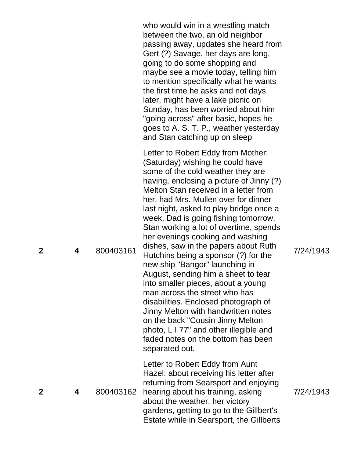who would win in a wrestling match between the two, an old neighbor passing away, updates she heard from Gert (?) Savage, her days are long, going to do some shopping and maybe see a movie today, telling him to mention specifically what he wants the first time he asks and not days later, might have a lake picnic on Sunday, has been worried about him "going across" after basic, hopes he goes to A. S. T. P., weather yesterday and Stan catching up on sleep

Letter to Robert Eddy from Mother: (Saturday) wishing he could have some of the cold weather they are having, enclosing a picture of Jinny (?) Melton Stan received in a letter from her, had Mrs. Mullen over for dinner last night, asked to play bridge once a week, Dad is going fishing tomorrow, Stan working a lot of overtime, spends her evenings cooking and washing dishes, saw in the papers about Ruth Hutchins being a sponsor (?) for the new ship "Bangor" launching in August, sending him a sheet to tear into smaller pieces, about a young man across the street who has disabilities. Enclosed photograph of Jinny Melton with handwritten notes on the back "Cousin Jinny Melton photo, L I 77" and other illegible and faded notes on the bottom has been separated out.

**4** 800403162 hearing about his training, asking Letter to Robert Eddy from Aunt Hazel: about receiving his letter after returning from Searsport and enjoying about the weather, her victory gardens, getting to go to the Gillbert's Estate while in Searsport, the Gillberts 7/24/1943

7/24/1943

**2**

**4** 800403161

**2**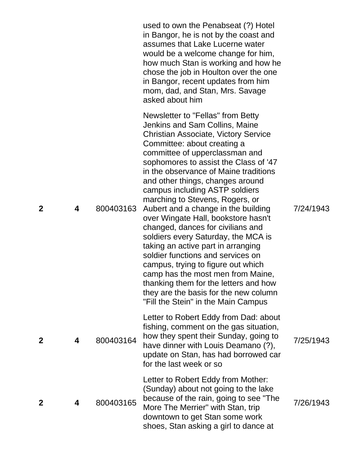|              |   |           | used to own the Penabseat (?) Hotel<br>in Bangor, he is not by the coast and<br>assumes that Lake Lucerne water<br>would be a welcome change for him,<br>how much Stan is working and how he<br>chose the job in Houlton over the one<br>in Bangor, recent updates from him<br>mom, dad, and Stan, Mrs. Savage<br>asked about him                                                                                                                                                                                                                                                                                                                                                                                                                                                                                       |           |
|--------------|---|-----------|-------------------------------------------------------------------------------------------------------------------------------------------------------------------------------------------------------------------------------------------------------------------------------------------------------------------------------------------------------------------------------------------------------------------------------------------------------------------------------------------------------------------------------------------------------------------------------------------------------------------------------------------------------------------------------------------------------------------------------------------------------------------------------------------------------------------------|-----------|
| $\mathbf 2$  | 4 | 800403163 | Newsletter to "Fellas" from Betty<br>Jenkins and Sam Collins, Maine<br><b>Christian Associate, Victory Service</b><br>Committee: about creating a<br>committee of upperclassman and<br>sophomores to assist the Class of '47<br>in the observance of Maine traditions<br>and other things, changes around<br>campus including ASTP soldiers<br>marching to Stevens, Rogers, or<br>Aubert and a change in the building<br>over Wingate Hall, bookstore hasn't<br>changed, dances for civilians and<br>soldiers every Saturday, the MCA is<br>taking an active part in arranging<br>soldier functions and services on<br>campus, trying to figure out which<br>camp has the most men from Maine,<br>thanking them for the letters and how<br>they are the basis for the new column<br>"Fill the Stein" in the Main Campus | 7/24/1943 |
| $\mathbf{2}$ | 4 | 800403164 | Letter to Robert Eddy from Dad: about<br>fishing, comment on the gas situation,<br>how they spent their Sunday, going to<br>have dinner with Louis Deamano (?),<br>update on Stan, has had borrowed car<br>for the last week or so                                                                                                                                                                                                                                                                                                                                                                                                                                                                                                                                                                                      | 7/25/1943 |
| $\mathbf 2$  | 4 | 800403165 | Letter to Robert Eddy from Mother:<br>(Sunday) about not going to the lake<br>because of the rain, going to see "The<br>More The Merrier" with Stan, trip<br>downtown to get Stan some work<br>shoes, Stan asking a girl to dance at                                                                                                                                                                                                                                                                                                                                                                                                                                                                                                                                                                                    | 7/26/1943 |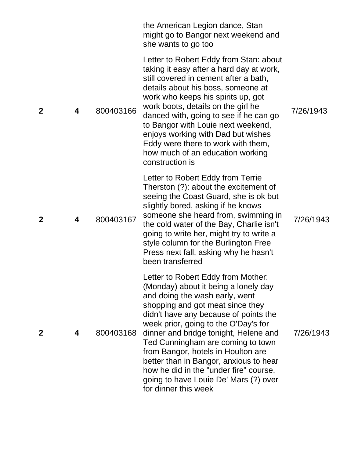|                |   |           | the American Legion dance, Stan<br>might go to Bangor next weekend and<br>she wants to go too                                                                                                                                                                                                                                                                                                                                                                                                              |           |
|----------------|---|-----------|------------------------------------------------------------------------------------------------------------------------------------------------------------------------------------------------------------------------------------------------------------------------------------------------------------------------------------------------------------------------------------------------------------------------------------------------------------------------------------------------------------|-----------|
| $\overline{2}$ | 4 | 800403166 | Letter to Robert Eddy from Stan: about<br>taking it easy after a hard day at work,<br>still covered in cement after a bath,<br>details about his boss, someone at<br>work who keeps his spirits up, got<br>work boots, details on the girl he<br>danced with, going to see if he can go<br>to Bangor with Louie next weekend,<br>enjoys working with Dad but wishes<br>Eddy were there to work with them,<br>how much of an education working<br>construction is                                           | 7/26/1943 |
| $\mathbf 2$    | 4 | 800403167 | Letter to Robert Eddy from Terrie<br>Therston (?): about the excitement of<br>seeing the Coast Guard, she is ok but<br>slightly bored, asking if he knows<br>someone she heard from, swimming in<br>the cold water of the Bay, Charlie isn't<br>going to write her, might try to write a<br>style column for the Burlington Free<br>Press next fall, asking why he hasn't<br>been transferred                                                                                                              | 7/26/1943 |
| $\mathbf 2$    | 4 | 800403168 | Letter to Robert Eddy from Mother:<br>(Monday) about it being a lonely day<br>and doing the wash early, went<br>shopping and got meat since they<br>didn't have any because of points the<br>week prior, going to the O'Day's for<br>dinner and bridge tonight, Helene and<br>Ted Cunningham are coming to town<br>from Bangor, hotels in Houlton are<br>better than in Bangor, anxious to hear<br>how he did in the "under fire" course,<br>going to have Louie De' Mars (?) over<br>for dinner this week | 7/26/1943 |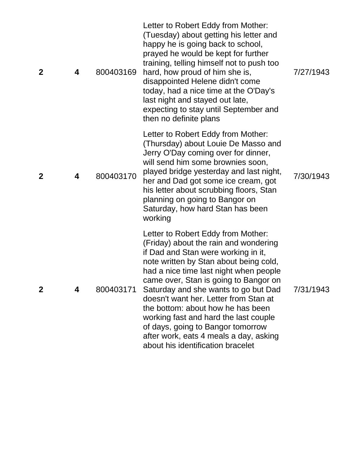| $\mathbf{2}$ | 4 | 800403169 | Letter to Robert Eddy from Mother:<br>(Tuesday) about getting his letter and<br>happy he is going back to school,<br>prayed he would be kept for further<br>training, telling himself not to push too<br>hard, how proud of him she is,<br>disappointed Helene didn't come<br>today, had a nice time at the O'Day's<br>last night and stayed out late,<br>expecting to stay until September and<br>then no definite plans                                                                                                          | 7/27/1943 |
|--------------|---|-----------|------------------------------------------------------------------------------------------------------------------------------------------------------------------------------------------------------------------------------------------------------------------------------------------------------------------------------------------------------------------------------------------------------------------------------------------------------------------------------------------------------------------------------------|-----------|
| $\mathbf 2$  | 4 | 800403170 | Letter to Robert Eddy from Mother:<br>(Thursday) about Louie De Masso and<br>Jerry O'Day coming over for dinner,<br>will send him some brownies soon,<br>played bridge yesterday and last night,<br>her and Dad got some ice cream, got<br>his letter about scrubbing floors, Stan<br>planning on going to Bangor on<br>Saturday, how hard Stan has been<br>working                                                                                                                                                                | 7/30/1943 |
| $\mathbf 2$  | 4 | 800403171 | Letter to Robert Eddy from Mother:<br>(Friday) about the rain and wondering<br>if Dad and Stan were working in it,<br>note written by Stan about being cold,<br>had a nice time last night when people<br>came over, Stan is going to Bangor on<br>Saturday and she wants to go but Dad<br>doesn't want her. Letter from Stan at<br>the bottom: about how he has been<br>working fast and hard the last couple<br>of days, going to Bangor tomorrow<br>after work, eats 4 meals a day, asking<br>about his identification bracelet | 7/31/1943 |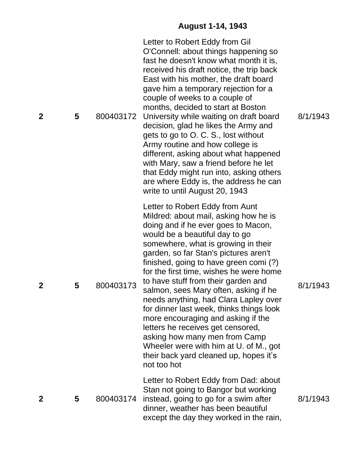## **August 1 -14, 1943**

| $\overline{2}$ | 5 | 800403172 | Letter to Robert Eddy from Gil<br>O'Connell: about things happening so<br>fast he doesn't know what month it is,<br>received his draft notice, the trip back<br>East with his mother, the draft board<br>gave him a temporary rejection for a<br>couple of weeks to a couple of<br>months, decided to start at Boston<br>University while waiting on draft board<br>decision, glad he likes the Army and<br>gets to go to O. C. S., lost without<br>Army routine and how college is<br>different, asking about what happened<br>with Mary, saw a friend before he let<br>that Eddy might run into, asking others<br>are where Eddy is, the address he can<br>write to until August 20, 1943                | 8/1/1943 |
|----------------|---|-----------|------------------------------------------------------------------------------------------------------------------------------------------------------------------------------------------------------------------------------------------------------------------------------------------------------------------------------------------------------------------------------------------------------------------------------------------------------------------------------------------------------------------------------------------------------------------------------------------------------------------------------------------------------------------------------------------------------------|----------|
| $\mathbf 2$    | 5 | 800403173 | Letter to Robert Eddy from Aunt<br>Mildred: about mail, asking how he is<br>doing and if he ever goes to Macon,<br>would be a beautiful day to go<br>somewhere, what is growing in their<br>garden, so far Stan's pictures aren't<br>finished, going to have green comi (?)<br>for the first time, wishes he were home<br>to have stuff from their garden and<br>salmon, sees Mary often, asking if he<br>needs anything, had Clara Lapley over<br>for dinner last week, thinks things look<br>more encouraging and asking if the<br>letters he receives get censored,<br>asking how many men from Camp<br>Wheeler were with him at U. of M., got<br>their back yard cleaned up, hopes it's<br>not too hot | 8/1/1943 |
| $\mathbf 2$    | 5 | 800403174 | Letter to Robert Eddy from Dad: about<br>Stan not going to Bangor but working<br>instead, going to go for a swim after<br>dinner, weather has been beautiful<br>except the day they worked in the rain,                                                                                                                                                                                                                                                                                                                                                                                                                                                                                                    | 8/1/1943 |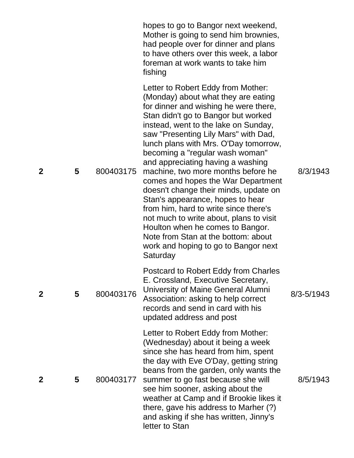|              |   |           | hopes to go to Bangor next weekend,<br>Mother is going to send him brownies,<br>had people over for dinner and plans<br>to have others over this week, a labor<br>foreman at work wants to take him<br>fishing                                                                                                                                                                                                                                                                                                                                                                                                                                                                                                                         |                |
|--------------|---|-----------|----------------------------------------------------------------------------------------------------------------------------------------------------------------------------------------------------------------------------------------------------------------------------------------------------------------------------------------------------------------------------------------------------------------------------------------------------------------------------------------------------------------------------------------------------------------------------------------------------------------------------------------------------------------------------------------------------------------------------------------|----------------|
| $\mathbf 2$  | 5 | 800403175 | Letter to Robert Eddy from Mother:<br>(Monday) about what they are eating<br>for dinner and wishing he were there,<br>Stan didn't go to Bangor but worked<br>instead, went to the lake on Sunday,<br>saw "Presenting Lily Mars" with Dad,<br>lunch plans with Mrs. O'Day tomorrow,<br>becoming a "regular wash woman"<br>and appreciating having a washing<br>machine, two more months before he<br>comes and hopes the War Department<br>doesn't change their minds, update on<br>Stan's appearance, hopes to hear<br>from him, hard to write since there's<br>not much to write about, plans to visit<br>Houlton when he comes to Bangor.<br>Note from Stan at the bottom: about<br>work and hoping to go to Bangor next<br>Saturday | 8/3/1943       |
| $\mathbf{2}$ | 5 | 800403176 | Postcard to Robert Eddy from Charles<br>E. Crossland, Executive Secretary,<br>University of Maine General Alumni<br>Association: asking to help correct<br>records and send in card with his<br>updated address and post                                                                                                                                                                                                                                                                                                                                                                                                                                                                                                               | $8/3 - 5/1943$ |
| 2            | 5 | 800403177 | Letter to Robert Eddy from Mother:<br>(Wednesday) about it being a week<br>since she has heard from him, spent<br>the day with Eve O'Day, getting string<br>beans from the garden, only wants the<br>summer to go fast because she will<br>see him sooner, asking about the<br>weather at Camp and if Brookie likes it<br>there, gave his address to Marher (?)<br>and asking if she has written, Jinny's<br>letter to Stan                                                                                                                                                                                                                                                                                                            | 8/5/1943       |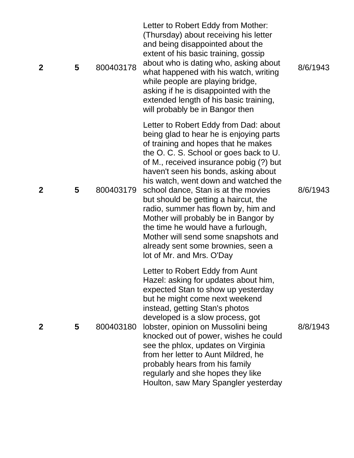| $\mathbf 2$ | 5 | 800403178 | Letter to Robert Eddy from Mother:<br>(Thursday) about receiving his letter<br>and being disappointed about the<br>extent of his basic training, gossip<br>about who is dating who, asking about<br>what happened with his watch, writing<br>while people are playing bridge,<br>asking if he is disappointed with the<br>extended length of his basic training,<br>will probably be in Bangor then                                                                                                                                                                                                        | 8/6/1943 |
|-------------|---|-----------|------------------------------------------------------------------------------------------------------------------------------------------------------------------------------------------------------------------------------------------------------------------------------------------------------------------------------------------------------------------------------------------------------------------------------------------------------------------------------------------------------------------------------------------------------------------------------------------------------------|----------|
| $\mathbf 2$ | 5 | 800403179 | Letter to Robert Eddy from Dad: about<br>being glad to hear he is enjoying parts<br>of training and hopes that he makes<br>the O. C. S. School or goes back to U.<br>of M., received insurance pobig (?) but<br>haven't seen his bonds, asking about<br>his watch, went down and watched the<br>school dance, Stan is at the movies<br>but should be getting a haircut, the<br>radio, summer has flown by, him and<br>Mother will probably be in Bangor by<br>the time he would have a furlough,<br>Mother will send some snapshots and<br>already sent some brownies, seen a<br>lot of Mr. and Mrs. O'Day | 8/6/1943 |
| $\mathbf 2$ | 5 | 800403180 | Letter to Robert Eddy from Aunt<br>Hazel: asking for updates about him,<br>expected Stan to show up yesterday<br>but he might come next weekend<br>instead, getting Stan's photos<br>developed is a slow process, got<br>lobster, opinion on Mussolini being<br>knocked out of power, wishes he could<br>see the phlox, updates on Virginia<br>from her letter to Aunt Mildred, he<br>probably hears from his family<br>regularly and she hopes they like<br>Houlton, saw Mary Spangler yesterday                                                                                                          | 8/8/1943 |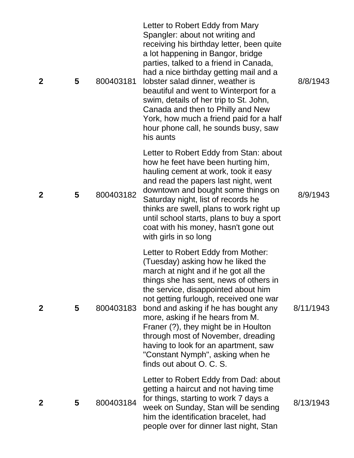| $\mathbf{2}$ | 5 | 800403181 | Letter to Robert Eddy from Mary<br>Spangler: about not writing and<br>receiving his birthday letter, been quite<br>a lot happening in Bangor, bridge<br>parties, talked to a friend in Canada,<br>had a nice birthday getting mail and a<br>lobster salad dinner, weather is<br>beautiful and went to Winterport for a<br>swim, details of her trip to St. John,<br>Canada and then to Philly and New<br>York, how much a friend paid for a half<br>hour phone call, he sounds busy, saw<br>his aunts        | 8/8/1943  |
|--------------|---|-----------|--------------------------------------------------------------------------------------------------------------------------------------------------------------------------------------------------------------------------------------------------------------------------------------------------------------------------------------------------------------------------------------------------------------------------------------------------------------------------------------------------------------|-----------|
| $\mathbf 2$  | 5 | 800403182 | Letter to Robert Eddy from Stan: about<br>how he feet have been hurting him,<br>hauling cement at work, took it easy<br>and read the papers last night, went<br>downtown and bought some things on<br>Saturday night, list of records he<br>thinks are swell, plans to work right up<br>until school starts, plans to buy a sport<br>coat with his money, hasn't gone out<br>with girls in so long                                                                                                           | 8/9/1943  |
| $\mathbf{2}$ | 5 | 800403183 | Letter to Robert Eddy from Mother:<br>(Tuesday) asking how he liked the<br>march at night and if he got all the<br>things she has sent, news of others in<br>the service, disappointed about him<br>not getting furlough, received one war<br>bond and asking if he has bought any<br>more, asking if he hears from M.<br>Franer (?), they might be in Houlton<br>through most of November, dreading<br>having to look for an apartment, saw<br>"Constant Nymph", asking when he<br>finds out about O. C. S. | 8/11/1943 |
| $\mathbf 2$  | 5 | 800403184 | Letter to Robert Eddy from Dad: about<br>getting a haircut and not having time<br>for things, starting to work 7 days a<br>week on Sunday, Stan will be sending<br>him the identification bracelet, had<br>people over for dinner last night, Stan                                                                                                                                                                                                                                                           | 8/13/1943 |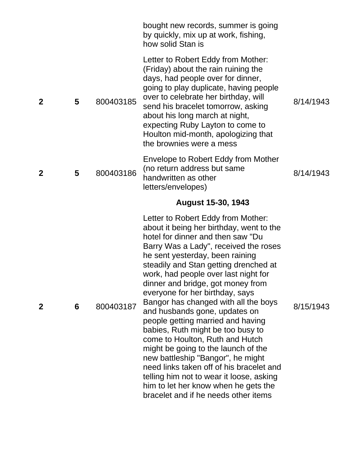|              |   |           | bought new records, summer is going<br>by quickly, mix up at work, fishing,<br>how solid Stan is                                                                                                                                                                                                                                                                                                                                                                                                            |           |
|--------------|---|-----------|-------------------------------------------------------------------------------------------------------------------------------------------------------------------------------------------------------------------------------------------------------------------------------------------------------------------------------------------------------------------------------------------------------------------------------------------------------------------------------------------------------------|-----------|
| $\mathbf{2}$ | 5 | 800403185 | Letter to Robert Eddy from Mother:<br>(Friday) about the rain ruining the<br>days, had people over for dinner,<br>going to play duplicate, having people<br>over to celebrate her birthday, will<br>send his bracelet tomorrow, asking<br>about his long march at night,<br>expecting Ruby Layton to come to<br>Houlton mid-month, apologizing that<br>the brownies were a mess                                                                                                                             | 8/14/1943 |
| $\mathbf 2$  | 5 | 800403186 | Envelope to Robert Eddy from Mother<br>(no return address but same<br>handwritten as other<br>letters/envelopes)                                                                                                                                                                                                                                                                                                                                                                                            | 8/14/1943 |
|              |   |           | <b>August 15-30, 1943</b>                                                                                                                                                                                                                                                                                                                                                                                                                                                                                   |           |
| 2            | 6 | 800403187 | Letter to Robert Eddy from Mother:<br>about it being her birthday, went to the<br>hotel for dinner and then saw "Du<br>Barry Was a Lady", received the roses<br>he sent yesterday, been raining<br>steadily and Stan getting drenched at<br>work, had people over last night for<br>dinner and bridge, got money from<br>everyone for her birthday, says<br>Bangor has changed with all the boys<br>and husbands gone, updates on<br>people getting married and having<br>babies, Ruth might be too busy to | 8/15/1943 |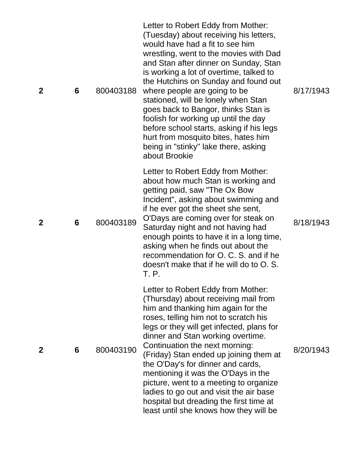| $\mathbf{2}$ | 6 | 800403188 | Letter to Robert Eddy from Mother:<br>(Tuesday) about receiving his letters,<br>would have had a fit to see him<br>wrestling, went to the movies with Dad<br>and Stan after dinner on Sunday, Stan<br>is working a lot of overtime, talked to<br>the Hutchins on Sunday and found out<br>where people are going to be<br>stationed, will be lonely when Stan<br>goes back to Bangor, thinks Stan is<br>foolish for working up until the day<br>before school starts, asking if his legs<br>hurt from mosquito bites, hates him<br>being in "stinky" lake there, asking<br>about Brookie | 8/17/1943 |
|--------------|---|-----------|-----------------------------------------------------------------------------------------------------------------------------------------------------------------------------------------------------------------------------------------------------------------------------------------------------------------------------------------------------------------------------------------------------------------------------------------------------------------------------------------------------------------------------------------------------------------------------------------|-----------|
| $\mathbf{2}$ | 6 | 800403189 | Letter to Robert Eddy from Mother:<br>about how much Stan is working and<br>getting paid, saw "The Ox Bow<br>Incident", asking about swimming and<br>if he ever got the sheet she sent,<br>O'Days are coming over for steak on<br>Saturday night and not having had<br>enough points to have it in a long time,<br>asking when he finds out about the<br>recommendation for O. C. S. and if he<br>doesn't make that if he will do to O. S.<br>T. P.                                                                                                                                     | 8/18/1943 |
| $\mathbf 2$  | 6 | 800403190 | Letter to Robert Eddy from Mother:<br>(Thursday) about receiving mail from<br>him and thanking him again for the<br>roses, telling him not to scratch his<br>legs or they will get infected, plans for<br>dinner and Stan working overtime.<br>Continuation the next morning:<br>(Friday) Stan ended up joining them at<br>the O'Day's for dinner and cards,<br>mentioning it was the O'Days in the<br>picture, went to a meeting to organize<br>ladies to go out and visit the air base<br>hospital but dreading the first time at<br>least until she knows how they will be           | 8/20/1943 |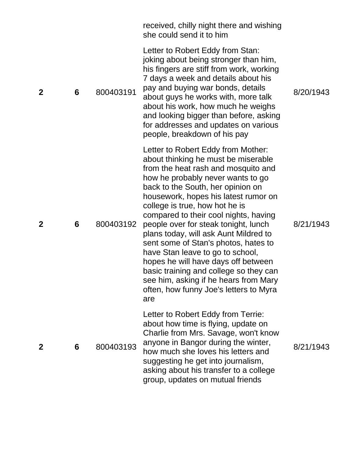|             |   |           | received, chilly night there and wishing<br>she could send it to him                                                                                                                                                                                                                                                                                                                                                                                                                                                                                                                                                                                  |           |
|-------------|---|-----------|-------------------------------------------------------------------------------------------------------------------------------------------------------------------------------------------------------------------------------------------------------------------------------------------------------------------------------------------------------------------------------------------------------------------------------------------------------------------------------------------------------------------------------------------------------------------------------------------------------------------------------------------------------|-----------|
| $\mathbf 2$ | 6 | 800403191 | Letter to Robert Eddy from Stan:<br>joking about being stronger than him,<br>his fingers are stiff from work, working<br>7 days a week and details about his<br>pay and buying war bonds, details<br>about guys he works with, more talk<br>about his work, how much he weighs<br>and looking bigger than before, asking<br>for addresses and updates on various<br>people, breakdown of his pay                                                                                                                                                                                                                                                      | 8/20/1943 |
| $\mathbf 2$ | 6 | 800403192 | Letter to Robert Eddy from Mother:<br>about thinking he must be miserable<br>from the heat rash and mosquito and<br>how he probably never wants to go<br>back to the South, her opinion on<br>housework, hopes his latest rumor on<br>college is true, how hot he is<br>compared to their cool nights, having<br>people over for steak tonight, lunch<br>plans today, will ask Aunt Mildred to<br>sent some of Stan's photos, hates to<br>have Stan leave to go to school,<br>hopes he will have days off between<br>basic training and college so they can<br>see him, asking if he hears from Mary<br>often, how funny Joe's letters to Myra<br>are | 8/21/1943 |
| $\mathbf 2$ | 6 | 800403193 | Letter to Robert Eddy from Terrie:<br>about how time is flying, update on<br>Charlie from Mrs. Savage, won't know<br>anyone in Bangor during the winter,<br>how much she loves his letters and<br>suggesting he get into journalism,<br>asking about his transfer to a college<br>group, updates on mutual friends                                                                                                                                                                                                                                                                                                                                    | 8/21/1943 |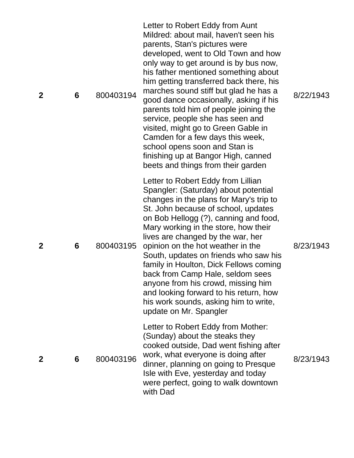| $\mathbf 2$ | 6 | 800403194 | Letter to Robert Eddy from Aunt<br>Mildred: about mail, haven't seen his<br>parents, Stan's pictures were<br>developed, went to Old Town and how<br>only way to get around is by bus now,<br>his father mentioned something about<br>him getting transferred back there, his<br>marches sound stiff but glad he has a<br>good dance occasionally, asking if his<br>parents told him of people joining the<br>service, people she has seen and<br>visited, might go to Green Gable in<br>Camden for a few days this week,<br>school opens soon and Stan is<br>finishing up at Bangor High, canned<br>beets and things from their garden | 8/22/1943 |
|-------------|---|-----------|----------------------------------------------------------------------------------------------------------------------------------------------------------------------------------------------------------------------------------------------------------------------------------------------------------------------------------------------------------------------------------------------------------------------------------------------------------------------------------------------------------------------------------------------------------------------------------------------------------------------------------------|-----------|
| $\mathbf 2$ | 6 | 800403195 | Letter to Robert Eddy from Lillian<br>Spangler: (Saturday) about potential<br>changes in the plans for Mary's trip to<br>St. John because of school, updates<br>on Bob Hellogg (?), canning and food,<br>Mary working in the store, how their<br>lives are changed by the war, her<br>opinion on the hot weather in the<br>South, updates on friends who saw his<br>family in Houlton, Dick Fellows coming<br>back from Camp Hale, seldom sees<br>anyone from his crowd, missing him<br>and looking forward to his return, how<br>his work sounds, asking him to write,<br>update on Mr. Spangler                                      | 8/23/1943 |
| 2           | 6 | 800403196 | Letter to Robert Eddy from Mother:<br>(Sunday) about the steaks they<br>cooked outside, Dad went fishing after<br>work, what everyone is doing after<br>dinner, planning on going to Presque<br>Isle with Eve, yesterday and today<br>were perfect, going to walk downtown<br>with Dad                                                                                                                                                                                                                                                                                                                                                 | 8/23/1943 |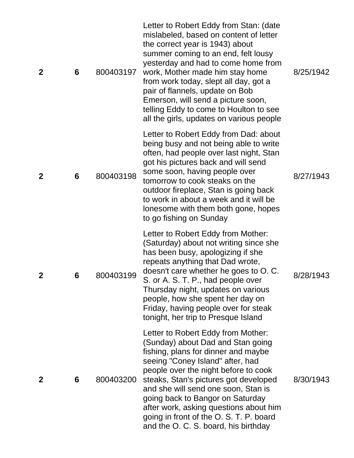| $\mathbf{2}$ | 6 | 800403197 | Letter to Robert Eddy from Stan: (date<br>mislabeled, based on content of letter<br>the correct year is 1943) about<br>summer coming to an end, felt lousy<br>yesterday and had to come home from<br>work, Mother made him stay home<br>from work today, slept all day, got a<br>pair of flannels, update on Bob<br>Emerson, will send a picture soon,<br>telling Eddy to come to Houlton to see<br>all the girls, updates on various people | 8/25/1942 |
|--------------|---|-----------|----------------------------------------------------------------------------------------------------------------------------------------------------------------------------------------------------------------------------------------------------------------------------------------------------------------------------------------------------------------------------------------------------------------------------------------------|-----------|
| $\mathbf{2}$ | 6 | 800403198 | Letter to Robert Eddy from Dad: about<br>being busy and not being able to write<br>often, had people over last night, Stan<br>got his pictures back and will send<br>some soon, having people over<br>tomorrow to cook steaks on the<br>outdoor fireplace, Stan is going back<br>to work in about a week and it will be<br>lonesome with them both gone, hopes<br>to go fishing on Sunday                                                    | 8/27/1943 |
| $\mathbf 2$  | 6 | 800403199 | Letter to Robert Eddy from Mother:<br>(Saturday) about not writing since she<br>has been busy, apologizing if she<br>repeats anything that Dad wrote,<br>doesn't care whether he goes to O. C.<br>S. or A. S. T. P., had people over<br>Thursday night, updates on various<br>people, how she spent her day on<br>Friday, having people over for steak<br>tonight, her trip to Presque Island                                                | 8/28/1943 |
| $\mathbf{2}$ | 6 | 800403200 | Letter to Robert Eddy from Mother:<br>(Sunday) about Dad and Stan going<br>fishing, plans for dinner and maybe<br>seeing "Coney Island" after, had<br>people over the night before to cook<br>steaks, Stan's pictures got developed<br>and she will send one soon, Stan is<br>going back to Bangor on Saturday<br>after work, asking questions about him<br>going in front of the O.S.T.P. board<br>and the O. C. S. board, his birthday     | 8/30/1943 |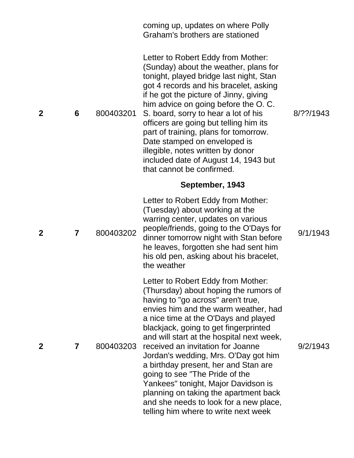|             |                |           | coming up, updates on where Polly<br>Graham's brothers are stationed                                                                                                                                                                                                                                                                                                                                                                                                                                                                                                                                             |           |
|-------------|----------------|-----------|------------------------------------------------------------------------------------------------------------------------------------------------------------------------------------------------------------------------------------------------------------------------------------------------------------------------------------------------------------------------------------------------------------------------------------------------------------------------------------------------------------------------------------------------------------------------------------------------------------------|-----------|
| $\mathbf 2$ | 6              | 800403201 | Letter to Robert Eddy from Mother:<br>(Sunday) about the weather, plans for<br>tonight, played bridge last night, Stan<br>got 4 records and his bracelet, asking<br>if he got the picture of Jinny, giving<br>him advice on going before the O. C.<br>S. board, sorry to hear a lot of his<br>officers are going but telling him its<br>part of training, plans for tomorrow.<br>Date stamped on enveloped is<br>illegible, notes written by donor<br>included date of August 14, 1943 but<br>that cannot be confirmed.                                                                                          | 8/??/1943 |
|             |                |           | September, 1943                                                                                                                                                                                                                                                                                                                                                                                                                                                                                                                                                                                                  |           |
| $\mathbf 2$ | $\overline{7}$ | 800403202 | Letter to Robert Eddy from Mother:<br>(Tuesday) about working at the<br>warring center, updates on various<br>people/friends, going to the O'Days for<br>dinner tomorrow night with Stan before<br>he leaves, forgotten she had sent him<br>his old pen, asking about his bracelet,<br>the weather                                                                                                                                                                                                                                                                                                               | 9/1/1943  |
| $\mathbf 2$ | 7              | 800403203 | Letter to Robert Eddy from Mother:<br>(Thursday) about hoping the rumors of<br>having to "go across" aren't true,<br>envies him and the warm weather, had<br>a nice time at the O'Days and played<br>blackjack, going to get fingerprinted<br>and will start at the hospital next week,<br>received an invitation for Joanne<br>Jordan's wedding, Mrs. O'Day got him<br>a birthday present, her and Stan are<br>going to see "The Pride of the<br>Yankees" tonight, Major Davidson is<br>planning on taking the apartment back<br>and she needs to look for a new place,<br>telling him where to write next week | 9/2/1943  |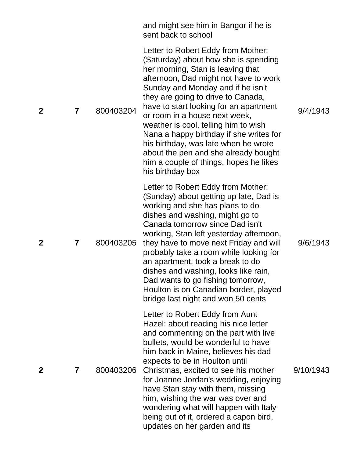|             |                         |           | and might see him in Bangor if he is<br>sent back to school                                                                                                                                                                                                                                                                                                                                                                                                                                                                                     |           |
|-------------|-------------------------|-----------|-------------------------------------------------------------------------------------------------------------------------------------------------------------------------------------------------------------------------------------------------------------------------------------------------------------------------------------------------------------------------------------------------------------------------------------------------------------------------------------------------------------------------------------------------|-----------|
| $\mathbf 2$ | 7                       | 800403204 | Letter to Robert Eddy from Mother:<br>(Saturday) about how she is spending<br>her morning, Stan is leaving that<br>afternoon, Dad might not have to work<br>Sunday and Monday and if he isn't<br>they are going to drive to Canada,<br>have to start looking for an apartment<br>or room in a house next week,<br>weather is cool, telling him to wish<br>Nana a happy birthday if she writes for<br>his birthday, was late when he wrote<br>about the pen and she already bought<br>him a couple of things, hopes he likes<br>his birthday box | 9/4/1943  |
| $\mathbf 2$ | 7                       | 800403205 | Letter to Robert Eddy from Mother:<br>(Sunday) about getting up late, Dad is<br>working and she has plans to do<br>dishes and washing, might go to<br>Canada tomorrow since Dad isn't<br>working, Stan left yesterday afternoon,<br>they have to move next Friday and will<br>probably take a room while looking for<br>an apartment, took a break to do<br>dishes and washing, looks like rain,<br>Dad wants to go fishing tomorrow,<br>Houlton is on Canadian border, played<br>bridge last night and won 50 cents                            | 9/6/1943  |
| $\mathbf 2$ | $\overline{\mathbf{r}}$ | 800403206 | Letter to Robert Eddy from Aunt<br>Hazel: about reading his nice letter<br>and commenting on the part with live<br>bullets, would be wonderful to have<br>him back in Maine, believes his dad<br>expects to be in Houlton until<br>Christmas, excited to see his mother<br>for Joanne Jordan's wedding, enjoying<br>have Stan stay with them, missing<br>him, wishing the war was over and<br>wondering what will happen with Italy<br>being out of it, ordered a capon bird,<br>updates on her garden and its                                  | 9/10/1943 |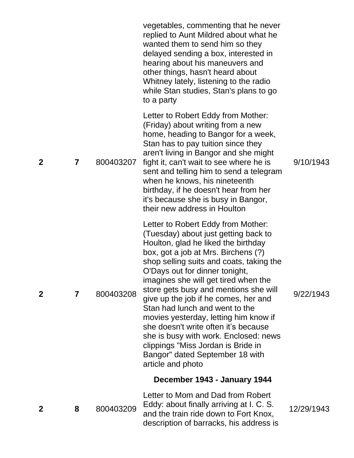|             |                         |           | vegetables, commenting that he never<br>replied to Aunt Mildred about what he<br>wanted them to send him so they<br>delayed sending a box, interested in<br>hearing about his maneuvers and<br>other things, hasn't heard about<br>Whitney lately, listening to the radio<br>while Stan studies, Stan's plans to go<br>to a party                                                                                                                                                                                                                                                                                         |            |
|-------------|-------------------------|-----------|---------------------------------------------------------------------------------------------------------------------------------------------------------------------------------------------------------------------------------------------------------------------------------------------------------------------------------------------------------------------------------------------------------------------------------------------------------------------------------------------------------------------------------------------------------------------------------------------------------------------------|------------|
| $\mathbf 2$ | $\overline{\mathbf{7}}$ | 800403207 | Letter to Robert Eddy from Mother:<br>(Friday) about writing from a new<br>home, heading to Bangor for a week,<br>Stan has to pay tuition since they<br>aren't living in Bangor and she might<br>fight it, can't wait to see where he is<br>sent and telling him to send a telegram<br>when he knows, his nineteenth<br>birthday, if he doesn't hear from her<br>it's because she is busy in Bangor,<br>their new address in Houlton                                                                                                                                                                                      | 9/10/1943  |
| $\mathbf 2$ | 7                       | 800403208 | Letter to Robert Eddy from Mother:<br>(Tuesday) about just getting back to<br>Houlton, glad he liked the birthday<br>box, got a job at Mrs. Birchens (?)<br>shop selling suits and coats, taking the<br>O'Days out for dinner tonight,<br>imagines she will get tired when the<br>store gets busy and mentions she will<br>give up the job if he comes, her and<br>Stan had lunch and went to the<br>movies yesterday, letting him know if<br>she doesn't write often it's because<br>she is busy with work. Enclosed: news<br>clippings "Miss Jordan is Bride in<br>Bangor" dated September 18 with<br>article and photo | 9/22/1943  |
|             |                         |           | December 1943 - January 1944                                                                                                                                                                                                                                                                                                                                                                                                                                                                                                                                                                                              |            |
| 2           | 8                       | 800403209 | Letter to Mom and Dad from Robert<br>Eddy: about finally arriving at I. C. S.<br>and the train ride down to Fort Knox,<br>description of barracks, his address is                                                                                                                                                                                                                                                                                                                                                                                                                                                         | 12/29/1943 |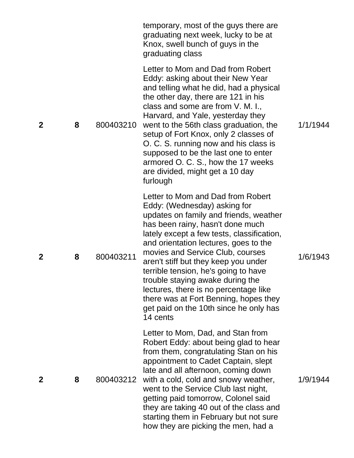|              |   |           | temporary, most of the guys there are<br>graduating next week, lucky to be at<br>Knox, swell bunch of guys in the<br>graduating class                                                                                                                                                                                                                                                                                                                                                                                                  |          |
|--------------|---|-----------|----------------------------------------------------------------------------------------------------------------------------------------------------------------------------------------------------------------------------------------------------------------------------------------------------------------------------------------------------------------------------------------------------------------------------------------------------------------------------------------------------------------------------------------|----------|
| $\mathbf 2$  | 8 | 800403210 | Letter to Mom and Dad from Robert<br>Eddy: asking about their New Year<br>and telling what he did, had a physical<br>the other day, there are 121 in his<br>class and some are from V. M. I.,<br>Harvard, and Yale, yesterday they<br>went to the 56th class graduation, the<br>setup of Fort Knox, only 2 classes of<br>O. C. S. running now and his class is<br>supposed to be the last one to enter<br>armored O. C. S., how the 17 weeks<br>are divided, might get a 10 day<br>furlough                                            | 1/1/1944 |
| $\mathbf 2$  | 8 | 800403211 | Letter to Mom and Dad from Robert<br>Eddy: (Wednesday) asking for<br>updates on family and friends, weather<br>has been rainy, hasn't done much<br>lately except a few tests, classification,<br>and orientation lectures, goes to the<br>movies and Service Club, courses<br>aren't stiff but they keep you under<br>terrible tension, he's going to have<br>trouble staying awake during the<br>lectures, there is no percentage like<br>there was at Fort Benning, hopes they<br>get paid on the 10th since he only has<br>14 cents | 1/6/1943 |
| $\mathbf{2}$ | 8 | 800403212 | Letter to Mom, Dad, and Stan from<br>Robert Eddy: about being glad to hear<br>from them, congratulating Stan on his<br>appointment to Cadet Captain, slept<br>late and all afternoon, coming down<br>with a cold, cold and snowy weather,<br>went to the Service Club last night,<br>getting paid tomorrow, Colonel said<br>they are taking 40 out of the class and<br>starting them in February but not sure<br>how they are picking the men, had a                                                                                   | 1/9/1944 |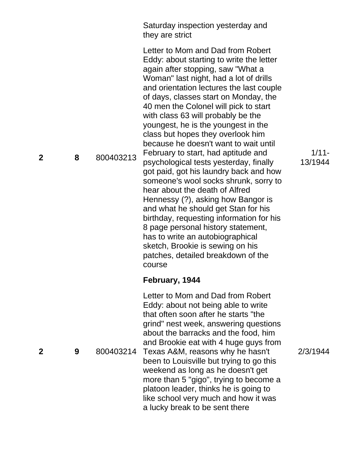Saturday inspection yesterday and they are strict

Letter to Mom and Dad from Robert Eddy: about starting to write the letter again after stopping, saw "What a Woman" last night, had a lot of drills and orientation lectures the last couple of days, classes start on Monday, the 40 men the Colonel will pick to start with class 63 will probably be the youngest, he is the youngest in the class but hopes they overlook him because he doesn't want to wait until February to start, had aptitude and psychological tests yesterday, finally got paid, got his laundry back and how someone's wool socks shrunk, sorry to hear about the death of Alfred Hennessy (?), asking how Bangor is and what he should get Stan for his birthday, requesting information for his 8 page personal history statement, has to write an autobiographical sketch, Brookie is sewing on his patches, detailed breakdown of the course

### **February, 1944**

Letter to Mom and Dad from Robert Eddy: about not being able to write that often soon after he starts "the grind" nest week, answering questions about the barracks and the food, him and Brookie eat with 4 huge guys from Texas A&M, reasons why he hasn't been to Louisville but trying to go this weekend as long as he doesn't get more than 5 "gigo", trying to become a platoon leader, thinks he is going to like school very much and how it was a lucky break to be sent there

1/11 - 13/1944

2/3/1944

**2**

**8** 800403213

**9** 800403214

**2**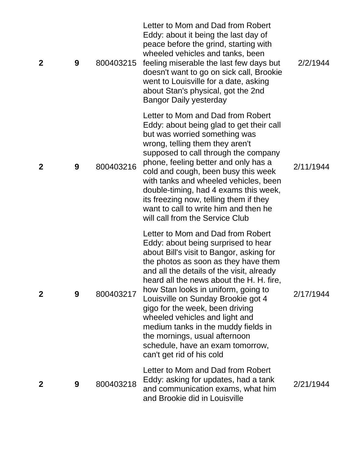| $\mathbf{2}$ | 9 | 800403215 | Letter to Mom and Dad from Robert<br>Eddy: about it being the last day of<br>peace before the grind, starting with<br>wheeled vehicles and tanks, been<br>feeling miserable the last few days but<br>doesn't want to go on sick call, Brookie<br>went to Louisville for a date, asking<br>about Stan's physical, got the 2nd<br><b>Bangor Daily yesterday</b>                                                                                                                                                                                    | 2/2/1944  |
|--------------|---|-----------|--------------------------------------------------------------------------------------------------------------------------------------------------------------------------------------------------------------------------------------------------------------------------------------------------------------------------------------------------------------------------------------------------------------------------------------------------------------------------------------------------------------------------------------------------|-----------|
| $\mathbf 2$  | 9 | 800403216 | Letter to Mom and Dad from Robert<br>Eddy: about being glad to get their call<br>but was worried something was<br>wrong, telling them they aren't<br>supposed to call through the company<br>phone, feeling better and only has a<br>cold and cough, been busy this week<br>with tanks and wheeled vehicles, been<br>double-timing, had 4 exams this week,<br>its freezing now, telling them if they<br>want to call to write him and then he<br>will call from the Service Club                                                                 | 2/11/1944 |
| $\mathbf{2}$ | 9 | 800403217 | Letter to Mom and Dad from Robert<br>Eddy: about being surprised to hear<br>about Bill's visit to Bangor, asking for<br>the photos as soon as they have them<br>and all the details of the visit, already<br>heard all the news about the H. H. fire,<br>how Stan looks in uniform, going to<br>Louisville on Sunday Brookie got 4<br>gigo for the week, been driving<br>wheeled vehicles and light and<br>medium tanks in the muddy fields in<br>the mornings, usual afternoon<br>schedule, have an exam tomorrow,<br>can't get rid of his cold | 2/17/1944 |
| $\mathbf{2}$ | 9 | 800403218 | Letter to Mom and Dad from Robert<br>Eddy: asking for updates, had a tank<br>and communication exams, what him<br>and Brookie did in Louisville                                                                                                                                                                                                                                                                                                                                                                                                  | 2/21/1944 |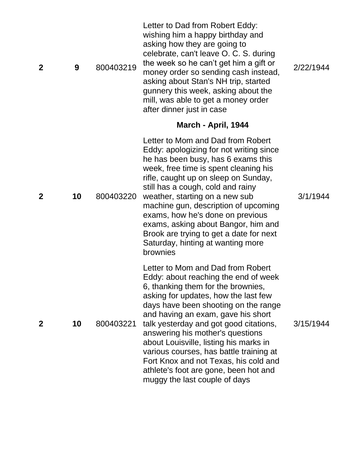| $\overline{2}$ | 9  | 800403219 | Letter to Dad from Robert Eddy:<br>wishing him a happy birthday and<br>asking how they are going to<br>celebrate, can't leave O. C. S. during<br>the week so he can't get him a gift or<br>money order so sending cash instead,<br>asking about Stan's NH trip, started<br>gunnery this week, asking about the<br>mill, was able to get a money order<br>after dinner just in case                                                                                                                                          | 2/22/1944 |
|----------------|----|-----------|-----------------------------------------------------------------------------------------------------------------------------------------------------------------------------------------------------------------------------------------------------------------------------------------------------------------------------------------------------------------------------------------------------------------------------------------------------------------------------------------------------------------------------|-----------|
|                |    |           | March - April, 1944                                                                                                                                                                                                                                                                                                                                                                                                                                                                                                         |           |
| $\mathbf 2$    | 10 | 800403220 | Letter to Mom and Dad from Robert<br>Eddy: apologizing for not writing since<br>he has been busy, has 6 exams this<br>week, free time is spent cleaning his<br>rifle, caught up on sleep on Sunday,<br>still has a cough, cold and rainy<br>weather, starting on a new sub<br>machine gun, description of upcoming<br>exams, how he's done on previous<br>exams, asking about Bangor, him and<br>Brook are trying to get a date for next<br>Saturday, hinting at wanting more<br>brownies                                   | 3/1/1944  |
| $\mathbf 2$    | 10 | 800403221 | Letter to Mom and Dad from Robert<br>Eddy: about reaching the end of week<br>6, thanking them for the brownies,<br>asking for updates, how the last few<br>days have been shooting on the range<br>and having an exam, gave his short<br>talk yesterday and got good citations,<br>answering his mother's questions<br>about Louisville, listing his marks in<br>various courses, has battle training at<br>Fort Knox and not Texas, his cold and<br>athlete's foot are gone, been hot and<br>muggy the last couple of days | 3/15/1944 |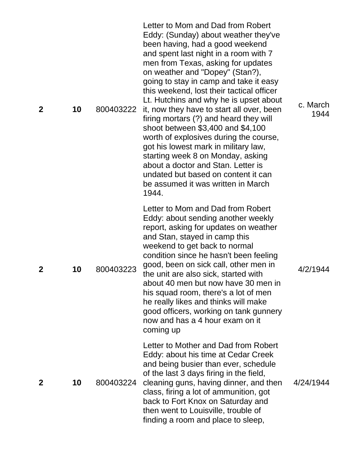| $\mathbf{2}$ | 10 | 800403222 | Letter to Mom and Dad from Robert<br>Eddy: (Sunday) about weather they've<br>been having, had a good weekend<br>and spent last night in a room with 7<br>men from Texas, asking for updates<br>on weather and "Dopey" (Stan?),<br>going to stay in camp and take it easy<br>this weekend, lost their tactical officer<br>Lt. Hutchins and why he is upset about<br>it, now they have to start all over, been<br>firing mortars (?) and heard they will<br>shoot between \$3,400 and \$4,100<br>worth of explosives during the course,<br>got his lowest mark in military law,<br>starting week 8 on Monday, asking<br>about a doctor and Stan. Letter is<br>undated but based on content it can<br>be assumed it was written in March<br>1944. | c. March<br>1944 |
|--------------|----|-----------|------------------------------------------------------------------------------------------------------------------------------------------------------------------------------------------------------------------------------------------------------------------------------------------------------------------------------------------------------------------------------------------------------------------------------------------------------------------------------------------------------------------------------------------------------------------------------------------------------------------------------------------------------------------------------------------------------------------------------------------------|------------------|
| $\mathbf 2$  | 10 | 800403223 | Letter to Mom and Dad from Robert<br>Eddy: about sending another weekly<br>report, asking for updates on weather<br>and Stan, stayed in camp this<br>weekend to get back to normal<br>condition since he hasn't been feeling<br>good, been on sick call, other men in<br>the unit are also sick, started with<br>about 40 men but now have 30 men in<br>his squad room, there's a lot of men<br>he really likes and thinks will make<br>good officers, working on tank gunnery<br>now and has a 4 hour exam on it<br>coming up                                                                                                                                                                                                                 | 4/2/1944         |
| $\mathbf 2$  | 10 | 800403224 | Letter to Mother and Dad from Robert<br>Eddy: about his time at Cedar Creek<br>and being busier than ever, schedule<br>of the last 3 days firing in the field,<br>cleaning guns, having dinner, and then<br>class, firing a lot of ammunition, got<br>back to Fort Knox on Saturday and<br>then went to Louisville, trouble of<br>finding a room and place to sleep,                                                                                                                                                                                                                                                                                                                                                                           | 4/24/1944        |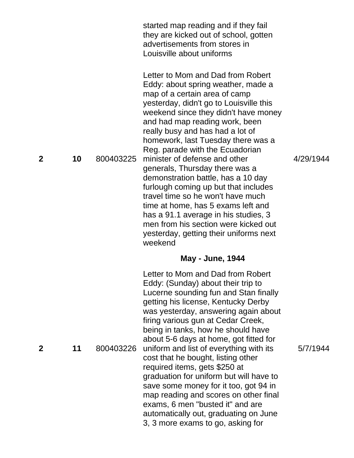|             |    |           | started map reading and if they fail<br>they are kicked out of school, gotten<br>advertisements from stores in<br>Louisville about uniforms                                                                                                                                                                                                                                                                                                                                                                                                                                                                                                                                                                 |           |
|-------------|----|-----------|-------------------------------------------------------------------------------------------------------------------------------------------------------------------------------------------------------------------------------------------------------------------------------------------------------------------------------------------------------------------------------------------------------------------------------------------------------------------------------------------------------------------------------------------------------------------------------------------------------------------------------------------------------------------------------------------------------------|-----------|
| $\mathbf 2$ | 10 | 800403225 | Letter to Mom and Dad from Robert<br>Eddy: about spring weather, made a<br>map of a certain area of camp<br>yesterday, didn't go to Louisville this<br>weekend since they didn't have money<br>and had map reading work, been<br>really busy and has had a lot of<br>homework, last Tuesday there was a<br>Reg. parade with the Ecuadorian<br>minister of defense and other<br>generals, Thursday there was a<br>demonstration battle, has a 10 day<br>furlough coming up but that includes<br>travel time so he won't have much<br>time at home, has 5 exams left and<br>has a 91.1 average in his studies, 3<br>men from his section were kicked out<br>yesterday, getting their uniforms next<br>weekend | 4/29/1944 |
|             |    |           | <b>May - June, 1944</b>                                                                                                                                                                                                                                                                                                                                                                                                                                                                                                                                                                                                                                                                                     |           |
| 2           | 11 | 800403226 | Letter to Mom and Dad from Robert<br>Eddy: (Sunday) about their trip to<br>Lucerne sounding fun and Stan finally<br>getting his license, Kentucky Derby<br>was yesterday, answering again about<br>firing various gun at Cedar Creek,<br>being in tanks, how he should have<br>about 5-6 days at home, got fitted for<br>uniform and list of everything with its<br>cost that he bought, listing other<br>required items, gets \$250 at<br>graduation for uniform but will have to<br>save some money for it too, got 94 in<br>map reading and scores on other final<br>exams, 6 men "busted it" and are<br>automatically out, graduating on June<br>3, 3 more exams to go, asking for                      | 5/7/1944  |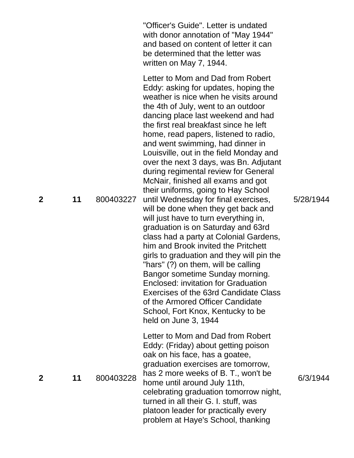|             |    |           | "Officer's Guide". Letter is undated<br>with donor annotation of "May 1944"<br>and based on content of letter it can<br>be determined that the letter was<br>written on May 7, 1944.                                                                                                                                                                                                                                                                                                                                                                                                                                                                                                                                                                                                                                                                                                                                                                                                                                                                                                                  |           |
|-------------|----|-----------|-------------------------------------------------------------------------------------------------------------------------------------------------------------------------------------------------------------------------------------------------------------------------------------------------------------------------------------------------------------------------------------------------------------------------------------------------------------------------------------------------------------------------------------------------------------------------------------------------------------------------------------------------------------------------------------------------------------------------------------------------------------------------------------------------------------------------------------------------------------------------------------------------------------------------------------------------------------------------------------------------------------------------------------------------------------------------------------------------------|-----------|
| $\mathbf 2$ | 11 | 800403227 | Letter to Mom and Dad from Robert<br>Eddy: asking for updates, hoping the<br>weather is nice when he visits around<br>the 4th of July, went to an outdoor<br>dancing place last weekend and had<br>the first real breakfast since he left<br>home, read papers, listened to radio,<br>and went swimming, had dinner in<br>Louisville, out in the field Monday and<br>over the next 3 days, was Bn. Adjutant<br>during regimental review for General<br>McNair, finished all exams and got<br>their uniforms, going to Hay School<br>until Wednesday for final exercises,<br>will be done when they get back and<br>will just have to turn everything in,<br>graduation is on Saturday and 63rd<br>class had a party at Colonial Gardens,<br>him and Brook invited the Pritchett<br>girls to graduation and they will pin the<br>"hars" (?) on them, will be calling<br>Bangor sometime Sunday morning.<br><b>Enclosed: invitation for Graduation</b><br><b>Exercises of the 63rd Candidate Class</b><br>of the Armored Officer Candidate<br>School, Fort Knox, Kentucky to be<br>held on June 3, 1944 | 5/28/1944 |
| 2           | 11 | 800403228 | Letter to Mom and Dad from Robert<br>Eddy: (Friday) about getting poison<br>oak on his face, has a goatee,<br>graduation exercises are tomorrow,<br>has 2 more weeks of B. T., won't be<br>home until around July 11th,<br>celebrating graduation tomorrow night,<br>turned in all their G. I. stuff, was<br>platoon leader for practically every<br>problem at Haye's School, thanking                                                                                                                                                                                                                                                                                                                                                                                                                                                                                                                                                                                                                                                                                                               | 6/3/1944  |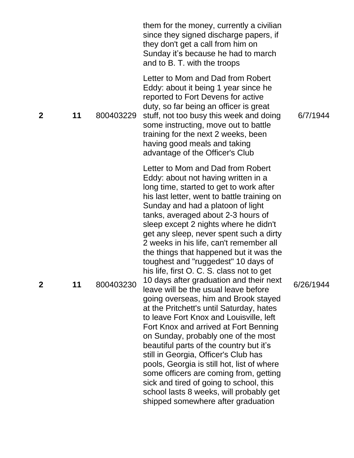|             |    |           | them for the money, currently a civilian<br>since they signed discharge papers, if<br>they don't get a call from him on<br>Sunday it's because he had to march<br>and to B. T. with the troops                                                                                                                                                                                                                                                                                                                                                                                                                                                                                                                                                                                                                                                                                                                                                                                                                                                                                                                       |           |
|-------------|----|-----------|----------------------------------------------------------------------------------------------------------------------------------------------------------------------------------------------------------------------------------------------------------------------------------------------------------------------------------------------------------------------------------------------------------------------------------------------------------------------------------------------------------------------------------------------------------------------------------------------------------------------------------------------------------------------------------------------------------------------------------------------------------------------------------------------------------------------------------------------------------------------------------------------------------------------------------------------------------------------------------------------------------------------------------------------------------------------------------------------------------------------|-----------|
| $\mathbf 2$ | 11 | 800403229 | Letter to Mom and Dad from Robert<br>Eddy: about it being 1 year since he<br>reported to Fort Devens for active<br>duty, so far being an officer is great<br>stuff, not too busy this week and doing<br>some instructing, move out to battle<br>training for the next 2 weeks, been<br>having good meals and taking<br>advantage of the Officer's Club                                                                                                                                                                                                                                                                                                                                                                                                                                                                                                                                                                                                                                                                                                                                                               | 6/7/1944  |
| $\mathbf 2$ | 11 | 800403230 | Letter to Mom and Dad from Robert<br>Eddy: about not having written in a<br>long time, started to get to work after<br>his last letter, went to battle training on<br>Sunday and had a platoon of light<br>tanks, averaged about 2-3 hours of<br>sleep except 2 nights where he didn't<br>get any sleep, never spent such a dirty<br>2 weeks in his life, can't remember all<br>the things that happened but it was the<br>toughest and "ruggedest" 10 days of<br>his life, first O. C. S. class not to get<br>10 days after graduation and their next<br>leave will be the usual leave before<br>going overseas, him and Brook stayed<br>at the Pritchett's until Saturday, hates<br>to leave Fort Knox and Louisville, left<br>Fort Knox and arrived at Fort Benning<br>on Sunday, probably one of the most<br>beautiful parts of the country but it's<br>still in Georgia, Officer's Club has<br>pools, Georgia is still hot, list of where<br>some officers are coming from, getting<br>sick and tired of going to school, this<br>school lasts 8 weeks, will probably get<br>shipped somewhere after graduation | 6/26/1944 |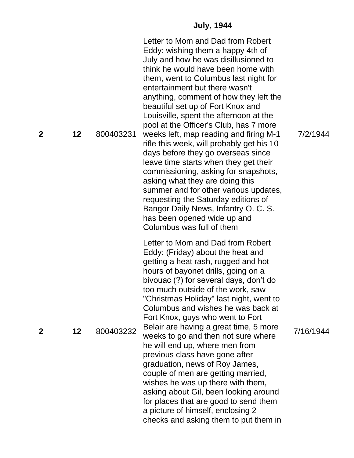### **July, 1944**

**2 12** 800403231 Letter to Mom and Dad from Robert Eddy: wishing them a happy 4th of July and how he was disillusioned to think he would have been home with them, went to Columbus last night for entertainment but there wasn't anything, comment of how they left the beautiful set up of Fort Knox and Louisville, spent the afternoon at the pool at the Officer's Club, has 7 more weeks left, map reading and firing M -1 rifle this week, will probably get his 10 days before they go overseas since leave time starts when they get their commissioning, asking for snapshots, asking what they are doing this summer and for other various updates, requesting the Saturday editions of Bangor Daily News, Infantry O. C. S. has been opened wide up and Columbus was full of them **2 12** 800403232 Letter to Mom and Dad from Robert Eddy: (Friday) about the heat and getting a heat rash, rugged and hot hours of bayonet drills, going on a bivouac (?) for several days, don't do too much outside of the work, saw "Christmas Holiday" last night, went to Columbus and wishes he was back at Fort Knox, guys who went to Fort Belair are having a great time, 5 more weeks to go and then not sure where he will end up, where men from previous class have gone after graduation, news of Roy James, couple of men are getting married, wishes he was up there with them, asking about Gil, been looking around for places that are good to send them a picture of himself, enclosing 2 checks and asking them to put them in

7/2/1944

7/16/1944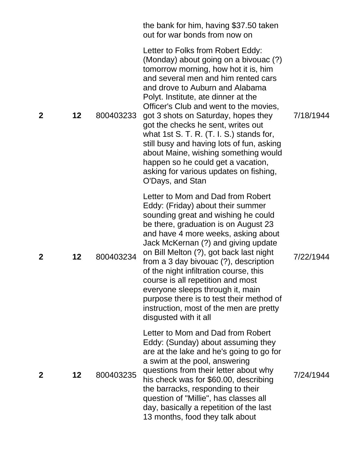|              |         |           | the bank for him, having \$37.50 taken<br>out for war bonds from now on                                                                                                                                                                                                                                                                                                                                                                                                                                                                                                                           |           |
|--------------|---------|-----------|---------------------------------------------------------------------------------------------------------------------------------------------------------------------------------------------------------------------------------------------------------------------------------------------------------------------------------------------------------------------------------------------------------------------------------------------------------------------------------------------------------------------------------------------------------------------------------------------------|-----------|
| $\mathbf 2$  | 12      | 800403233 | Letter to Folks from Robert Eddy:<br>(Monday) about going on a bivouac (?)<br>tomorrow morning, how hot it is, him<br>and several men and him rented cars<br>and drove to Auburn and Alabama<br>Polyt. Institute, ate dinner at the<br>Officer's Club and went to the movies,<br>got 3 shots on Saturday, hopes they<br>got the checks he sent, writes out<br>what 1st S. T. R. $(T. 1. S.)$ stands for,<br>still busy and having lots of fun, asking<br>about Maine, wishing something would<br>happen so he could get a vacation,<br>asking for various updates on fishing,<br>O'Days, and Stan | 7/18/1944 |
| $\mathbf{2}$ | $12 \,$ | 800403234 | Letter to Mom and Dad from Robert<br>Eddy: (Friday) about their summer<br>sounding great and wishing he could<br>be there, graduation is on August 23<br>and have 4 more weeks, asking about<br>Jack McKernan (?) and giving update<br>on Bill Melton (?), got back last night<br>from a 3 day bivouac $(?)$ , description<br>of the night infiltration course, this<br>course is all repetition and most<br>everyone sleeps through it, main<br>purpose there is to test their method of<br>instruction, most of the men are pretty<br>disgusted with it all                                     | 7/22/1944 |
| $\mathbf 2$  | $12 \,$ | 800403235 | Letter to Mom and Dad from Robert<br>Eddy: (Sunday) about assuming they<br>are at the lake and he's going to go for<br>a swim at the pool, answering<br>questions from their letter about why<br>his check was for \$60.00, describing<br>the barracks, responding to their<br>question of "Millie", has classes all<br>day, basically a repetition of the last<br>13 months, food they talk about                                                                                                                                                                                                | 7/24/1944 |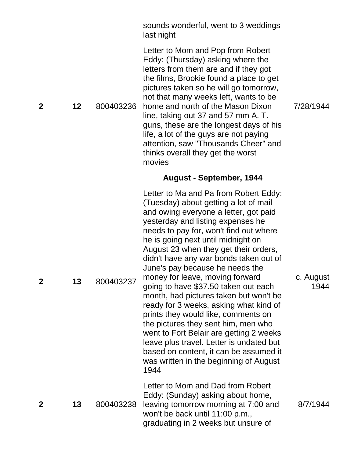sounds wonderful, went to 3 weddings last night

Letter to Mom and Pop from Robert Eddy: (Thursday) asking where the letters from them are and if they got the films, Brookie found a place to get pictures taken so he will go tomorrow, not that many weeks left, wants to be home and north of the Mason Dixon line, taking out 37 and 57 mm A. T. guns, these are the longest days of his life, a lot of the guys are not paying attention, saw "Thousands Cheer" and thinks overall they get the worst movies

# 7/28/1944

**August - September, 1944**

Letter to Ma and Pa from Robert Eddy: (Tuesday) about getting a lot of mail and owing everyone a letter, got paid yesterday and listing expenses he needs to pay for, won't find out where he is going next until midnight on August 23 when they get their orders, didn't have any war bonds taken out of June's pay because he needs the money for leave, moving forward going to have \$37.50 taken out each month, had pictures taken but won't be ready for 3 weeks, asking what kind of prints they would like, comments on the pictures they sent him, men who went to Fort Belair are getting 2 weeks leave plus travel. Letter is undated but based on content, it can be assumed it was written in the beginning of August 1944

Letter to Mom and Dad from Robert Eddy: (Sunday) asking about home,

graduating in 2 weeks but unsure of

won't be back until 11:00 p.m.,

8/7/1944

c. August

1944

**2 12** 800403236

**2 13** 800403238 leaving tomorrow morning at 7:00 and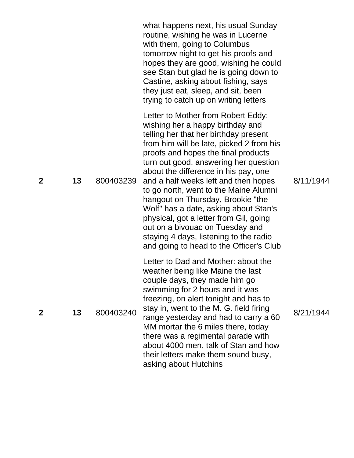|                |    |           | what happens next, his usual Sunday<br>routine, wishing he was in Lucerne<br>with them, going to Columbus<br>tomorrow night to get his proofs and<br>hopes they are good, wishing he could<br>see Stan but glad he is going down to<br>Castine, asking about fishing, says<br>they just eat, sleep, and sit, been<br>trying to catch up on writing letters                                                                                                                                                                                                                                                           |           |
|----------------|----|-----------|----------------------------------------------------------------------------------------------------------------------------------------------------------------------------------------------------------------------------------------------------------------------------------------------------------------------------------------------------------------------------------------------------------------------------------------------------------------------------------------------------------------------------------------------------------------------------------------------------------------------|-----------|
| $\overline{2}$ | 13 | 800403239 | Letter to Mother from Robert Eddy:<br>wishing her a happy birthday and<br>telling her that her birthday present<br>from him will be late, picked 2 from his<br>proofs and hopes the final products<br>turn out good, answering her question<br>about the difference in his pay, one<br>and a half weeks left and then hopes<br>to go north, went to the Maine Alumni<br>hangout on Thursday, Brookie "the<br>Wolf" has a date, asking about Stan's<br>physical, got a letter from Gil, going<br>out on a bivouac on Tuesday and<br>staying 4 days, listening to the radio<br>and going to head to the Officer's Club | 8/11/1944 |
| $\mathbf 2$    | 13 | 800403240 | Letter to Dad and Mother: about the<br>weather being like Maine the last<br>couple days, they made him go<br>swimming for 2 hours and it was<br>freezing, on alert tonight and has to<br>stay in, went to the M. G. field firing<br>range yesterday and had to carry a 60<br>MM mortar the 6 miles there, today<br>there was a regimental parade with<br>about 4000 men, talk of Stan and how<br>their letters make them sound busy,<br>asking about Hutchins                                                                                                                                                        | 8/21/1944 |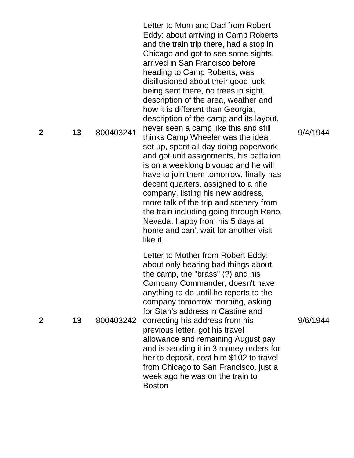**2 13** 800403241 Letter to Mom and Dad from Robert Eddy: about arriving in Camp Roberts and the train trip there, had a stop in Chicago and got to see some sights, arrived in San Francisco before heading to Camp Roberts, was disillusioned about their good luck being sent there, no trees in sight, description of the area, weather and how it is different than Georgia, description of the camp and its layout, never seen a camp like this and still thinks Camp Wheeler was the ideal set up, spent all day doing paperwork and got unit assignments, his battalion is on a weeklong bivouac and he will have to join them tomorrow, finally has decent quarters, assigned to a rifle company, listing his new address, more talk of the trip and scenery from the train including going through Reno, Nevada, happy from his 5 days at home and can't wait for another visit like it **2 13** 800403242 correcting his address from his Letter to Mother from Robert Eddy: about only hearing bad things about the camp, the "brass" (?) and his Company Commander, doesn't have anything to do until he reports to the company tomorrow morning, asking for Stan's address in Castine and previous letter, got his travel allowance and remaining August pay and is sending it in 3 money orders for her to deposit, cost him \$102 to travel from Chicago to San Francisco, just a week ago he was on the train to Boston

9/4/1944

9/6/1944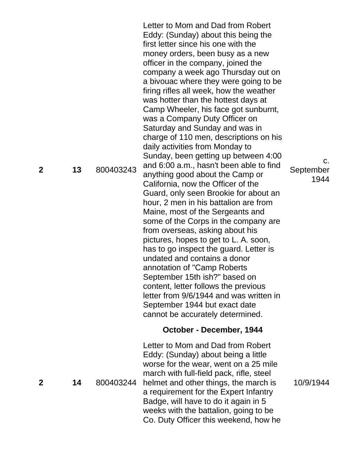Letter to Mom and Dad from Robert Eddy: (Sunday) about this being the first letter since his one with the money orders, been busy as a new officer in the company, joined the company a week ago Thursday out on a bivouac where they were going to be firing rifles all week, how the weather was hotter than the hottest days at Camp Wheeler, his face got sunburnt, was a Company Duty Officer on Saturday and Sunday and was in charge of 110 men, descriptions on his daily activities from Monday to Sunday, been getting up between 4:00 and 6:00 a.m., hasn't been able to find anything good about the Camp or California, now the Officer of the Guard, only seen Brookie for about an hour, 2 men in his battalion are from Maine, most of the Sergeants and some of the Corps in the company are from overseas, asking about his pictures, hopes to get to L. A. soon, has to go inspect the guard. Letter is undated and contains a donor annotation of "Camp Roberts September 15th ish?" based on content, letter follows the previous letter from 9/6/1944 and was written in September 1944 but exact date cannot be accurately determined. September

#### **October - December, 1944**

**2 14** 800403244 Letter to Mom and Dad from Robert Eddy: (Sunday) about being a little worse for the wear, went on a 25 mile march with full-field pack, rifle, steel helmet and other things, the march is a requirement for the Expert Infantry Badge, will have to do it again in 5 weeks with the battalion, going to be Co. Duty Officer this weekend, how he

c.

1944

10/9/1944

**2 13** 800403243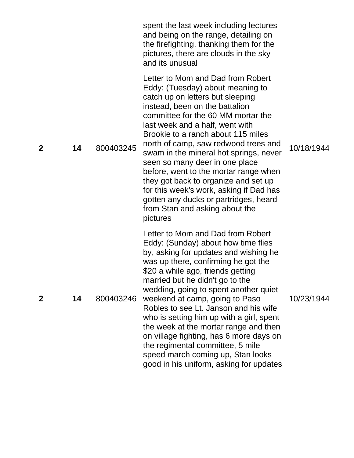|                |    |           | spent the last week including lectures<br>and being on the range, detailing on<br>the firefighting, thanking them for the<br>pictures, there are clouds in the sky<br>and its unusual                                                                                                                                                                                                                                                                                                                                                                                                                    |            |
|----------------|----|-----------|----------------------------------------------------------------------------------------------------------------------------------------------------------------------------------------------------------------------------------------------------------------------------------------------------------------------------------------------------------------------------------------------------------------------------------------------------------------------------------------------------------------------------------------------------------------------------------------------------------|------------|
| $\overline{2}$ | 14 | 800403245 | Letter to Mom and Dad from Robert<br>Eddy: (Tuesday) about meaning to<br>catch up on letters but sleeping<br>instead, been on the battalion<br>committee for the 60 MM mortar the<br>last week and a half, went with<br>Brookie to a ranch about 115 miles<br>north of camp, saw redwood trees and<br>swam in the mineral hot springs, never<br>seen so many deer in one place<br>before, went to the mortar range when<br>they got back to organize and set up<br>for this week's work, asking if Dad has<br>gotten any ducks or partridges, heard<br>from Stan and asking about the<br>pictures        | 10/18/1944 |
| $\mathbf{2}$   | 14 | 800403246 | Letter to Mom and Dad from Robert<br>Eddy: (Sunday) about how time flies<br>by, asking for updates and wishing he<br>was up there, confirming he got the<br>\$20 a while ago, friends getting<br>married but he didn't go to the<br>wedding, going to spent another quiet<br>weekend at camp, going to Paso<br>Robles to see Lt. Janson and his wife<br>who is setting him up with a girl, spent<br>the week at the mortar range and then<br>on village fighting, has 6 more days on<br>the regimental committee, 5 mile<br>speed march coming up, Stan looks<br>good in his uniform, asking for updates | 10/23/1944 |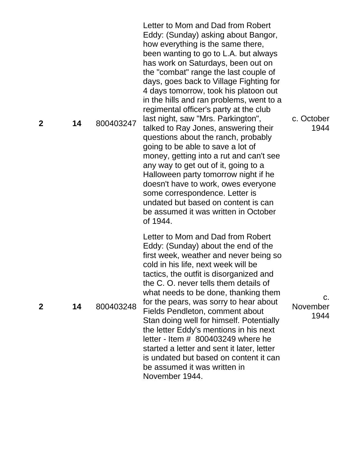**2 14** 800403247 Letter to Mom and Dad from Robert Eddy: (Sunday) asking about Bangor, how everything is the same there, been wanting to go to L.A. but always has work on Saturdays, been out on the "combat" range the last couple of days, goes back to Village Fighting for 4 days tomorrow, took his platoon out in the hills and ran problems, went to a regimental officer's party at the club last night, saw "Mrs. Parkington", talked to Ray Jones, answering their questions about the ranch, probably going to be able to save a lot of money, getting into a rut and can't see any way to get out of it, going to a Halloween party tomorrow night if he doesn't have to work, owes everyone some correspondence. Letter is undated but based on content is can be assumed it was written in October of 1944. Letter to Mom and Dad from Robert Eddy: (Sunday) about the end of the first week, weather and never being so cold in his life, next week will be tactics, the outfit is disorganized and the C. O. never tells them details of

> what needs to be done, thanking them for the pears, was sorry to hear about Fields Pendleton, comment about

> Stan doing well for himself. Potentially the letter Eddy's mentions in his next letter - Item # 800403249 where he started a letter and sent it later, letter is undated but based on content it can

be assumed it was written in

November 1944.

c. October 1944

c. November 1944

**2 14** 800403248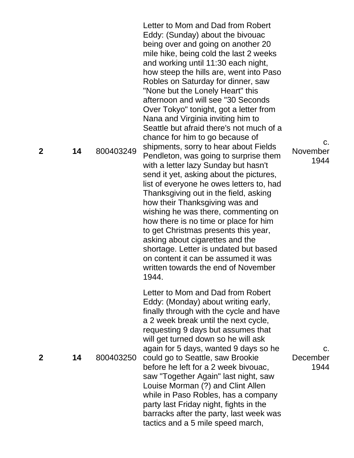**2 14** 800403249 Letter to Mom and Dad from Robert Eddy: (Sunday) about the bivouac being over and going on another 20 mile hike, being cold the last 2 weeks and working until 11:30 each night, how steep the hills are, went into Paso Robles on Saturday for dinner, saw "None but the Lonely Heart" this afternoon and will see "30 Seconds Over Tokyo" tonight, got a letter from Nana and Virginia inviting him to Seattle but afraid there's not much of a chance for him to go because of shipments, sorry to hear about Fields Pendleton, was going to surprise them with a letter lazy Sunday but hasn't send it yet, asking about the pictures, list of everyone he owes letters to, had Thanksgiving out in the field, asking how their Thanksgiving was and wishing he was there, commenting on how there is no time or place for him to get Christmas presents this year, asking about cigarettes and the shortage. Letter is undated but based on content it can be assumed it was written towards the end of November 1944. November **2 14** 800403250 Letter to Mom and Dad from Robert Eddy: (Monday) about writing early, finally through with the cycle and have a 2 week break until the next cycle, requesting 9 days but assumes that will get turned down so he will ask again for 5 days, wanted 9 days so he could go to Seattle, saw Brookie before he left for a 2 week bivouac, saw "Together Again" last night, saw Louise Morman (?) and Clint Allen while in Paso Robles, has a company party last Friday night, fights in the barracks after the party, last week was tactics and a 5 mile speed march,

1944

c.

c. December 194 4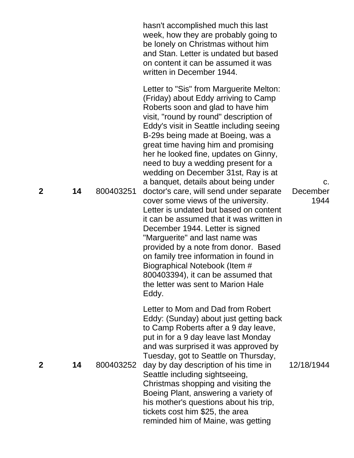|              |    |           | hasn't accomplished much this last<br>week, how they are probably going to<br>be lonely on Christmas without him<br>and Stan. Letter is undated but based<br>on content it can be assumed it was<br>written in December 1944.                                                                                                                                                                                                                                                                                                                                                                                                                                                                                                                                                                                                                                                                              |                        |
|--------------|----|-----------|------------------------------------------------------------------------------------------------------------------------------------------------------------------------------------------------------------------------------------------------------------------------------------------------------------------------------------------------------------------------------------------------------------------------------------------------------------------------------------------------------------------------------------------------------------------------------------------------------------------------------------------------------------------------------------------------------------------------------------------------------------------------------------------------------------------------------------------------------------------------------------------------------------|------------------------|
| $\mathbf 2$  | 14 | 800403251 | Letter to "Sis" from Marguerite Melton:<br>(Friday) about Eddy arriving to Camp<br>Roberts soon and glad to have him<br>visit, "round by round" description of<br>Eddy's visit in Seattle including seeing<br>B-29s being made at Boeing, was a<br>great time having him and promising<br>her he looked fine, updates on Ginny,<br>need to buy a wedding present for a<br>wedding on December 31st, Ray is at<br>a banquet, details about being under<br>doctor's care, will send under separate<br>cover some views of the university.<br>Letter is undated but based on content<br>it can be assumed that it was written in<br>December 1944. Letter is signed<br>"Marguerite" and last name was<br>provided by a note from donor. Based<br>on family tree information in found in<br>Biographical Notebook (Item #<br>800403394), it can be assumed that<br>the letter was sent to Marion Hale<br>Eddy. | C.<br>December<br>1944 |
| $\mathbf{2}$ | 14 | 800403252 | Letter to Mom and Dad from Robert<br>Eddy: (Sunday) about just getting back<br>to Camp Roberts after a 9 day leave,<br>put in for a 9 day leave last Monday<br>and was surprised it was approved by<br>Tuesday, got to Seattle on Thursday,<br>day by day description of his time in<br>Seattle including sightseeing,<br>Christmas shopping and visiting the<br>Boeing Plant, answering a variety of<br>his mother's questions about his trip,<br>tickets cost him \$25, the area<br>reminded him of Maine, was getting                                                                                                                                                                                                                                                                                                                                                                                   | 12/18/1944             |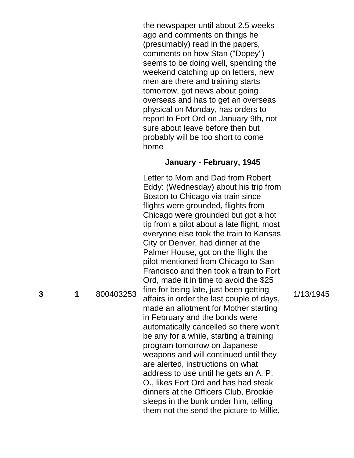the newspaper until about 2.5 weeks ago and comments on things he (presumably) read in the papers, comments on how Stan ("Dopey") seems to be doing well, spending the weekend catching up on letters, new men are there and training starts tomorrow, got news about going overseas and has to get an overseas physical on Monday, has orders to report to Fort Ord on January 9th, not sure about leave before then but probably will be too short to come home

## **January - February, 1945**

Letter to Mom and Dad from Robert Eddy: (Wednesday) about his trip from Boston to Chicago via train since flights were grounded, flights from Chicago were grounded but got a hot tip from a pilot about a late flight, most everyone else took the train to Kansas City or Denver, had dinner at the Palmer House, got on the flight the pilot mentioned from Chicago to San Francisco and then took a train to Fort Ord, made it in time to avoid the \$25 fine for being late, just been getting affairs in order the last couple of days, made an allotment for Mother starting in February and the bonds were automatically cancelled so there won't be any for a while, starting a training program tomorrow on Japanese weapons and will continued until they are alerted, instructions on what address to use until he gets an A. P. O., likes Fort Ord and has had steak dinners at the Officers Club, Brookie sleeps in the bunk under him, telling them not the send the picture to Millie,

1/13/1945

**3**

**1** 800403253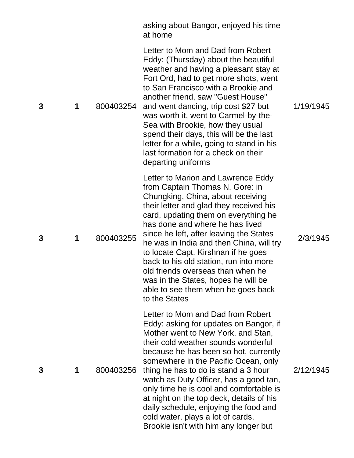|   |   |           | asking about Bangor, enjoyed his time<br>at home                                                                                                                                                                                                                                                                                                                                                                                                                                                                                            |           |
|---|---|-----------|---------------------------------------------------------------------------------------------------------------------------------------------------------------------------------------------------------------------------------------------------------------------------------------------------------------------------------------------------------------------------------------------------------------------------------------------------------------------------------------------------------------------------------------------|-----------|
| 3 | 1 | 800403254 | Letter to Mom and Dad from Robert<br>Eddy: (Thursday) about the beautiful<br>weather and having a pleasant stay at<br>Fort Ord, had to get more shots, went<br>to San Francisco with a Brookie and<br>another friend, saw "Guest House"<br>and went dancing, trip cost \$27 but<br>was worth it, went to Carmel-by-the-<br>Sea with Brookie, how they usual<br>spend their days, this will be the last<br>letter for a while, going to stand in his<br>last formation for a check on their<br>departing uniforms                            | 1/19/1945 |
| 3 | 1 | 800403255 | Letter to Marion and Lawrence Eddy<br>from Captain Thomas N. Gore: in<br>Chungking, China, about receiving<br>their letter and glad they received his<br>card, updating them on everything he<br>has done and where he has lived<br>since he left, after leaving the States<br>he was in India and then China, will try<br>to locate Capt. Kirshnan if he goes<br>back to his old station, run into more<br>old friends overseas than when he<br>was in the States, hopes he will be<br>able to see them when he goes back<br>to the States | 2/3/1945  |
| 3 | 1 | 800403256 | Letter to Mom and Dad from Robert<br>Eddy: asking for updates on Bangor, if<br>Mother went to New York, and Stan,<br>their cold weather sounds wonderful<br>because he has been so hot, currently<br>somewhere in the Pacific Ocean, only<br>thing he has to do is stand a 3 hour<br>watch as Duty Officer, has a good tan,<br>only time he is cool and comfortable is<br>at night on the top deck, details of his<br>daily schedule, enjoying the food and<br>cold water, plays a lot of cards,<br>Brookie isn't with him any longer but   | 2/12/1945 |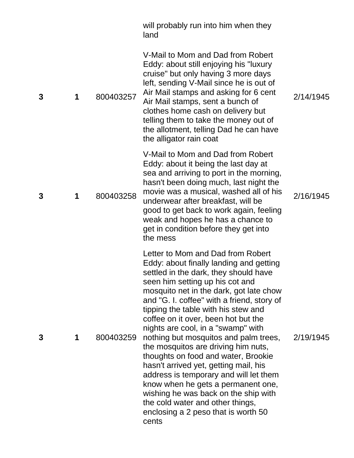|   |   |           | will probably run into him when they<br>land                                                                                                                                                                                                                                                                                                                                                                                                                                                                                                                                                                                                                                                                                                      |           |
|---|---|-----------|---------------------------------------------------------------------------------------------------------------------------------------------------------------------------------------------------------------------------------------------------------------------------------------------------------------------------------------------------------------------------------------------------------------------------------------------------------------------------------------------------------------------------------------------------------------------------------------------------------------------------------------------------------------------------------------------------------------------------------------------------|-----------|
| 3 | 1 | 800403257 | V-Mail to Mom and Dad from Robert<br>Eddy: about still enjoying his "luxury<br>cruise" but only having 3 more days<br>left, sending V-Mail since he is out of<br>Air Mail stamps and asking for 6 cent<br>Air Mail stamps, sent a bunch of<br>clothes home cash on delivery but<br>telling them to take the money out of<br>the allotment, telling Dad he can have<br>the alligator rain coat                                                                                                                                                                                                                                                                                                                                                     | 2/14/1945 |
| 3 | 1 | 800403258 | V-Mail to Mom and Dad from Robert<br>Eddy: about it being the last day at<br>sea and arriving to port in the morning,<br>hasn't been doing much, last night the<br>movie was a musical, washed all of his<br>underwear after breakfast, will be<br>good to get back to work again, feeling<br>weak and hopes he has a chance to<br>get in condition before they get into<br>the mess                                                                                                                                                                                                                                                                                                                                                              | 2/16/1945 |
| 3 | 1 | 800403259 | Letter to Mom and Dad from Robert<br>Eddy: about finally landing and getting<br>settled in the dark, they should have<br>seen him setting up his cot and<br>mosquito net in the dark, got late chow<br>and "G. I. coffee" with a friend, story of<br>tipping the table with his stew and<br>coffee on it over, been hot but the<br>nights are cool, in a "swamp" with<br>nothing but mosquitos and palm trees,<br>the mosquitos are driving him nuts,<br>thoughts on food and water, Brookie<br>hasn't arrived yet, getting mail, his<br>address is temporary and will let them<br>know when he gets a permanent one,<br>wishing he was back on the ship with<br>the cold water and other things,<br>enclosing a 2 peso that is worth 50<br>cents | 2/19/1945 |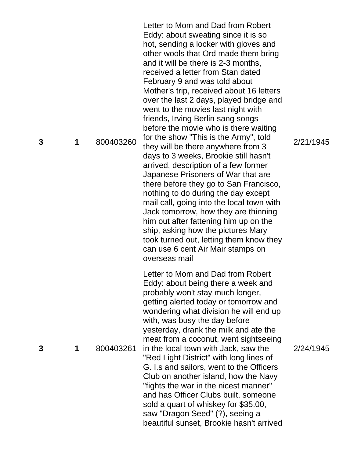**1** 800403260 Letter to Mom and Dad from Robert Eddy: about sweating since it is so hot, sending a locker with gloves and other wools that Ord made them bring and it will be there is 2 -3 months, received a letter from Stan dated February 9 and was told about Mother's trip, received about 16 letters over the last 2 days, played bridge and went to the movies last night with friends, Irving Berlin sang songs before the movie who is there waiting for the show "This is the Army", told they will be there anywhere from 3 days to 3 weeks, Brookie still hasn't arrived, description of a few former Japanese Prisoners of War that are there before they go to San Francisco, nothing to do during the day except mail call, going into the local town with Jack tomorrow, how they are thinning him out after fattening him up on the ship, asking how the pictures Mary took turned out, letting them know they can use 6 cent Air Mair stamps on overseas mail **1** 800403261 Letter to Mom and Dad from Robert Eddy: about being there a week and probably won't stay much longer, getting alerted today or tomorrow and wondering what division he will end up with, was busy the day before yesterday, drank the milk and ate the meat from a coconut, went sightseeing in the local town with Jack, saw the "Red Light District" with long lines of G. I.s and sailors, went to the Officers Club on another island, how the Navy "fights the war in the nicest manner" and has Officer Clubs built, someone sold a quart of whiskey for \$35.00, saw "Dragon Seed" (?), seeing a beautiful sunset, Brookie hasn't arrived

2/21/1945

**3**

**3**

2/24/1945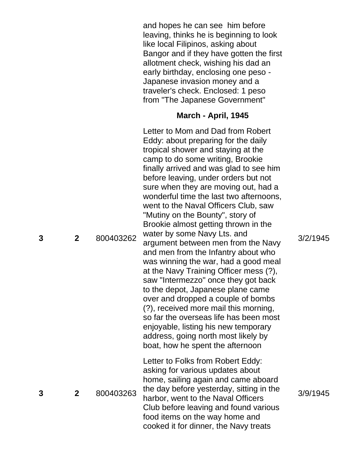and hopes he can see him before leaving, thinks he is beginning to look like local Filipinos, asking about Bangor and if they have gotten the first allotment check, wishing his dad an early birthday, enclosing one peso - Japanese invasion money and a traveler's check. Enclosed: 1 peso from "The Japanese Government"

## **March - April, 1945**

Letter to Mom and Dad from Robert

**2** 800403262 Eddy: about preparing for the daily tropical shower and staying at the camp to do some writing, Brookie finally arrived and was glad to see him before leaving, under orders but not sure when they are moving out, had a wonderful time the last two afternoons, went to the Naval Officers Club, saw "Mutiny on the Bounty", story of Brookie almost getting thrown in the water by some Navy Lts. and argument between men from the Navy and men from the Infantry about who was winning the war, had a good meal at the Navy Training Officer mess (?), saw "Intermezzo" once they got back to the depot, Japanese plane came over and dropped a couple of bombs (?), received more mail this morning, so far the overseas life has been most enjoyable, listing his new temporary address, going north most likely by boat, how he spent the afternoon **2** 800403263 Letter to Folks from Robert Eddy: asking for various updates about home, sailing again and came aboard the day before yesterday, sitting in the harbor, went to the Naval Officers Club before leaving and found various food items on the way home and cooked it for dinner, the Navy treats

3/2/1945

**3**

**3**

3/9/1945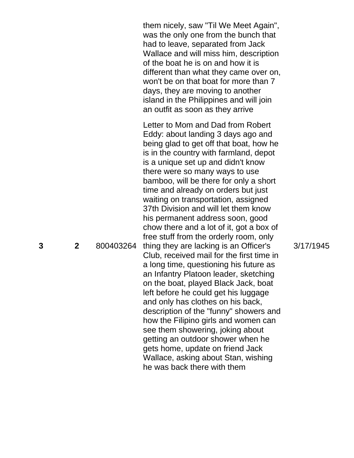them nicely, saw "Til We Meet Again", was the only one from the bunch that had to leave, separated from Jack Wallace and will miss him, description of the boat he is on and how it is different than what they came over on, won't be on that boat for more than 7 days, they are moving to another island in the Philippines and will join an outfit as soon as they arrive

**2** 800403264 thing they are lacking is an Officer's Letter to Mom and Dad from Robert Eddy: about landing 3 days ago and being glad to get off that boat, how he is in the country with farmland, depot is a unique set up and didn't know there were so many ways to use bamboo, will be there for only a short time and already on orders but just waiting on transportation, assigned 37th Division and will let them know his permanent address soon, good chow there and a lot of it, got a box of free stuff from the orderly room, only Club, received mail for the first time in a long time, questioning his future as an Infantry Platoon leader, sketching on the boat, played Black Jack, boat left before he could get his luggage and only has clothes on his back, description of the "funny" showers and how the Filipino girls and women can see them showering, joking about getting an outdoor shower when he gets home, update on friend Jack Wallace, asking about Stan, wishing he was back there with them

3/17/1945

**3**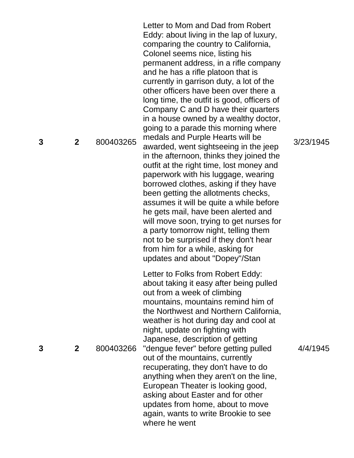**2** 800403265 Letter to Mom and Dad from Robert Eddy: about living in the lap of luxury, comparing the country to California, Colonel seems nice, listing his permanent address, in a rifle company and he has a rifle platoon that is currently in garrison duty, a lot of the other officers have been over there a long time, the outfit is good, officers of Company C and D have their quarters in a house owned by a wealthy doctor, going to a parade this morning where medals and Purple Hearts will be awarded, went sightseeing in the jeep in the afternoon, thinks they joined the outfit at the right time, lost money and paperwork with his luggage, wearing borrowed clothes, asking if they have been getting the allotments checks, assumes it will be quite a while before he gets mail, have been alerted and will move soon, trying to get nurses for a party tomorrow night, telling them not to be surprised if they don't hear from him for a while, asking for updates and about "Dopey"/Stan **2** 800403266 Letter to Folks from Robert Eddy: about taking it easy after being pulled out from a week of climbing mountains, mountains remind him of the Northwest and Northern California, weather is hot during day and cool at night, update on fighting with Japanese, description of getting "dengue fever" before getting pulled out of the mountains, currently recuperating, they don't have to do anything when they aren't on the line, European Theater is looking good, asking about Easter and for other updates from home, about to move again, wants to write Brookie to see where he went

3/23/1945

**3**

**3**

4/4/1945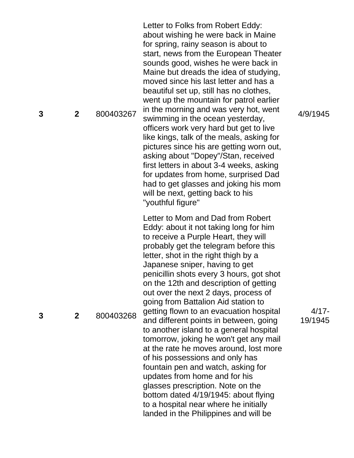**2** 800403267 Letter to Folks from Robert Eddy: about wishing he were back in Maine for spring, rainy season is about to start, news from the European Theater sounds good, wishes he were back in Maine but dreads the idea of studying, moved since his last letter and has a beautiful set up, still has no clothes, went up the mountain for patrol earlier in the morning and was very hot, went swimming in the ocean yesterday, officers work very hard but get to live like kings, talk of the meals, asking for pictures since his are getting worn out, asking about "Dopey"/Stan, received first letters in about 3 -4 weeks, asking for updates from home, surprised Dad had to get glasses and joking his mom will be next, getting back to his "youthful figure" **2** 800403268 Letter to Mom and Dad from Robert Eddy: about it not taking long for him to receive a Purple Heart, they will probably get the telegram before this letter, shot in the right thigh by a Japanese sniper, having to get penicillin shots every 3 hours, got shot on the 12th and description of getting out over the next 2 days, process of going from Battalion Aid station to getting flown to an evacuation hospital and different points in between, going to another island to a general hospital tomorrow, joking he won't get any mail at the rate he moves around, lost more of his possessions and only has fountain pen and watch, asking for updates from home and for his glasses prescription. Note on the bottom dated 4/19/1945: about flying to a hospital near where he initially landed in the Philippines and will be

4/9/1945

4/17 - 19/1945

**3**

**3**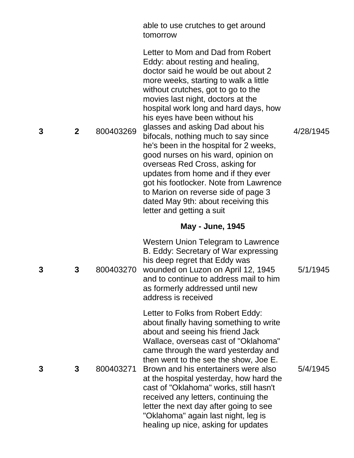|   |              |           | able to use crutches to get around<br>tomorrow                                                                                                                                                                                                                                                                                                                                                                                                                                                                                                                                                                                                                                                       |           |
|---|--------------|-----------|------------------------------------------------------------------------------------------------------------------------------------------------------------------------------------------------------------------------------------------------------------------------------------------------------------------------------------------------------------------------------------------------------------------------------------------------------------------------------------------------------------------------------------------------------------------------------------------------------------------------------------------------------------------------------------------------------|-----------|
| 3 | $\mathbf{2}$ | 800403269 | Letter to Mom and Dad from Robert<br>Eddy: about resting and healing,<br>doctor said he would be out about 2<br>more weeks, starting to walk a little<br>without crutches, got to go to the<br>movies last night, doctors at the<br>hospital work long and hard days, how<br>his eyes have been without his<br>glasses and asking Dad about his<br>bifocals, nothing much to say since<br>he's been in the hospital for 2 weeks,<br>good nurses on his ward, opinion on<br>overseas Red Cross, asking for<br>updates from home and if they ever<br>got his footlocker. Note from Lawrence<br>to Marion on reverse side of page 3<br>dated May 9th: about receiving this<br>letter and getting a suit | 4/28/1945 |
|   |              |           | <b>May - June, 1945</b>                                                                                                                                                                                                                                                                                                                                                                                                                                                                                                                                                                                                                                                                              |           |
| 3 | 3            | 800403270 | <b>Western Union Telegram to Lawrence</b><br>B. Eddy: Secretary of War expressing<br>his deep regret that Eddy was<br>wounded on Luzon on April 12, 1945<br>and to continue to address mail to him<br>as formerly addressed until new<br>address is received                                                                                                                                                                                                                                                                                                                                                                                                                                         | 5/1/1945  |
| 3 | 3            | 800403271 | Letter to Folks from Robert Eddy:<br>about finally having something to write<br>about and seeing his friend Jack<br>Wallace, overseas cast of "Oklahoma"<br>came through the ward yesterday and<br>then went to the see the show, Joe E.<br>Brown and his entertainers were also<br>at the hospital yesterday, how hard the<br>cast of "Oklahoma" works, still hasn't<br>received any letters, continuing the<br>letter the next day after going to see<br>"Oklahoma" again last night, leg is<br>healing up nice, asking for updates                                                                                                                                                                | 5/4/1945  |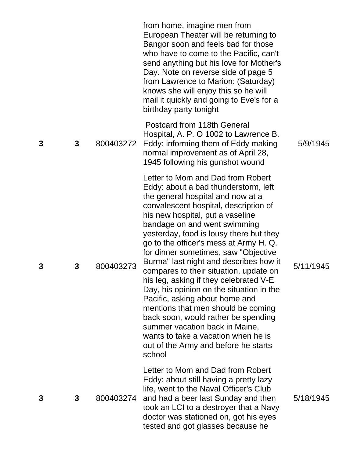|   |   |           | from home, imagine men from<br>European Theater will be returning to<br>Bangor soon and feels bad for those<br>who have to come to the Pacific, can't<br>send anything but his love for Mother's<br>Day. Note on reverse side of page 5<br>from Lawrence to Marion: (Saturday)<br>knows she will enjoy this so he will<br>mail it quickly and going to Eve's for a<br>birthday party tonight                                                                                                                                                                                                                                                                                                                                                                                 |           |
|---|---|-----------|------------------------------------------------------------------------------------------------------------------------------------------------------------------------------------------------------------------------------------------------------------------------------------------------------------------------------------------------------------------------------------------------------------------------------------------------------------------------------------------------------------------------------------------------------------------------------------------------------------------------------------------------------------------------------------------------------------------------------------------------------------------------------|-----------|
| 3 | 3 | 800403272 | Postcard from 118th General<br>Hospital, A. P. O 1002 to Lawrence B.<br>Eddy: informing them of Eddy making<br>normal improvement as of April 28,<br>1945 following his gunshot wound                                                                                                                                                                                                                                                                                                                                                                                                                                                                                                                                                                                        | 5/9/1945  |
| 3 | 3 | 800403273 | Letter to Mom and Dad from Robert<br>Eddy: about a bad thunderstorm, left<br>the general hospital and now at a<br>convalescent hospital, description of<br>his new hospital, put a vaseline<br>bandage on and went swimming<br>yesterday, food is lousy there but they<br>go to the officer's mess at Army H. Q.<br>for dinner sometimes, saw "Objective<br>Burma" last night and describes how it<br>compares to their situation, update on<br>his leg, asking if they celebrated V-E<br>Day, his opinion on the situation in the<br>Pacific, asking about home and<br>mentions that men should be coming<br>back soon, would rather be spending<br>summer vacation back in Maine,<br>wants to take a vacation when he is<br>out of the Army and before he starts<br>school | 5/11/1945 |
| 3 | 3 | 800403274 | Letter to Mom and Dad from Robert<br>Eddy: about still having a pretty lazy<br>life, went to the Naval Officer's Club<br>and had a beer last Sunday and then<br>took an LCI to a destroyer that a Navy<br>doctor was stationed on, got his eyes<br>tested and got glasses because he                                                                                                                                                                                                                                                                                                                                                                                                                                                                                         | 5/18/1945 |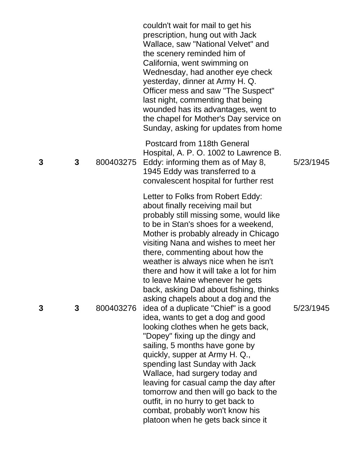|   |   |           | couldn't wait for mail to get his<br>prescription, hung out with Jack<br>Wallace, saw "National Velvet" and<br>the scenery reminded him of<br>California, went swimming on<br>Wednesday, had another eye check<br>yesterday, dinner at Army H. Q.<br>Officer mess and saw "The Suspect"<br>last night, commenting that being<br>wounded has its advantages, went to<br>the chapel for Mother's Day service on<br>Sunday, asking for updates from home                                        |           |
|---|---|-----------|----------------------------------------------------------------------------------------------------------------------------------------------------------------------------------------------------------------------------------------------------------------------------------------------------------------------------------------------------------------------------------------------------------------------------------------------------------------------------------------------|-----------|
| 3 | 3 | 800403275 | Postcard from 118th General<br>Hospital, A. P. O. 1002 to Lawrence B.<br>Eddy: informing them as of May 8,<br>1945 Eddy was transferred to a<br>convalescent hospital for further rest                                                                                                                                                                                                                                                                                                       | 5/23/1945 |
|   |   |           | Letter to Folks from Robert Eddy:<br>about finally receiving mail but<br>probably still missing some, would like<br>to be in Stan's shoes for a weekend,<br>Mother is probably already in Chicago<br>visiting Nana and wishes to meet her<br>there, commenting about how the<br>weather is always nice when he isn't<br>there and how it will take a lot for him<br>to leave Maine whenever he gets<br>back, asking Dad about fishing, thinks<br>asking chapels about a dog and the          |           |
| 3 | 3 | 800403276 | idea of a duplicate "Chief" is a good<br>idea, wants to get a dog and good<br>looking clothes when he gets back,<br>"Dopey" fixing up the dingy and<br>sailing, 5 months have gone by<br>quickly, supper at Army H. Q.,<br>spending last Sunday with Jack<br>Wallace, had surgery today and<br>leaving for casual camp the day after<br>tomorrow and then will go back to the<br>outfit, in no hurry to get back to<br>combat, probably won't know his<br>platoon when he gets back since it | 5/23/1945 |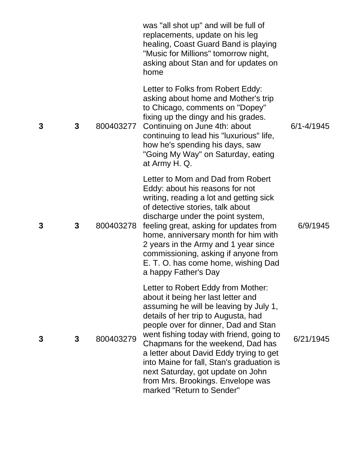|   |   |           | was "all shot up" and will be full of<br>replacements, update on his leg<br>healing, Coast Guard Band is playing<br>"Music for Millions" tomorrow night,<br>asking about Stan and for updates on<br>home                                                                                                                                                                                                                                                                          |                |
|---|---|-----------|-----------------------------------------------------------------------------------------------------------------------------------------------------------------------------------------------------------------------------------------------------------------------------------------------------------------------------------------------------------------------------------------------------------------------------------------------------------------------------------|----------------|
| 3 | 3 | 800403277 | Letter to Folks from Robert Eddy:<br>asking about home and Mother's trip<br>to Chicago, comments on "Dopey"<br>fixing up the dingy and his grades.<br>Continuing on June 4th: about<br>continuing to lead his "luxurious" life,<br>how he's spending his days, saw<br>"Going My Way" on Saturday, eating<br>at Army H. Q.                                                                                                                                                         | $6/1 - 4/1945$ |
| 3 | 3 | 800403278 | Letter to Mom and Dad from Robert<br>Eddy: about his reasons for not<br>writing, reading a lot and getting sick<br>of detective stories, talk about<br>discharge under the point system,<br>feeling great, asking for updates from<br>home, anniversary month for him with<br>2 years in the Army and 1 year since<br>commissioning, asking if anyone from<br>E. T. O. has come home, wishing Dad<br>a happy Father's Day                                                         | 6/9/1945       |
| 3 | 3 | 800403279 | Letter to Robert Eddy from Mother:<br>about it being her last letter and<br>assuming he will be leaving by July 1,<br>details of her trip to Augusta, had<br>people over for dinner, Dad and Stan<br>went fishing today with friend, going to<br>Chapmans for the weekend, Dad has<br>a letter about David Eddy trying to get<br>into Maine for fall, Stan's graduation is<br>next Saturday, got update on John<br>from Mrs. Brookings. Envelope was<br>marked "Return to Sender" | 6/21/1945      |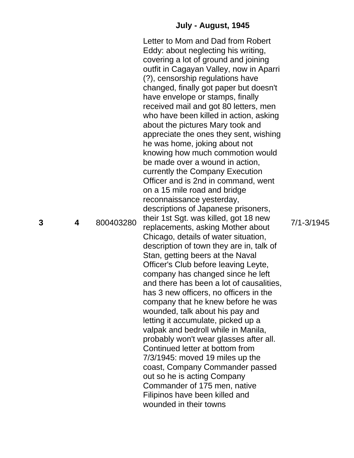## **July - August, 1945**

Letter to Mom and Dad from Robert Eddy: about neglecting his writing, covering a lot of ground and joining outfit in Cagayan Valley, now in Aparri (?), censorship regulations have changed, finally got paper but doesn't have envelope or stamps, finally received mail and got 80 letters, men who have been killed in action, asking about the pictures Mary took and appreciate the ones they sent, wishing he was home, joking about not knowing how much commotion would be made over a wound in action, currently the Company Execution Officer and is 2nd in command, went on a 15 mile road and bridge reconnaissance yesterday, descriptions of Japanese prisoners, their 1st Sgt. was killed, got 18 new replacements, asking Mother about Chicago, details of water situation, description of town they are in, talk of Stan, getting beers at the Naval Officer's Club before leaving Leyte, company has changed since he left and there has been a lot of causalities, has 3 new officers, no officers in the company that he knew before he was wounded, talk about his pay and letting it accumulate, picked up a valpak and bedroll while in Manila, probably won't wear glasses after all. Continued letter at bottom from 7/3/1945: moved 19 miles up the coast, Company Commander passed out so he is acting Company Commander of 175 men, native Filipinos have been killed and wounded in their towns

**3**

**4** 800403280

7/1 -3/1945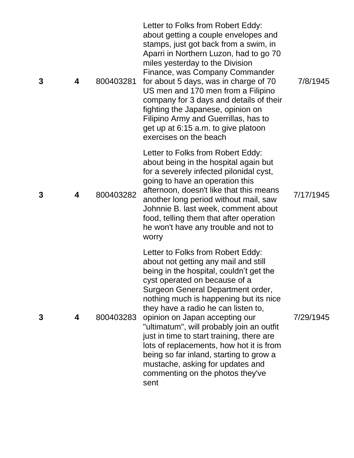| 3 | 4 | 800403281 | Letter to Folks from Robert Eddy:<br>about getting a couple envelopes and<br>stamps, just got back from a swim, in<br>Aparri in Northern Luzon, had to go 70<br>miles yesterday to the Division<br>Finance, was Company Commander<br>for about 5 days, was in charge of 70<br>US men and 170 men from a Filipino<br>company for 3 days and details of their<br>fighting the Japanese, opinion on<br>Filipino Army and Guerrillas, has to<br>get up at 6:15 a.m. to give platoon<br>exercises on the beach                                                                      | 7/8/1945  |
|---|---|-----------|--------------------------------------------------------------------------------------------------------------------------------------------------------------------------------------------------------------------------------------------------------------------------------------------------------------------------------------------------------------------------------------------------------------------------------------------------------------------------------------------------------------------------------------------------------------------------------|-----------|
| 3 | 4 | 800403282 | Letter to Folks from Robert Eddy:<br>about being in the hospital again but<br>for a severely infected pilonidal cyst,<br>going to have an operation this<br>afternoon, doesn't like that this means<br>another long period without mail, saw<br>Johnnie B. last week, comment about<br>food, telling them that after operation<br>he won't have any trouble and not to<br>worry                                                                                                                                                                                                | 7/17/1945 |
| 3 | 4 | 800403283 | Letter to Folks from Robert Eddy:<br>about not getting any mail and still<br>being in the hospital, couldn't get the<br>cyst operated on because of a<br>Surgeon General Department order,<br>nothing much is happening but its nice<br>they have a radio he can listen to,<br>opinion on Japan accepting our<br>"ultimatum", will probably join an outfit<br>just in time to start training, there are<br>lots of replacements, how hot it is from<br>being so far inland, starting to grow a<br>mustache, asking for updates and<br>commenting on the photos they've<br>sent | 7/29/1945 |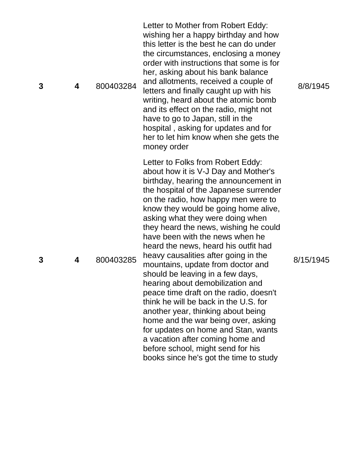| 3 | 4 | 800403284 | Letter to Mother from Robert Eddy:<br>wishing her a happy birthday and how<br>this letter is the best he can do under<br>the circumstances, enclosing a money<br>order with instructions that some is for<br>her, asking about his bank balance<br>and allotments, received a couple of<br>letters and finally caught up with his<br>writing, heard about the atomic bomb<br>and its effect on the radio, might not<br>have to go to Japan, still in the<br>hospital, asking for updates and for<br>her to let him know when she gets the<br>money order                                                                                                                                                                                                                                                                                                                           | 8/8/1945  |
|---|---|-----------|------------------------------------------------------------------------------------------------------------------------------------------------------------------------------------------------------------------------------------------------------------------------------------------------------------------------------------------------------------------------------------------------------------------------------------------------------------------------------------------------------------------------------------------------------------------------------------------------------------------------------------------------------------------------------------------------------------------------------------------------------------------------------------------------------------------------------------------------------------------------------------|-----------|
| 3 | 4 | 800403285 | Letter to Folks from Robert Eddy:<br>about how it is V-J Day and Mother's<br>birthday, hearing the announcement in<br>the hospital of the Japanese surrender<br>on the radio, how happy men were to<br>know they would be going home alive,<br>asking what they were doing when<br>they heard the news, wishing he could<br>have been with the news when he<br>heard the news, heard his outfit had<br>heavy causalities after going in the<br>mountains, update from doctor and<br>should be leaving in a few days,<br>hearing about demobilization and<br>peace time draft on the radio, doesn't<br>think he will be back in the U.S. for<br>another year, thinking about being<br>home and the war being over, asking<br>for updates on home and Stan, wants<br>a vacation after coming home and<br>before school, might send for his<br>books since he's got the time to study | 8/15/1945 |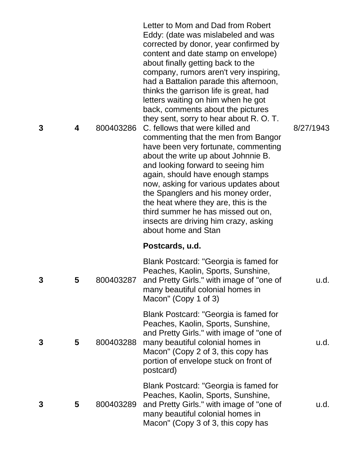| 3 | 4 | 800403286 | Letter to Mom and Dad from Robert<br>Eddy: (date was mislabeled and was<br>corrected by donor, year confirmed by<br>content and date stamp on envelope)<br>about finally getting back to the<br>company, rumors aren't very inspiring,<br>had a Battalion parade this afternoon,<br>thinks the garrison life is great, had<br>letters waiting on him when he got<br>back, comments about the pictures<br>they sent, sorry to hear about R. O. T.<br>C. fellows that were killed and<br>commenting that the men from Bangor<br>have been very fortunate, commenting<br>about the write up about Johnnie B.<br>and looking forward to seeing him<br>again, should have enough stamps<br>now, asking for various updates about<br>the Spanglers and his money order,<br>the heat where they are, this is the<br>third summer he has missed out on,<br>insects are driving him crazy, asking<br>about home and Stan | 8/27/1943 |
|---|---|-----------|-----------------------------------------------------------------------------------------------------------------------------------------------------------------------------------------------------------------------------------------------------------------------------------------------------------------------------------------------------------------------------------------------------------------------------------------------------------------------------------------------------------------------------------------------------------------------------------------------------------------------------------------------------------------------------------------------------------------------------------------------------------------------------------------------------------------------------------------------------------------------------------------------------------------|-----------|
|   |   |           | Postcards, u.d.                                                                                                                                                                                                                                                                                                                                                                                                                                                                                                                                                                                                                                                                                                                                                                                                                                                                                                 |           |
| 3 | 5 | 800403287 | Blank Postcard: "Georgia is famed for<br>Peaches, Kaolin, Sports, Sunshine,<br>and Pretty Girls." with image of "one of<br>many beautiful colonial homes in<br>Macon" (Copy 1 of 3)                                                                                                                                                                                                                                                                                                                                                                                                                                                                                                                                                                                                                                                                                                                             | u.d.      |
| 3 | 5 | 800403288 | Blank Postcard: "Georgia is famed for<br>Peaches, Kaolin, Sports, Sunshine,<br>and Pretty Girls." with image of "one of<br>many beautiful colonial homes in<br>Macon" (Copy 2 of 3, this copy has<br>portion of envelope stuck on front of<br>postcard)                                                                                                                                                                                                                                                                                                                                                                                                                                                                                                                                                                                                                                                         | u.d.      |
| 3 | 5 | 800403289 | Blank Postcard: "Georgia is famed for<br>Peaches, Kaolin, Sports, Sunshine,<br>and Pretty Girls." with image of "one of<br>many beautiful colonial homes in<br>Macon" (Copy 3 of 3, this copy has                                                                                                                                                                                                                                                                                                                                                                                                                                                                                                                                                                                                                                                                                                               | u.d.      |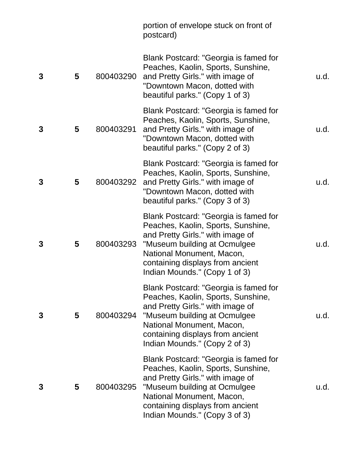|   |   |           | portion of envelope stuck on front of<br>postcard)                                                                                                                                                                                                |      |
|---|---|-----------|---------------------------------------------------------------------------------------------------------------------------------------------------------------------------------------------------------------------------------------------------|------|
| 3 | 5 | 800403290 | Blank Postcard: "Georgia is famed for<br>Peaches, Kaolin, Sports, Sunshine,<br>and Pretty Girls." with image of<br>"Downtown Macon, dotted with<br>beautiful parks." (Copy 1 of 3)                                                                | u.d. |
| 3 | 5 | 800403291 | Blank Postcard: "Georgia is famed for<br>Peaches, Kaolin, Sports, Sunshine,<br>and Pretty Girls." with image of<br>"Downtown Macon, dotted with<br>beautiful parks." (Copy 2 of 3)                                                                | u.d. |
| 3 | 5 | 800403292 | Blank Postcard: "Georgia is famed for<br>Peaches, Kaolin, Sports, Sunshine,<br>and Pretty Girls." with image of<br>"Downtown Macon, dotted with<br>beautiful parks." (Copy 3 of 3)                                                                | u.d. |
| 3 | 5 | 800403293 | Blank Postcard: "Georgia is famed for<br>Peaches, Kaolin, Sports, Sunshine,<br>and Pretty Girls." with image of<br>"Museum building at Ocmulgee<br>National Monument, Macon,<br>containing displays from ancient<br>Indian Mounds." (Copy 1 of 3) | u.d. |
| 3 | 5 | 800403294 | Blank Postcard: "Georgia is famed for<br>Peaches, Kaolin, Sports, Sunshine,<br>and Pretty Girls." with image of<br>"Museum building at Ocmulgee<br>National Monument, Macon,<br>containing displays from ancient<br>Indian Mounds." (Copy 2 of 3) | u.d. |
| 3 | 5 | 800403295 | Blank Postcard: "Georgia is famed for<br>Peaches, Kaolin, Sports, Sunshine,<br>and Pretty Girls." with image of<br>"Museum building at Ocmulgee<br>National Monument, Macon,<br>containing displays from ancient<br>Indian Mounds." (Copy 3 of 3) | u.d. |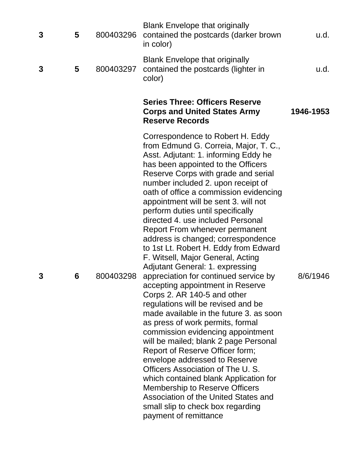| 3 | 5 | 800403296 | <b>Blank Envelope that originally</b><br>contained the postcards (darker brown<br>in color)                                                                                                                                                                                                                                                                                                                                                                                                                                                                                                                                                                                                                                                                                                                                                                                                                                                                                                                                                                                                                                                                                                                     | u.d.      |
|---|---|-----------|-----------------------------------------------------------------------------------------------------------------------------------------------------------------------------------------------------------------------------------------------------------------------------------------------------------------------------------------------------------------------------------------------------------------------------------------------------------------------------------------------------------------------------------------------------------------------------------------------------------------------------------------------------------------------------------------------------------------------------------------------------------------------------------------------------------------------------------------------------------------------------------------------------------------------------------------------------------------------------------------------------------------------------------------------------------------------------------------------------------------------------------------------------------------------------------------------------------------|-----------|
| 3 | 5 | 800403297 | <b>Blank Envelope that originally</b><br>contained the postcards (lighter in<br>color)                                                                                                                                                                                                                                                                                                                                                                                                                                                                                                                                                                                                                                                                                                                                                                                                                                                                                                                                                                                                                                                                                                                          | u.d.      |
|   |   |           | <b>Series Three: Officers Reserve</b><br><b>Corps and United States Army</b><br><b>Reserve Records</b>                                                                                                                                                                                                                                                                                                                                                                                                                                                                                                                                                                                                                                                                                                                                                                                                                                                                                                                                                                                                                                                                                                          | 1946-1953 |
| 3 | 6 | 800403298 | Correspondence to Robert H. Eddy<br>from Edmund G. Correia, Major, T. C.,<br>Asst. Adjutant: 1. informing Eddy he<br>has been appointed to the Officers<br>Reserve Corps with grade and serial<br>number included 2. upon receipt of<br>oath of office a commission evidencing<br>appointment will be sent 3. will not<br>perform duties until specifically<br>directed 4, use included Personal<br>Report From whenever permanent<br>address is changed; correspondence<br>to 1st Lt. Robert H. Eddy from Edward<br>F. Witsell, Major General, Acting<br><b>Adjutant General: 1. expressing</b><br>appreciation for continued service by<br>accepting appointment in Reserve<br>Corps 2. AR 140-5 and other<br>regulations will be revised and be<br>made available in the future 3. as soon<br>as press of work permits, formal<br>commission evidencing appointment<br>will be mailed; blank 2 page Personal<br>Report of Reserve Officer form;<br>envelope addressed to Reserve<br>Officers Association of The U.S.<br>which contained blank Application for<br><b>Membership to Reserve Officers</b><br>Association of the United States and<br>small slip to check box regarding<br>payment of remittance | 8/6/1946  |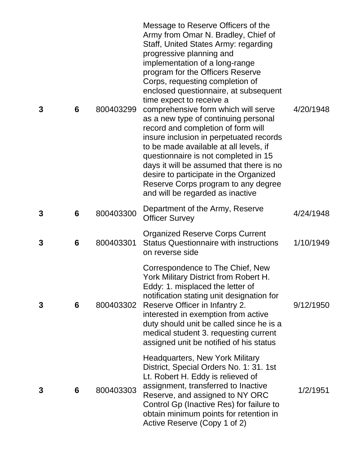| 3 | 6 | 800403299 | Message to Reserve Officers of the<br>Army from Omar N. Bradley, Chief of<br>Staff, United States Army: regarding<br>progressive planning and<br>implementation of a long-range<br>program for the Officers Reserve<br>Corps, requesting completion of<br>enclosed questionnaire, at subsequent<br>time expect to receive a<br>comprehensive form which will serve<br>as a new type of continuing personal<br>record and completion of form will<br>insure inclusion in perpetuated records<br>to be made available at all levels, if<br>questionnaire is not completed in 15<br>days it will be assumed that there is no<br>desire to participate in the Organized<br>Reserve Corps program to any degree<br>and will be regarded as inactive | 4/20/1948 |
|---|---|-----------|------------------------------------------------------------------------------------------------------------------------------------------------------------------------------------------------------------------------------------------------------------------------------------------------------------------------------------------------------------------------------------------------------------------------------------------------------------------------------------------------------------------------------------------------------------------------------------------------------------------------------------------------------------------------------------------------------------------------------------------------|-----------|
| 3 | 6 | 800403300 | Department of the Army, Reserve<br><b>Officer Survey</b>                                                                                                                                                                                                                                                                                                                                                                                                                                                                                                                                                                                                                                                                                       | 4/24/1948 |
| 3 | 6 | 800403301 | <b>Organized Reserve Corps Current</b><br><b>Status Questionnaire with instructions</b><br>on reverse side                                                                                                                                                                                                                                                                                                                                                                                                                                                                                                                                                                                                                                     | 1/10/1949 |
| 3 | 6 | 800403302 | Correspondence to The Chief, New<br>York Military District from Robert H.<br>Eddy: 1. misplaced the letter of<br>notification stating unit designation for<br>Reserve Officer in Infantry 2.<br>interested in exemption from active<br>duty should unit be called since he is a<br>medical student 3. requesting current<br>assigned unit be notified of his status                                                                                                                                                                                                                                                                                                                                                                            | 9/12/1950 |
| 3 | 6 | 800403303 | <b>Headquarters, New York Military</b><br>District, Special Orders No. 1: 31. 1st<br>Lt. Robert H. Eddy is relieved of<br>assignment, transferred to Inactive<br>Reserve, and assigned to NY ORC<br>Control Gp (Inactive Res) for failure to<br>obtain minimum points for retention in<br>Active Reserve (Copy 1 of 2)                                                                                                                                                                                                                                                                                                                                                                                                                         | 1/2/1951  |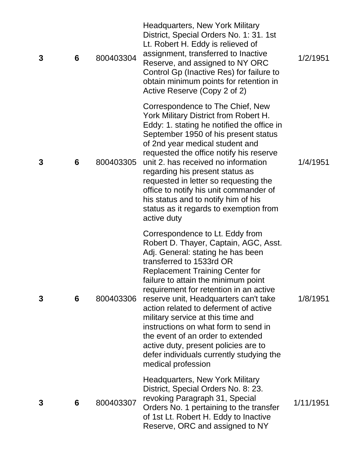| 3 | 6 | 800403304 | <b>Headquarters, New York Military</b><br>District, Special Orders No. 1: 31. 1st<br>Lt. Robert H. Eddy is relieved of<br>assignment, transferred to Inactive<br>Reserve, and assigned to NY ORC<br>Control Gp (Inactive Res) for failure to<br>obtain minimum points for retention in<br>Active Reserve (Copy 2 of 2)                                                                                                                                                                                                                                                             | 1/2/1951  |
|---|---|-----------|------------------------------------------------------------------------------------------------------------------------------------------------------------------------------------------------------------------------------------------------------------------------------------------------------------------------------------------------------------------------------------------------------------------------------------------------------------------------------------------------------------------------------------------------------------------------------------|-----------|
| 3 | 6 | 800403305 | Correspondence to The Chief, New<br>York Military District from Robert H.<br>Eddy: 1. stating he notified the office in<br>September 1950 of his present status<br>of 2nd year medical student and<br>requested the office notify his reserve<br>unit 2. has received no information<br>regarding his present status as<br>requested in letter so requesting the<br>office to notify his unit commander of<br>his status and to notify him of his<br>status as it regards to exemption from<br>active duty                                                                         | 1/4/1951  |
| 3 | 6 | 800403306 | Correspondence to Lt. Eddy from<br>Robert D. Thayer, Captain, AGC, Asst.<br>Adj. General: stating he has been<br>transferred to 1533rd OR<br><b>Replacement Training Center for</b><br>failure to attain the minimum point<br>requirement for retention in an active<br>reserve unit, Headquarters can't take<br>action related to deferment of active<br>military service at this time and<br>instructions on what form to send in<br>the event of an order to extended<br>active duty, present policies are to<br>defer individuals currently studying the<br>medical profession | 1/8/1951  |
| 3 | 6 | 800403307 | <b>Headquarters, New York Military</b><br>District, Special Orders No. 8: 23.<br>revoking Paragraph 31, Special<br>Orders No. 1 pertaining to the transfer<br>of 1st Lt. Robert H. Eddy to Inactive<br>Reserve, ORC and assigned to NY                                                                                                                                                                                                                                                                                                                                             | 1/11/1951 |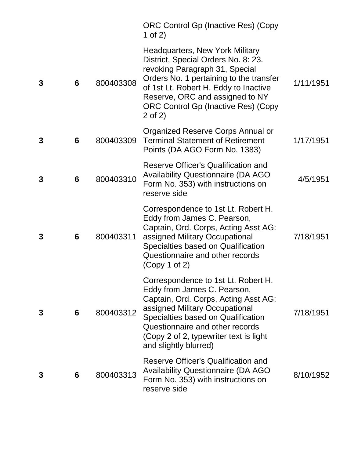|   |   |           | <b>ORC Control Gp (Inactive Res) (Copy</b><br>1 of 2)                                                                                                                                                                                                                                    |           |
|---|---|-----------|------------------------------------------------------------------------------------------------------------------------------------------------------------------------------------------------------------------------------------------------------------------------------------------|-----------|
| 3 | 6 | 800403308 | <b>Headquarters, New York Military</b><br>District, Special Orders No. 8: 23.<br>revoking Paragraph 31, Special<br>Orders No. 1 pertaining to the transfer<br>of 1st Lt. Robert H. Eddy to Inactive<br>Reserve, ORC and assigned to NY<br>ORC Control Gp (Inactive Res) (Copy<br>2 of 2) | 1/11/1951 |
| 3 | 6 | 800403309 | Organized Reserve Corps Annual or<br><b>Terminal Statement of Retirement</b><br>Points (DA AGO Form No. 1383)                                                                                                                                                                            | 1/17/1951 |
| 3 | 6 | 800403310 | Reserve Officer's Qualification and<br><b>Availability Questionnaire (DA AGO</b><br>Form No. 353) with instructions on<br>reserve side                                                                                                                                                   | 4/5/1951  |
| 3 | 6 | 800403311 | Correspondence to 1st Lt. Robert H.<br>Eddy from James C. Pearson,<br>Captain, Ord. Corps, Acting Asst AG:<br>assigned Military Occupational<br>Specialties based on Qualification<br>Questionnaire and other records<br>(Copy 1 of 2)                                                   | 7/18/1951 |
| 3 | 6 | 800403312 | Correspondence to 1st Lt. Robert H.<br>Eddy from James C. Pearson,<br>Captain, Ord. Corps, Acting Asst AG:<br>assigned Military Occupational<br>Specialties based on Qualification<br>Questionnaire and other records<br>(Copy 2 of 2, typewriter text is light<br>and slightly blurred) | 7/18/1951 |
| 3 | 6 | 800403313 | <b>Reserve Officer's Qualification and</b><br><b>Availability Questionnaire (DA AGO)</b><br>Form No. 353) with instructions on<br>reserve side                                                                                                                                           | 8/10/1952 |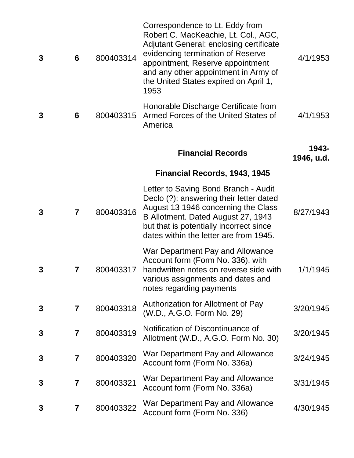| 3 | $6\phantom{1}6$         | 800403314 | Correspondence to Lt. Eddy from<br>Robert C. MacKeachie, Lt. Col., AGC,<br><b>Adjutant General: enclosing certificate</b><br>evidencing termination of Reserve<br>appointment, Reserve appointment<br>and any other appointment in Army of<br>the United States expired on April 1,<br>1953 | 4/1/1953            |
|---|-------------------------|-----------|---------------------------------------------------------------------------------------------------------------------------------------------------------------------------------------------------------------------------------------------------------------------------------------------|---------------------|
| 3 | 6                       | 800403315 | Honorable Discharge Certificate from<br>Armed Forces of the United States of<br>America                                                                                                                                                                                                     | 4/1/1953            |
|   |                         |           | <b>Financial Records</b>                                                                                                                                                                                                                                                                    | 1943-<br>1946, u.d. |
|   |                         |           | Financial Records, 1943, 1945                                                                                                                                                                                                                                                               |                     |
| 3 | $\overline{7}$          | 800403316 | Letter to Saving Bond Branch - Audit<br>Declo (?): answering their letter dated<br>August 13 1946 concerning the Class<br>B Allotment. Dated August 27, 1943<br>but that is potentially incorrect since<br>dates within the letter are from 1945.                                           | 8/27/1943           |
| 3 | 7                       | 800403317 | War Department Pay and Allowance<br>Account form (Form No. 336), with<br>handwritten notes on reverse side with<br>various assignments and dates and<br>notes regarding payments                                                                                                            | 1/1/1945            |
| 3 | $\overline{\mathbf{7}}$ | 800403318 | Authorization for Allotment of Pay<br>(W.D., A.G.O. Form No. 29)                                                                                                                                                                                                                            | 3/20/1945           |
| 3 | $\overline{\mathbf{7}}$ | 800403319 | Notification of Discontinuance of<br>Allotment (W.D., A.G.O. Form No. 30)                                                                                                                                                                                                                   | 3/20/1945           |
| 3 | $\overline{\mathbf{7}}$ | 800403320 | War Department Pay and Allowance<br>Account form (Form No. 336a)                                                                                                                                                                                                                            | 3/24/1945           |
| 3 | 7                       | 800403321 | War Department Pay and Allowance<br>Account form (Form No. 336a)                                                                                                                                                                                                                            | 3/31/1945           |
| 3 | 7                       | 800403322 | War Department Pay and Allowance<br>Account form (Form No. 336)                                                                                                                                                                                                                             | 4/30/1945           |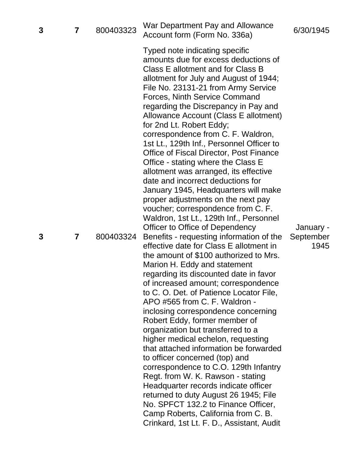| 3 | 7 | 800403323 | War Department Pay and Allowance<br>Account form (Form No. 336a)                                                                                                                                                                                                                                                                                                                                                                                                                                                                                                                                                                                                                                                                                                                                                                                    | 6/30/1945         |
|---|---|-----------|-----------------------------------------------------------------------------------------------------------------------------------------------------------------------------------------------------------------------------------------------------------------------------------------------------------------------------------------------------------------------------------------------------------------------------------------------------------------------------------------------------------------------------------------------------------------------------------------------------------------------------------------------------------------------------------------------------------------------------------------------------------------------------------------------------------------------------------------------------|-------------------|
|   |   |           | Typed note indicating specific<br>amounts due for excess deductions of<br>Class E allotment and for Class B<br>allotment for July and August of 1944;<br>File No. 23131-21 from Army Service<br><b>Forces, Ninth Service Command</b><br>regarding the Discrepancy in Pay and<br>Allowance Account (Class E allotment)<br>for 2nd Lt. Robert Eddy;<br>correspondence from C. F. Waldron,<br>1st Lt., 129th Inf., Personnel Officer to<br>Office of Fiscal Director, Post Finance<br>Office - stating where the Class E<br>allotment was arranged, its effective<br>date and incorrect deductions for<br>January 1945, Headquarters will make<br>proper adjustments on the next pay<br>voucher; correspondence from C. F.<br>Waldron, 1st Lt., 129th Inf., Personnel<br>Officer to Office of Dependency                                               | January -         |
| 3 | 7 | 800403324 | Benefits - requesting information of the<br>effective date for Class E allotment in<br>the amount of \$100 authorized to Mrs.<br>Marion H. Eddy and statement<br>regarding its discounted date in favor<br>of increased amount; correspondence<br>to C. O. Det. of Patience Locator File,<br>APO #565 from C. F. Waldron -<br>inclosing correspondence concerning<br>Robert Eddy, former member of<br>organization but transferred to a<br>higher medical echelon, requesting<br>that attached information be forwarded<br>to officer concerned (top) and<br>correspondence to C.O. 129th Infantry<br>Regt. from W. K. Rawson - stating<br>Headquarter records indicate officer<br>returned to duty August 26 1945; File<br>No. SPFCT 132.2 to Finance Officer,<br>Camp Roberts, California from C. B.<br>Crinkard, 1st Lt. F. D., Assistant, Audit | September<br>1945 |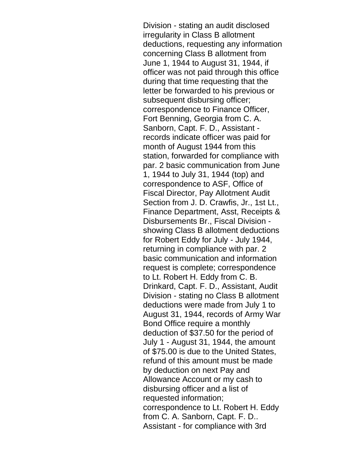Division - stating an audit disclosed irregularity in Class B allotment deductions, requesting any information concerning Class B allotment from June 1, 1944 to August 31, 1944, if officer was not paid through this office during that time requesting that the letter be forwarded to his previous or subsequent disbursing officer; correspondence to Finance Officer, Fort Benning, Georgia from C. A. Sanborn, Capt. F. D., Assistant records indicate officer was paid for month of August 1944 from this station, forwarded for compliance with par. 2 basic communication from June 1, 1944 to July 31, 1944 (top) and correspondence to ASF, Office of Fiscal Director, Pay Allotment Audit Section from J. D. Crawfis, Jr., 1st Lt., Finance Department, Asst, Receipts & Disbursements Br., Fiscal Division showing Class B allotment deductions for Robert Eddy for July - July 1944, returning in compliance with par. 2 basic communication and information request is complete; correspondence to Lt. Robert H. Eddy from C. B. Drinkard, Capt. F. D., Assistant, Audit Division - stating no Class B allotment deductions were made from July 1 to August 31, 1944, records of Army War Bond Office require a monthly deduction of \$37.50 for the period of July 1 - August 31, 1944, the amount of \$75.00 is due to the United States, refund of this amount must be made by deduction on next Pay and Allowance Account or my cash to disbursing officer and a list of requested information; correspondence to Lt. Robert H. Eddy from C. A. Sanborn, Capt. F. D.. Assistant - for compliance with 3rd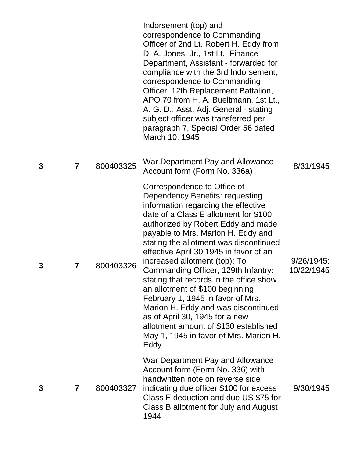|   |                         |           | Indorsement (top) and<br>correspondence to Commanding<br>Officer of 2nd Lt. Robert H. Eddy from<br>D. A. Jones, Jr., 1st Lt., Finance<br>Department, Assistant - forwarded for<br>compliance with the 3rd Indorsement;<br>correspondence to Commanding<br>Officer, 12th Replacement Battalion,<br>APO 70 from H. A. Bueltmann, 1st Lt.,<br>A. G. D., Asst. Adj. General - stating<br>subject officer was transferred per<br>paragraph 7, Special Order 56 dated<br>March 10, 1945                                                                                                                                                                                             |                             |
|---|-------------------------|-----------|-------------------------------------------------------------------------------------------------------------------------------------------------------------------------------------------------------------------------------------------------------------------------------------------------------------------------------------------------------------------------------------------------------------------------------------------------------------------------------------------------------------------------------------------------------------------------------------------------------------------------------------------------------------------------------|-----------------------------|
| 3 | $\overline{\mathbf{r}}$ | 800403325 | War Department Pay and Allowance<br>Account form (Form No. 336a)                                                                                                                                                                                                                                                                                                                                                                                                                                                                                                                                                                                                              | 8/31/1945                   |
| 3 | 7                       | 800403326 | Correspondence to Office of<br>Dependency Benefits: requesting<br>information regarding the effective<br>date of a Class E allotment for \$100<br>authorized by Robert Eddy and made<br>payable to Mrs. Marion H. Eddy and<br>stating the allotment was discontinued<br>effective April 30 1945 in favor of an<br>increased allotment (top); To<br>Commanding Officer, 129th Infantry:<br>stating that records in the office show<br>an allotment of \$100 beginning<br>February 1, 1945 in favor of Mrs.<br>Marion H. Eddy and was discontinued<br>as of April 30, 1945 for a new<br>allotment amount of \$130 established<br>May 1, 1945 in favor of Mrs. Marion H.<br>Eddy | $9/26/1945$ ;<br>10/22/1945 |
| 3 | 7                       | 800403327 | War Department Pay and Allowance<br>Account form (Form No. 336) with<br>handwritten note on reverse side<br>indicating due officer \$100 for excess<br>Class E deduction and due US \$75 for<br>Class B allotment for July and August<br>1944                                                                                                                                                                                                                                                                                                                                                                                                                                 | 9/30/1945                   |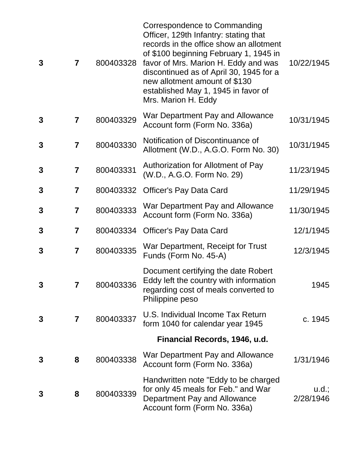| 3            | $\overline{7}$          | 800403328 | Correspondence to Commanding<br>Officer, 129th Infantry: stating that<br>records in the office show an allotment<br>of \$100 beginning February 1, 1945 in<br>favor of Mrs. Marion H. Eddy and was<br>discontinued as of April 30, 1945 for a<br>new allotment amount of \$130<br>established May 1, 1945 in favor of<br>Mrs. Marion H. Eddy | 10/22/1945         |
|--------------|-------------------------|-----------|----------------------------------------------------------------------------------------------------------------------------------------------------------------------------------------------------------------------------------------------------------------------------------------------------------------------------------------------|--------------------|
| 3            | $\overline{\mathbf{r}}$ | 800403329 | War Department Pay and Allowance<br>Account form (Form No. 336a)                                                                                                                                                                                                                                                                             | 10/31/1945         |
| 3            | $\overline{7}$          | 800403330 | Notification of Discontinuance of<br>Allotment (W.D., A.G.O. Form No. 30)                                                                                                                                                                                                                                                                    | 10/31/1945         |
| 3            | $\overline{7}$          | 800403331 | Authorization for Allotment of Pay<br>(W.D., A.G.O. Form No. 29)                                                                                                                                                                                                                                                                             | 11/23/1945         |
| 3            | $\overline{\mathbf{7}}$ | 800403332 | <b>Officer's Pay Data Card</b>                                                                                                                                                                                                                                                                                                               | 11/29/1945         |
| 3            | $\overline{\mathbf{7}}$ | 800403333 | War Department Pay and Allowance<br>Account form (Form No. 336a)                                                                                                                                                                                                                                                                             | 11/30/1945         |
| 3            | 7                       | 800403334 | <b>Officer's Pay Data Card</b>                                                                                                                                                                                                                                                                                                               | 12/1/1945          |
| 3            | $\overline{7}$          | 800403335 | War Department, Receipt for Trust<br>Funds (Form No. 45-A)                                                                                                                                                                                                                                                                                   | 12/3/1945          |
| 3            | 7                       | 800403336 | Document certifying the date Robert<br>Eddy left the country with information<br>regarding cost of meals converted to<br>Philippine peso                                                                                                                                                                                                     | 1945               |
| $\mathbf{3}$ | $\overline{7}$          | 800403337 | U.S. Individual Income Tax Return<br>form 1040 for calendar year 1945                                                                                                                                                                                                                                                                        | c. 1945            |
|              |                         |           | Financial Records, 1946, u.d.                                                                                                                                                                                                                                                                                                                |                    |
| 3            | 8                       | 800403338 | War Department Pay and Allowance<br>Account form (Form No. 336a)                                                                                                                                                                                                                                                                             | 1/31/1946          |
| 3            | 8                       | 800403339 | Handwritten note "Eddy to be charged<br>for only 45 meals for Feb." and War<br>Department Pay and Allowance<br>Account form (Form No. 336a)                                                                                                                                                                                                  | u.d.;<br>2/28/1946 |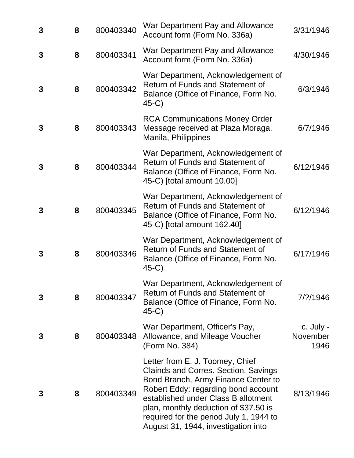| 3 | 8 | 800403340 | War Department Pay and Allowance<br>Account form (Form No. 336a)                                                                                                                                                                                                                                                               | 3/31/1946                     |
|---|---|-----------|--------------------------------------------------------------------------------------------------------------------------------------------------------------------------------------------------------------------------------------------------------------------------------------------------------------------------------|-------------------------------|
| 3 | 8 | 800403341 | War Department Pay and Allowance<br>Account form (Form No. 336a)                                                                                                                                                                                                                                                               | 4/30/1946                     |
| 3 | 8 | 800403342 | War Department, Acknowledgement of<br>Return of Funds and Statement of<br>Balance (Office of Finance, Form No.<br>$45-C$                                                                                                                                                                                                       | 6/3/1946                      |
| 3 | 8 | 800403343 | <b>RCA Communications Money Order</b><br>Message received at Plaza Moraga,<br>Manila, Philippines                                                                                                                                                                                                                              | 6/7/1946                      |
| 3 | 8 | 800403344 | War Department, Acknowledgement of<br>Return of Funds and Statement of<br>Balance (Office of Finance, Form No.<br>45-C) [total amount 10.00]                                                                                                                                                                                   | 6/12/1946                     |
| 3 | 8 | 800403345 | War Department, Acknowledgement of<br>Return of Funds and Statement of<br>Balance (Office of Finance, Form No.<br>45-C) [total amount 162.40]                                                                                                                                                                                  | 6/12/1946                     |
| 3 | 8 | 800403346 | War Department, Acknowledgement of<br>Return of Funds and Statement of<br>Balance (Office of Finance, Form No.<br>$45-C$                                                                                                                                                                                                       | 6/17/1946                     |
| 3 | 8 | 800403347 | War Department, Acknowledgement of<br><b>Return of Funds and Statement of</b><br>Balance (Office of Finance, Form No.<br>$45-C$                                                                                                                                                                                                | 7/?/1946                      |
| 3 | 8 | 800403348 | War Department, Officer's Pay,<br>Allowance, and Mileage Voucher<br>(Form No. 384)                                                                                                                                                                                                                                             | c. July -<br>November<br>1946 |
| 3 | 8 | 800403349 | Letter from E. J. Toomey, Chief<br><b>Clainds and Corres. Section, Savings</b><br>Bond Branch, Army Finance Center to<br>Robert Eddy: regarding bond account<br>established under Class B allotment<br>plan, monthly deduction of \$37.50 is<br>required for the period July 1, 1944 to<br>August 31, 1944, investigation into | 8/13/1946                     |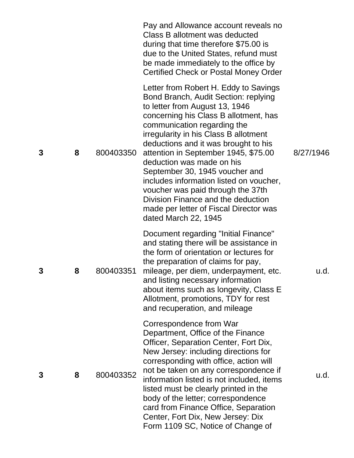|   |   |           | Pay and Allowance account reveals no<br>Class B allotment was deducted<br>during that time therefore \$75.00 is<br>due to the United States, refund must<br>be made immediately to the office by<br>Certified Check or Postal Money Order                                                                                                                                                                                                                                                                                                                               |           |
|---|---|-----------|-------------------------------------------------------------------------------------------------------------------------------------------------------------------------------------------------------------------------------------------------------------------------------------------------------------------------------------------------------------------------------------------------------------------------------------------------------------------------------------------------------------------------------------------------------------------------|-----------|
| 3 | 8 | 800403350 | Letter from Robert H. Eddy to Savings<br>Bond Branch, Audit Section: replying<br>to letter from August 13, 1946<br>concerning his Class B allotment, has<br>communication regarding the<br>irregularity in his Class B allotment<br>deductions and it was brought to his<br>attention in September 1945, \$75.00<br>deduction was made on his<br>September 30, 1945 voucher and<br>includes information listed on voucher,<br>voucher was paid through the 37th<br>Division Finance and the deduction<br>made per letter of Fiscal Director was<br>dated March 22, 1945 | 8/27/1946 |
| 3 | 8 | 800403351 | Document regarding "Initial Finance"<br>and stating there will be assistance in<br>the form of orientation or lectures for<br>the preparation of claims for pay,<br>mileage, per diem, underpayment, etc.<br>and listing necessary information<br>about items such as longevity, Class E<br>Allotment, promotions, TDY for rest<br>and recuperation, and mileage                                                                                                                                                                                                        | u.d.      |
| 3 | 8 | 800403352 | Correspondence from War<br>Department, Office of the Finance<br>Officer, Separation Center, Fort Dix,<br>New Jersey: including directions for<br>corresponding with office, action will<br>not be taken on any correspondence if<br>information listed is not included, items<br>listed must be clearly printed in the<br>body of the letter; correspondence<br>card from Finance Office, Separation<br>Center, Fort Dix, New Jersey: Dix<br>Form 1109 SC, Notice of Change of                                                                                          | u.d.      |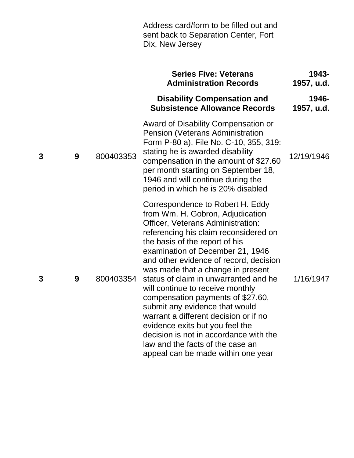|   |   |           | Address card/form to be filled out and<br>sent back to Separation Center, Fort<br>Dix, New Jersey                                                                                                                                                                                                                                                                                                                                                                                                                                                                                                                                                           |                     |
|---|---|-----------|-------------------------------------------------------------------------------------------------------------------------------------------------------------------------------------------------------------------------------------------------------------------------------------------------------------------------------------------------------------------------------------------------------------------------------------------------------------------------------------------------------------------------------------------------------------------------------------------------------------------------------------------------------------|---------------------|
|   |   |           | <b>Series Five: Veterans</b><br><b>Administration Records</b>                                                                                                                                                                                                                                                                                                                                                                                                                                                                                                                                                                                               | 1943-<br>1957, u.d. |
|   |   |           | <b>Disability Compensation and</b><br><b>Subsistence Allowance Records</b>                                                                                                                                                                                                                                                                                                                                                                                                                                                                                                                                                                                  | 1946-<br>1957, u.d. |
| 3 | 9 | 800403353 | Award of Disability Compensation or<br><b>Pension (Veterans Administration</b><br>Form P-80 a), File No. C-10, 355, 319:<br>stating he is awarded disability<br>compensation in the amount of \$27.60<br>per month starting on September 18,<br>1946 and will continue during the<br>period in which he is 20% disabled                                                                                                                                                                                                                                                                                                                                     | 12/19/1946          |
| 3 | 9 | 800403354 | Correspondence to Robert H. Eddy<br>from Wm. H. Gobron, Adjudication<br>Officer, Veterans Administration:<br>referencing his claim reconsidered on<br>the basis of the report of his<br>examination of December 21, 1946<br>and other evidence of record, decision<br>was made that a change in present<br>status of claim in unwarranted and he<br>will continue to receive monthly<br>compensation payments of \$27.60,<br>submit any evidence that would<br>warrant a different decision or if no<br>evidence exits but you feel the<br>decision is not in accordance with the<br>law and the facts of the case an<br>appeal can be made within one year | 1/16/1947           |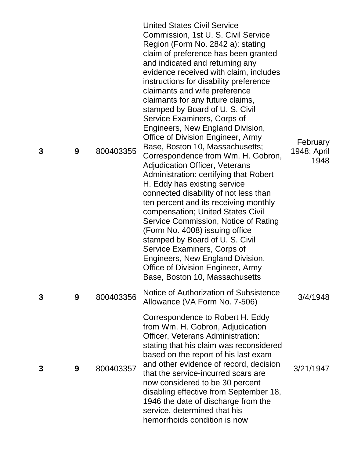| 3 | 9 | 800403355 | <b>United States Civil Service</b><br>Commission, 1st U. S. Civil Service<br>Region (Form No. 2842 a): stating<br>claim of preference has been granted<br>and indicated and returning any<br>evidence received with claim, includes<br>instructions for disability preference<br>claimants and wife preference<br>claimants for any future claims,<br>stamped by Board of U. S. Civil<br>Service Examiners, Corps of<br>Engineers, New England Division,<br>Office of Division Engineer, Army<br>Base, Boston 10, Massachusetts;<br>Correspondence from Wm. H. Gobron,<br><b>Adjudication Officer, Veterans</b><br>Administration: certifying that Robert<br>H. Eddy has existing service<br>connected disability of not less than<br>ten percent and its receiving monthly<br>compensation; United States Civil<br>Service Commission, Notice of Rating<br>(Form No. 4008) issuing office<br>stamped by Board of U. S. Civil<br>Service Examiners, Corps of<br>Engineers, New England Division,<br>Office of Division Engineer, Army<br>Base, Boston 10, Massachusetts | February<br>1948; April<br>1948 |
|---|---|-----------|-------------------------------------------------------------------------------------------------------------------------------------------------------------------------------------------------------------------------------------------------------------------------------------------------------------------------------------------------------------------------------------------------------------------------------------------------------------------------------------------------------------------------------------------------------------------------------------------------------------------------------------------------------------------------------------------------------------------------------------------------------------------------------------------------------------------------------------------------------------------------------------------------------------------------------------------------------------------------------------------------------------------------------------------------------------------------|---------------------------------|
| 3 | 9 | 800403356 | Notice of Authorization of Subsistence<br>Allowance (VA Form No. 7-506)                                                                                                                                                                                                                                                                                                                                                                                                                                                                                                                                                                                                                                                                                                                                                                                                                                                                                                                                                                                                 | 3/4/1948                        |
| 3 | 9 | 800403357 | Correspondence to Robert H. Eddy<br>from Wm. H. Gobron, Adjudication<br>Officer, Veterans Administration:<br>stating that his claim was reconsidered<br>based on the report of his last exam<br>and other evidence of record, decision<br>that the service-incurred scars are<br>now considered to be 30 percent<br>disabling effective from September 18,<br>1946 the date of discharge from the<br>service, determined that his<br>hemorrhoids condition is now                                                                                                                                                                                                                                                                                                                                                                                                                                                                                                                                                                                                       | 3/21/1947                       |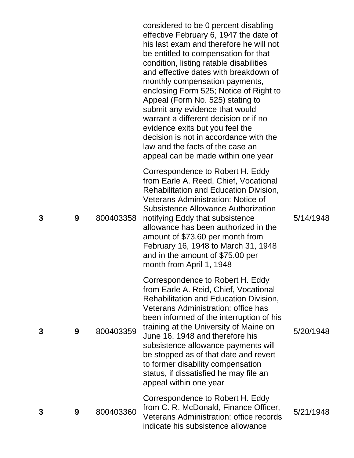|   |   |           | considered to be 0 percent disabling<br>effective February 6, 1947 the date of<br>his last exam and therefore he will not<br>be entitled to compensation for that<br>condition, listing ratable disabilities<br>and effective dates with breakdown of<br>monthly compensation payments,<br>enclosing Form 525; Notice of Right to<br>Appeal (Form No. 525) stating to<br>submit any evidence that would<br>warrant a different decision or if no<br>evidence exits but you feel the<br>decision is not in accordance with the<br>law and the facts of the case an<br>appeal can be made within one year |           |
|---|---|-----------|---------------------------------------------------------------------------------------------------------------------------------------------------------------------------------------------------------------------------------------------------------------------------------------------------------------------------------------------------------------------------------------------------------------------------------------------------------------------------------------------------------------------------------------------------------------------------------------------------------|-----------|
| 3 | 9 | 800403358 | Correspondence to Robert H. Eddy<br>from Earle A. Reed, Chief, Vocational<br>Rehabilitation and Education Division,<br><b>Veterans Administration: Notice of</b><br>Subsistence Allowance Authorization<br>notifying Eddy that subsistence<br>allowance has been authorized in the<br>amount of \$73.60 per month from<br>February 16, 1948 to March 31, 1948<br>and in the amount of \$75.00 per<br>month from April 1, 1948                                                                                                                                                                           | 5/14/1948 |
| 3 | 9 | 800403359 | Correspondence to Robert H. Eddy<br>from Earle A. Reid, Chief, Vocational<br><b>Rehabilitation and Education Division,</b><br><b>Veterans Administration: office has</b><br>been informed of the interruption of his<br>training at the University of Maine on<br>June 16, 1948 and therefore his<br>subsistence allowance payments will<br>be stopped as of that date and revert<br>to former disability compensation<br>status, if dissatisfied he may file an<br>appeal within one year                                                                                                              | 5/20/1948 |
| 3 | 9 | 800403360 | Correspondence to Robert H. Eddy<br>from C. R. McDonald, Finance Officer,<br><b>Veterans Administration: office records</b><br>indicate his subsistence allowance                                                                                                                                                                                                                                                                                                                                                                                                                                       | 5/21/1948 |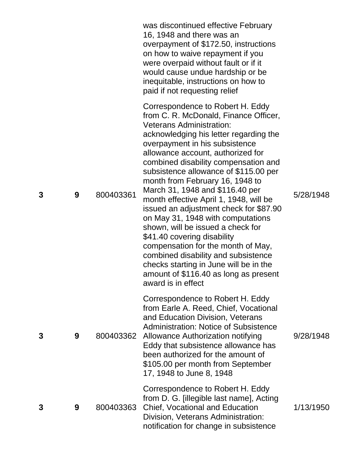|   |   |           | was discontinued effective February<br>16, 1948 and there was an<br>overpayment of \$172.50, instructions<br>on how to waive repayment if you<br>were overpaid without fault or if it<br>would cause undue hardship or be<br>inequitable, instructions on how to<br>paid if not requesting relief                                                                                                                                                                                                                                                                                                                                                                                                                                                                       |           |
|---|---|-----------|-------------------------------------------------------------------------------------------------------------------------------------------------------------------------------------------------------------------------------------------------------------------------------------------------------------------------------------------------------------------------------------------------------------------------------------------------------------------------------------------------------------------------------------------------------------------------------------------------------------------------------------------------------------------------------------------------------------------------------------------------------------------------|-----------|
| 3 | 9 | 800403361 | Correspondence to Robert H. Eddy<br>from C. R. McDonald, Finance Officer,<br><b>Veterans Administration:</b><br>acknowledging his letter regarding the<br>overpayment in his subsistence<br>allowance account, authorized for<br>combined disability compensation and<br>subsistence allowance of \$115.00 per<br>month from February 16, 1948 to<br>March 31, 1948 and \$116.40 per<br>month effective April 1, 1948, will be<br>issued an adjustment check for \$87.90<br>on May 31, 1948 with computations<br>shown, will be issued a check for<br>\$41.40 covering disability<br>compensation for the month of May,<br>combined disability and subsistence<br>checks starting in June will be in the<br>amount of \$116.40 as long as present<br>award is in effect | 5/28/1948 |
| 3 | 9 |           | Correspondence to Robert H. Eddy<br>from Earle A. Reed, Chief, Vocational<br>and Education Division, Veterans<br><b>Administration: Notice of Subsistence</b><br>800403362 Allowance Authorization notifying<br>Eddy that subsistence allowance has<br>been authorized for the amount of<br>\$105.00 per month from September<br>17, 1948 to June 8, 1948                                                                                                                                                                                                                                                                                                                                                                                                               | 9/28/1948 |
| 3 | 9 | 800403363 | Correspondence to Robert H. Eddy<br>from D. G. [illegible last name], Acting<br><b>Chief, Vocational and Education</b><br>Division, Veterans Administration:<br>notification for change in subsistence                                                                                                                                                                                                                                                                                                                                                                                                                                                                                                                                                                  | 1/13/1950 |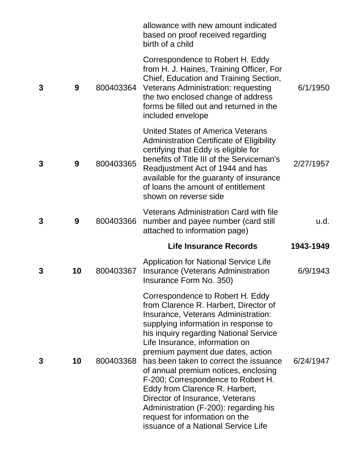|   |    |           | allowance with new amount indicated<br>based on proof received regarding<br>birth of a child                                                                                                                                                                                                                                                                                                                                                                                                                                                                                             |           |
|---|----|-----------|------------------------------------------------------------------------------------------------------------------------------------------------------------------------------------------------------------------------------------------------------------------------------------------------------------------------------------------------------------------------------------------------------------------------------------------------------------------------------------------------------------------------------------------------------------------------------------------|-----------|
| 3 | 9  |           | Correspondence to Robert H. Eddy<br>from H. J. Haines, Training Officer, For<br>Chief, Education and Training Section,<br>800403364 Veterans Administration: requesting<br>the two enclosed change of address<br>forms be filled out and returned in the<br>included envelope                                                                                                                                                                                                                                                                                                            | 6/1/1950  |
| 3 | 9  | 800403365 | United States of America Veterans<br><b>Administration Certificate of Eligibility</b><br>certifying that Eddy is eligible for<br>benefits of Title III of the Serviceman's<br>Readjustment Act of 1944 and has<br>available for the guaranty of insurance<br>of loans the amount of entitlement<br>shown on reverse side                                                                                                                                                                                                                                                                 | 2/27/1957 |
| 3 | 9  | 800403366 | <b>Veterans Administration Card with file</b><br>number and payee number (card still<br>attached to information page)                                                                                                                                                                                                                                                                                                                                                                                                                                                                    | u.d.      |
|   |    |           | <b>Life Insurance Records</b>                                                                                                                                                                                                                                                                                                                                                                                                                                                                                                                                                            | 1943-1949 |
| 3 | 10 | 800403367 | <b>Application for National Service Life</b><br>Insurance (Veterans Administration<br>Insurance Form No. 350)                                                                                                                                                                                                                                                                                                                                                                                                                                                                            | 6/9/1943  |
| 3 | 10 | 800403368 | Correspondence to Robert H. Eddy<br>from Clarence R. Harbert, Director of<br>Insurance, Veterans Administration:<br>supplying information in response to<br>his inquiry regarding National Service<br>Life Insurance, information on<br>premium payment due dates, action<br>has been taken to correct the issuance<br>of annual premium notices, enclosing<br>F-200; Correspondence to Robert H.<br>Eddy from Clarence R. Harbert,<br>Director of Insurance, Veterans<br>Administration (F-200): regarding his<br>request for information on the<br>issuance of a National Service Life | 6/24/1947 |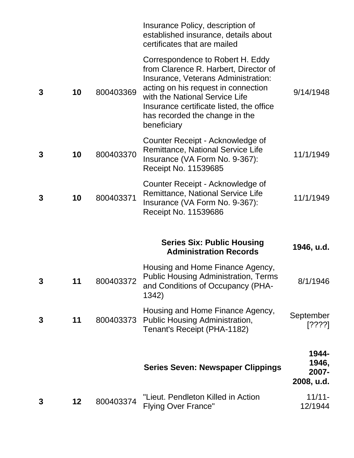|   |    |           | Insurance Policy, description of<br>established insurance, details about<br>certificates that are mailed                                                                                                                                                                               |                                       |
|---|----|-----------|----------------------------------------------------------------------------------------------------------------------------------------------------------------------------------------------------------------------------------------------------------------------------------------|---------------------------------------|
| 3 | 10 | 800403369 | Correspondence to Robert H. Eddy<br>from Clarence R. Harbert, Director of<br>Insurance, Veterans Administration:<br>acting on his request in connection<br>with the National Service Life<br>Insurance certificate listed, the office<br>has recorded the change in the<br>beneficiary | 9/14/1948                             |
| 3 | 10 | 800403370 | Counter Receipt - Acknowledge of<br>Remittance, National Service Life<br>Insurance (VA Form No. 9-367):<br>Receipt No. 11539685                                                                                                                                                        | 11/1/1949                             |
| 3 | 10 | 800403371 | Counter Receipt - Acknowledge of<br>Remittance, National Service Life<br>Insurance (VA Form No. 9-367):<br>Receipt No. 11539686                                                                                                                                                        | 11/1/1949                             |
|   |    |           | <b>Series Six: Public Housing</b><br><b>Administration Records</b>                                                                                                                                                                                                                     | 1946, u.d.                            |
| 3 | 11 | 800403372 | Housing and Home Finance Agency,<br><b>Public Housing Administration, Terms</b><br>and Conditions of Occupancy (PHA-<br>1342)                                                                                                                                                          | 8/1/1946                              |
| 3 | 11 | 800403373 | Housing and Home Finance Agency,<br><b>Public Housing Administration,</b><br>Tenant's Receipt (PHA-1182)                                                                                                                                                                               | September<br>[????]                   |
|   |    |           | <b>Series Seven: Newspaper Clippings</b>                                                                                                                                                                                                                                               | 1944-<br>1946,<br>2007-<br>2008, u.d. |
| 3 | 12 | 800403374 | "Lieut. Pendleton Killed in Action<br><b>Flying Over France"</b>                                                                                                                                                                                                                       | $11/11 -$<br>12/1944                  |
|   |    |           |                                                                                                                                                                                                                                                                                        |                                       |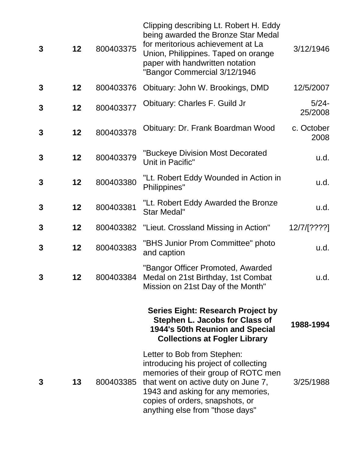| 3            | 12                | 800403375 | Clipping describing Lt. Robert H. Eddy<br>being awarded the Bronze Star Medal<br>for meritorious achievement at La<br>Union, Philippines. Taped on orange<br>paper with handwritten notation<br>"Bangor Commercial 3/12/1946                                  | 3/12/1946           |
|--------------|-------------------|-----------|---------------------------------------------------------------------------------------------------------------------------------------------------------------------------------------------------------------------------------------------------------------|---------------------|
| 3            | 12                | 800403376 | Obituary: John W. Brookings, DMD                                                                                                                                                                                                                              | 12/5/2007           |
| $\mathbf{3}$ | 12 <sub>2</sub>   | 800403377 | Obituary: Charles F. Guild Jr                                                                                                                                                                                                                                 | $5/24 -$<br>25/2008 |
| $\mathbf{3}$ | $12 \overline{ }$ | 800403378 | Obituary: Dr. Frank Boardman Wood                                                                                                                                                                                                                             | c. October<br>2008  |
| 3            | $12 \overline{ }$ | 800403379 | "Buckeye Division Most Decorated<br>Unit in Pacific"                                                                                                                                                                                                          | u.d.                |
| $\mathbf{3}$ | 12                | 800403380 | "Lt. Robert Eddy Wounded in Action in<br>Philippines"                                                                                                                                                                                                         | u.d.                |
| $\mathbf{3}$ | 12                | 800403381 | "Lt. Robert Eddy Awarded the Bronze<br><b>Star Medal"</b>                                                                                                                                                                                                     | u.d.                |
| 3            | 12                | 800403382 | "Lieut. Crossland Missing in Action"                                                                                                                                                                                                                          | 12/7/[????]         |
| 3            | 12                | 800403383 | "BHS Junior Prom Committee" photo<br>and caption                                                                                                                                                                                                              | u.d.                |
| 3            | 12                | 800403384 | "Bangor Officer Promoted, Awarded<br>Medal on 21st Birthday, 1st Combat<br>Mission on 21st Day of the Month"                                                                                                                                                  | u.d.                |
|              |                   |           | <b>Series Eight: Research Project by</b><br>Stephen L. Jacobs for Class of<br>1944's 50th Reunion and Special<br><b>Collections at Fogler Library</b>                                                                                                         | 1988-1994           |
| 3            | 13                | 800403385 | Letter to Bob from Stephen:<br>introducing his project of collecting<br>memories of their group of ROTC men<br>that went on active duty on June 7,<br>1943 and asking for any memories,<br>copies of orders, snapshots, or<br>anything else from "those days" | 3/25/1988           |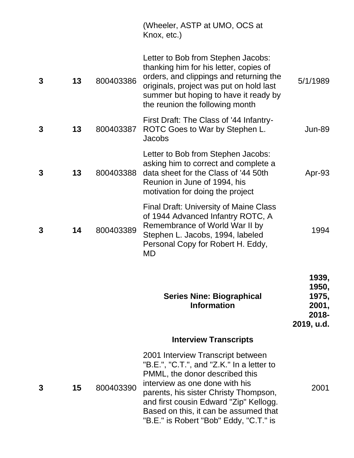|   |    |           | (Wheeler, ASTP at UMO, OCS at<br>Knox, etc.)                                                                                                                                                                                                                                                                             |                                                            |
|---|----|-----------|--------------------------------------------------------------------------------------------------------------------------------------------------------------------------------------------------------------------------------------------------------------------------------------------------------------------------|------------------------------------------------------------|
| 3 | 13 | 800403386 | Letter to Bob from Stephen Jacobs:<br>thanking him for his letter, copies of<br>orders, and clippings and returning the<br>originals, project was put on hold last<br>summer but hoping to have it ready by<br>the reunion the following month                                                                           | 5/1/1989                                                   |
| 3 | 13 | 800403387 | First Draft: The Class of '44 Infantry-<br>ROTC Goes to War by Stephen L.<br><b>Jacobs</b>                                                                                                                                                                                                                               | <b>Jun-89</b>                                              |
| 3 | 13 | 800403388 | Letter to Bob from Stephen Jacobs:<br>asking him to correct and complete a<br>data sheet for the Class of '44 50th<br>Reunion in June of 1994, his<br>motivation for doing the project                                                                                                                                   | Apr-93                                                     |
| 3 | 14 | 800403389 | <b>Final Draft: University of Maine Class</b><br>of 1944 Advanced Infantry ROTC, A<br>Remembrance of World War II by<br>Stephen L. Jacobs, 1994, labeled<br>Personal Copy for Robert H. Eddy,<br><b>MD</b>                                                                                                               | 1994                                                       |
|   |    |           | <b>Series Nine: Biographical</b><br><b>Information</b>                                                                                                                                                                                                                                                                   | 1939,<br>1950,<br>1975,<br>2001,<br>$2018 -$<br>2019, u.d. |
|   |    |           | <b>Interview Transcripts</b>                                                                                                                                                                                                                                                                                             |                                                            |
| 3 | 15 | 800403390 | 2001 Interview Transcript between<br>"B.E.", "C.T.", and "Z.K." In a letter to<br>PMML, the donor described this<br>interview as one done with his<br>parents, his sister Christy Thompson,<br>and first cousin Edward "Zip" Kellogg.<br>Based on this, it can be assumed that<br>"B.E." is Robert "Bob" Eddy, "C.T." is | 2001                                                       |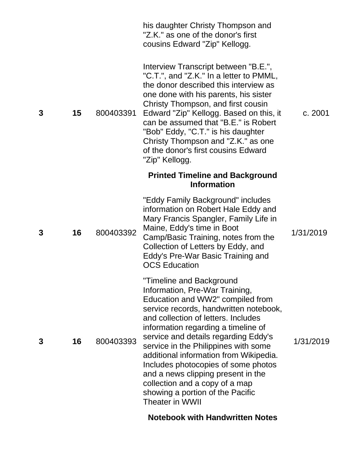|   |    |           | his daughter Christy Thompson and<br>"Z.K." as one of the donor's first<br>cousins Edward "Zip" Kellogg.                                                                                                                                                                                                                                                                                                                                                                                                                            |           |
|---|----|-----------|-------------------------------------------------------------------------------------------------------------------------------------------------------------------------------------------------------------------------------------------------------------------------------------------------------------------------------------------------------------------------------------------------------------------------------------------------------------------------------------------------------------------------------------|-----------|
| 3 | 15 | 800403391 | Interview Transcript between "B.E.",<br>"C.T.", and "Z.K." In a letter to PMML,<br>the donor described this interview as<br>one done with his parents, his sister<br>Christy Thompson, and first cousin<br>Edward "Zip" Kellogg. Based on this, it<br>can be assumed that "B.E." is Robert<br>"Bob" Eddy, "C.T." is his daughter<br>Christy Thompson and "Z.K." as one<br>of the donor's first cousins Edward<br>"Zip" Kellogg.                                                                                                     | c. 2001   |
|   |    |           | <b>Printed Timeline and Background</b><br><b>Information</b>                                                                                                                                                                                                                                                                                                                                                                                                                                                                        |           |
| 3 | 16 | 800403392 | "Eddy Family Background" includes<br>information on Robert Hale Eddy and<br>Mary Francis Spangler, Family Life in<br>Maine, Eddy's time in Boot<br>Camp/Basic Training, notes from the<br>Collection of Letters by Eddy, and<br>Eddy's Pre-War Basic Training and<br><b>OCS Education</b>                                                                                                                                                                                                                                           | 1/31/2019 |
| 3 | 16 | 800403393 | <b>Timeline and Background</b><br>Information, Pre-War Training,<br>Education and WW2" compiled from<br>service records, handwritten notebook,<br>and collection of letters. Includes<br>information regarding a timeline of<br>service and details regarding Eddy's<br>service in the Philippines with some<br>additional information from Wikipedia.<br>Includes photocopies of some photos<br>and a news clipping present in the<br>collection and a copy of a map<br>showing a portion of the Pacific<br><b>Theater in WWII</b> | 1/31/2019 |

**Notebook with Handwritten Notes**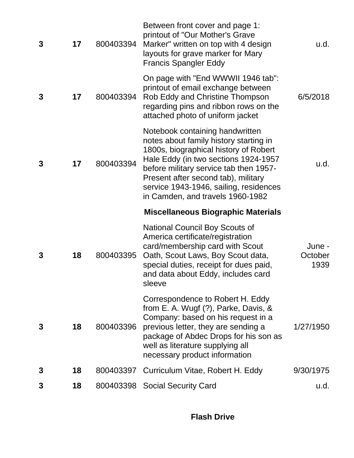| 3 | 17 | 800403394 | Between front cover and page 1:<br>printout of "Our Mother's Grave<br>Marker" written on top with 4 design<br>layouts for grave marker for Mary<br><b>Francis Spangler Eddy</b>                                                                                                                                           | u.d.                      |
|---|----|-----------|---------------------------------------------------------------------------------------------------------------------------------------------------------------------------------------------------------------------------------------------------------------------------------------------------------------------------|---------------------------|
| 3 | 17 | 800403394 | On page with "End WWWII 1946 tab":<br>printout of email exchange between<br>Rob Eddy and Christine Thompson<br>regarding pins and ribbon rows on the<br>attached photo of uniform jacket                                                                                                                                  | 6/5/2018                  |
| 3 | 17 | 800403394 | Notebook containing handwritten<br>notes about family history starting in<br>1800s, biographical history of Robert<br>Hale Eddy (in two sections 1924-1957<br>before military service tab then 1957-<br>Present after second tab), military<br>service 1943-1946, sailing, residences<br>in Camden, and travels 1960-1982 | u.d.                      |
|   |    |           |                                                                                                                                                                                                                                                                                                                           |                           |
|   |    |           | <b>Miscellaneous Biographic Materials</b>                                                                                                                                                                                                                                                                                 |                           |
| 3 | 18 | 800403395 | <b>National Council Boy Scouts of</b><br>America certificate/registration<br>card/membership card with Scout<br>Oath, Scout Laws, Boy Scout data,<br>special duties, receipt for dues paid,<br>and data about Eddy, includes card<br>sleeve                                                                               | June -<br>October<br>1939 |
| 3 | 18 | 800403396 | Correspondence to Robert H. Eddy<br>from E. A. Wugf $(?)$ , Parke, Davis, &<br>Company: based on his request in a<br>previous letter, they are sending a<br>package of Abdec Drops for his son as<br>well as literature supplying all<br>necessary product information                                                    | 1/27/1950                 |
| 3 | 18 | 800403397 | Curriculum Vitae, Robert H. Eddy                                                                                                                                                                                                                                                                                          | 9/30/1975                 |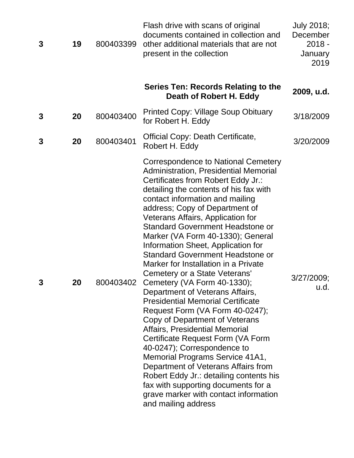| 3 | 19 | 800403399 | Flash drive with scans of original<br>documents contained in collection and<br>other additional materials that are not<br>present in the collection                                                                                                                                                                                                                                                                                                                                                                                                                                                                                                                                                                                                                                                                                                                                                                                                                                                                                          | July 2018;<br>December<br>$2018 -$<br>January<br>2019 |
|---|----|-----------|----------------------------------------------------------------------------------------------------------------------------------------------------------------------------------------------------------------------------------------------------------------------------------------------------------------------------------------------------------------------------------------------------------------------------------------------------------------------------------------------------------------------------------------------------------------------------------------------------------------------------------------------------------------------------------------------------------------------------------------------------------------------------------------------------------------------------------------------------------------------------------------------------------------------------------------------------------------------------------------------------------------------------------------------|-------------------------------------------------------|
|   |    |           | Series Ten: Records Relating to the<br>Death of Robert H. Eddy                                                                                                                                                                                                                                                                                                                                                                                                                                                                                                                                                                                                                                                                                                                                                                                                                                                                                                                                                                               | 2009, u.d.                                            |
| 3 | 20 | 800403400 | <b>Printed Copy: Village Soup Obituary</b><br>for Robert H. Eddy                                                                                                                                                                                                                                                                                                                                                                                                                                                                                                                                                                                                                                                                                                                                                                                                                                                                                                                                                                             | 3/18/2009                                             |
| 3 | 20 | 800403401 | <b>Official Copy: Death Certificate,</b><br>Robert H. Eddy                                                                                                                                                                                                                                                                                                                                                                                                                                                                                                                                                                                                                                                                                                                                                                                                                                                                                                                                                                                   | 3/20/2009                                             |
| 3 | 20 | 800403402 | Correspondence to National Cemetery<br>Administration, Presidential Memorial<br>Certificates from Robert Eddy Jr.:<br>detailing the contents of his fax with<br>contact information and mailing<br>address; Copy of Department of<br>Veterans Affairs, Application for<br><b>Standard Government Headstone or</b><br>Marker (VA Form 40-1330); General<br>Information Sheet, Application for<br><b>Standard Government Headstone or</b><br>Marker for Installation in a Private<br>Cemetery or a State Veterans'<br>Cemetery (VA Form 40-1330);<br>Department of Veterans Affairs,<br><b>Presidential Memorial Certificate</b><br>Request Form (VA Form 40-0247);<br>Copy of Department of Veterans<br><b>Affairs, Presidential Memorial</b><br>Certificate Request Form (VA Form<br>40-0247); Correspondence to<br>Memorial Programs Service 41A1,<br>Department of Veterans Affairs from<br>Robert Eddy Jr.: detailing contents his<br>fax with supporting documents for a<br>grave marker with contact information<br>and mailing address | 3/27/2009;<br>u.d.                                    |